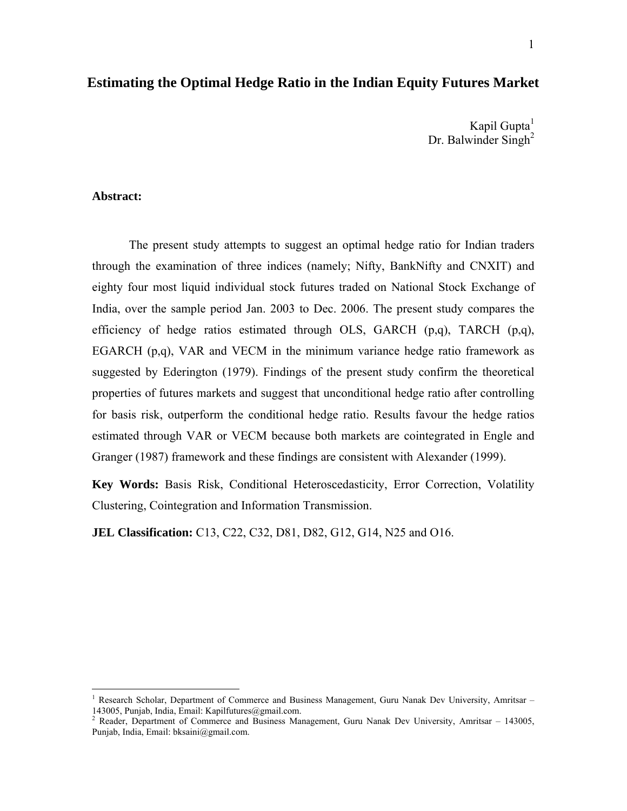### **Estimating the Optimal Hedge Ratio in the Indian Equity Futures Market**

Kapil Gupta $<sup>1</sup>$ </sup> Dr. Balwinder Singh<sup>2</sup>

#### **Abstract:**

1

The present study attempts to suggest an optimal hedge ratio for Indian traders through the examination of three indices (namely; Nifty, BankNifty and CNXIT) and eighty four most liquid individual stock futures traded on National Stock Exchange of India, over the sample period Jan. 2003 to Dec. 2006. The present study compares the efficiency of hedge ratios estimated through OLS, GARCH  $(p,q)$ , TARCH  $(p,q)$ , EGARCH (p,q), VAR and VECM in the minimum variance hedge ratio framework as suggested by Ederington (1979). Findings of the present study confirm the theoretical properties of futures markets and suggest that unconditional hedge ratio after controlling for basis risk, outperform the conditional hedge ratio. Results favour the hedge ratios estimated through VAR or VECM because both markets are cointegrated in Engle and Granger (1987) framework and these findings are consistent with Alexander (1999).

**Key Words:** Basis Risk, Conditional Heteroscedasticity, Error Correction, Volatility Clustering, Cointegration and Information Transmission.

**JEL Classification:** C13, C22, C32, D81, D82, G12, G14, N25 and O16.

<sup>1</sup> Research Scholar, Department of Commerce and Business Management, Guru Nanak Dev University, Amritsar – 143005, Punjab, India, Email: Kapilfutures@gmail.com.<br><sup>2</sup> Reader, Department of Commerce and Business Management, Guru Nanak Dev University, Amritsar – 143005,

Punjab, India, Email: bksaini@gmail.com.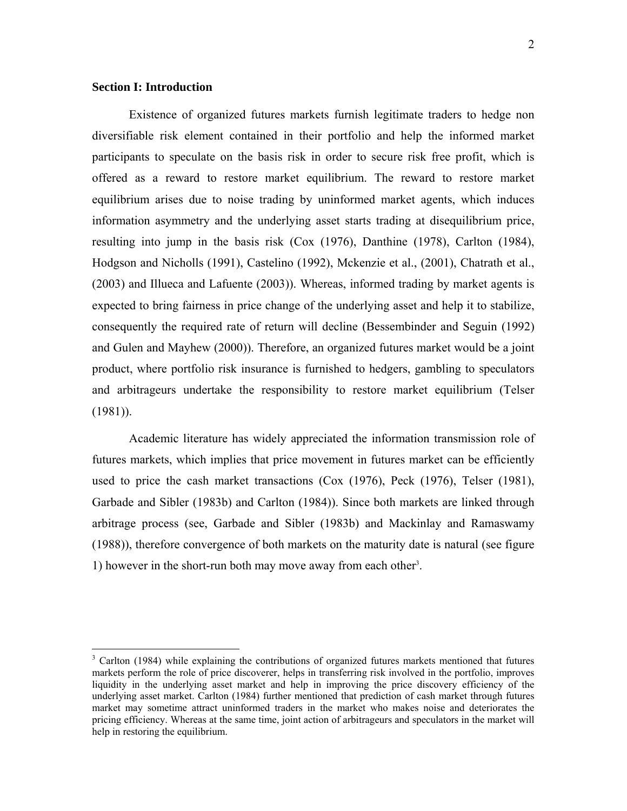#### **Section I: Introduction**

 $\overline{a}$ 

Existence of organized futures markets furnish legitimate traders to hedge non diversifiable risk element contained in their portfolio and help the informed market participants to speculate on the basis risk in order to secure risk free profit, which is offered as a reward to restore market equilibrium. The reward to restore market equilibrium arises due to noise trading by uninformed market agents, which induces information asymmetry and the underlying asset starts trading at disequilibrium price, resulting into jump in the basis risk (Cox (1976), Danthine (1978), Carlton (1984), Hodgson and Nicholls (1991), Castelino (1992), Mckenzie et al., (2001), Chatrath et al., (2003) and Illueca and Lafuente (2003)). Whereas, informed trading by market agents is expected to bring fairness in price change of the underlying asset and help it to stabilize, consequently the required rate of return will decline (Bessembinder and Seguin (1992) and Gulen and Mayhew (2000)). Therefore, an organized futures market would be a joint product, where portfolio risk insurance is furnished to hedgers, gambling to speculators and arbitrageurs undertake the responsibility to restore market equilibrium (Telser  $(1981)$ ).

Academic literature has widely appreciated the information transmission role of futures markets, which implies that price movement in futures market can be efficiently used to price the cash market transactions (Cox (1976), Peck (1976), Telser (1981), Garbade and Sibler (1983b) and Carlton (1984)). Since both markets are linked through arbitrage process (see, Garbade and Sibler (1983b) and Mackinlay and Ramaswamy (1988)), therefore convergence of both markets on the maturity date is natural (see figure 1) however in the short-run both may move away from each other<sup>3</sup>.

<sup>&</sup>lt;sup>3</sup> Carlton (1984) while explaining the contributions of organized futures markets mentioned that futures markets perform the role of price discoverer, helps in transferring risk involved in the portfolio, improves liquidity in the underlying asset market and help in improving the price discovery efficiency of the underlying asset market. Carlton (1984) further mentioned that prediction of cash market through futures market may sometime attract uninformed traders in the market who makes noise and deteriorates the pricing efficiency. Whereas at the same time, joint action of arbitrageurs and speculators in the market will help in restoring the equilibrium.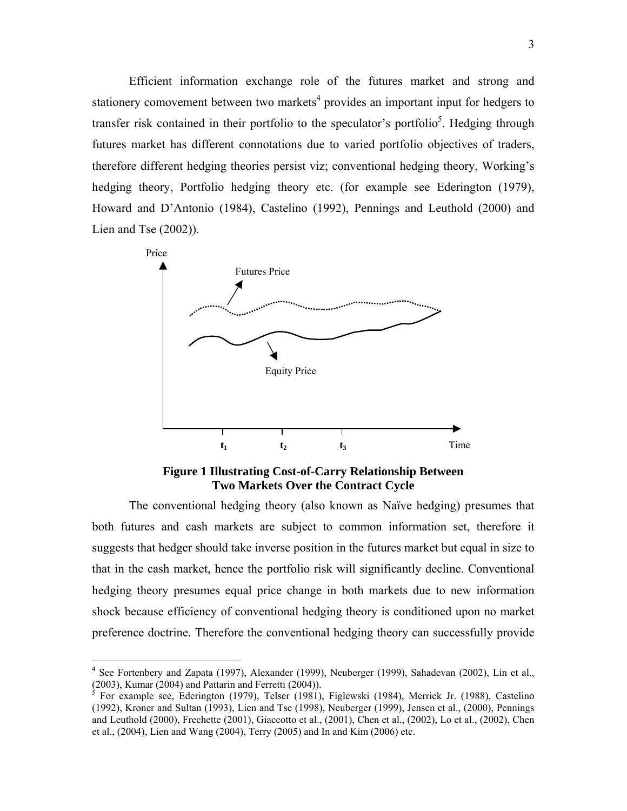Efficient information exchange role of the futures market and strong and stationery comovement between two markets<sup>4</sup> provides an important input for hedgers to transfer risk contained in their portfolio to the speculator's portfolio<sup>5</sup>. Hedging through futures market has different connotations due to varied portfolio objectives of traders, therefore different hedging theories persist viz; conventional hedging theory, Working's hedging theory, Portfolio hedging theory etc. (for example see Ederington (1979), Howard and D'Antonio (1984), Castelino (1992), Pennings and Leuthold (2000) and Lien and Tse  $(2002)$ ).



**Figure 1 Illustrating Cost-of-Carry Relationship Between Two Markets Over the Contract Cycle** 

The conventional hedging theory (also known as Naïve hedging) presumes that both futures and cash markets are subject to common information set, therefore it suggests that hedger should take inverse position in the futures market but equal in size to that in the cash market, hence the portfolio risk will significantly decline. Conventional hedging theory presumes equal price change in both markets due to new information shock because efficiency of conventional hedging theory is conditioned upon no market preference doctrine. Therefore the conventional hedging theory can successfully provide

<sup>&</sup>lt;sup>4</sup> See Fortenbery and Zapata (1997), Alexander (1999), Neuberger (1999), Sahadevan (2002), Lin et al., (2003), Kumar (2004) and Pattarin and Ferretti (2004)).

<sup>5</sup> For example see, Ederington (1979), Telser (1981), Figlewski (1984), Merrick Jr. (1988), Castelino (1992), Kroner and Sultan (1993), Lien and Tse (1998), Neuberger (1999), Jensen et al., (2000), Pennings and Leuthold (2000), Frechette (2001), Giaccotto et al., (2001), Chen et al., (2002), Lo et al., (2002), Chen et al., (2004), Lien and Wang (2004), Terry (2005) and In and Kim (2006) etc.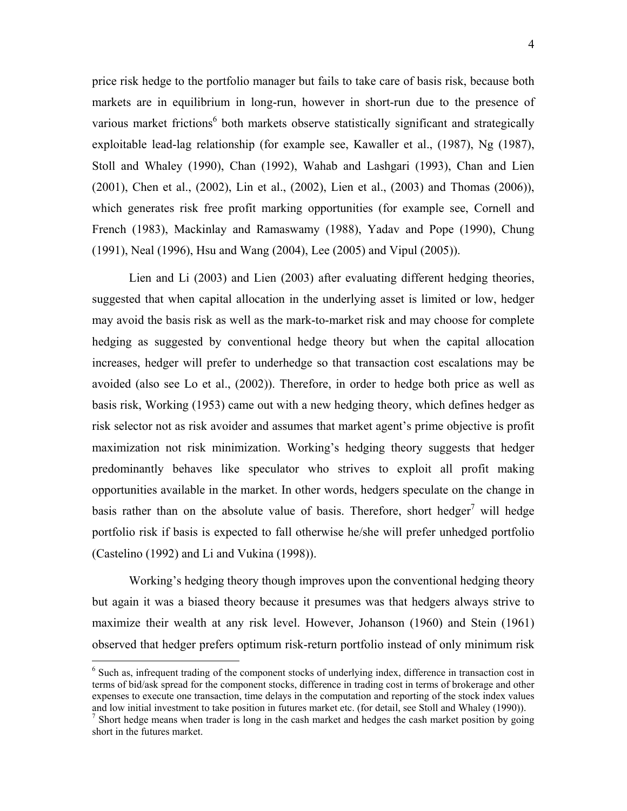price risk hedge to the portfolio manager but fails to take care of basis risk, because both markets are in equilibrium in long-run, however in short-run due to the presence of various market frictions<sup>6</sup> both markets observe statistically significant and strategically exploitable lead-lag relationship (for example see, Kawaller et al., (1987), Ng (1987), Stoll and Whaley (1990), Chan (1992), Wahab and Lashgari (1993), Chan and Lien (2001), Chen et al., (2002), Lin et al., (2002), Lien et al., (2003) and Thomas (2006)), which generates risk free profit marking opportunities (for example see, Cornell and French (1983), Mackinlay and Ramaswamy (1988), Yadav and Pope (1990), Chung (1991), Neal (1996), Hsu and Wang (2004), Lee (2005) and Vipul (2005)).

Lien and Li (2003) and Lien (2003) after evaluating different hedging theories, suggested that when capital allocation in the underlying asset is limited or low, hedger may avoid the basis risk as well as the mark-to-market risk and may choose for complete hedging as suggested by conventional hedge theory but when the capital allocation increases, hedger will prefer to underhedge so that transaction cost escalations may be avoided (also see Lo et al., (2002)). Therefore, in order to hedge both price as well as basis risk, Working (1953) came out with a new hedging theory, which defines hedger as risk selector not as risk avoider and assumes that market agent's prime objective is profit maximization not risk minimization. Working's hedging theory suggests that hedger predominantly behaves like speculator who strives to exploit all profit making opportunities available in the market. In other words, hedgers speculate on the change in basis rather than on the absolute value of basis. Therefore, short hedger<sup>7</sup> will hedge portfolio risk if basis is expected to fall otherwise he/she will prefer unhedged portfolio (Castelino (1992) and Li and Vukina (1998)).

Working's hedging theory though improves upon the conventional hedging theory but again it was a biased theory because it presumes was that hedgers always strive to maximize their wealth at any risk level. However, Johanson (1960) and Stein (1961) observed that hedger prefers optimum risk-return portfolio instead of only minimum risk

<sup>&</sup>lt;sup>6</sup> Such as, infrequent trading of the component stocks of underlying index, difference in transaction cost in terms of bid/ask spread for the component stocks, difference in trading cost in terms of brokerage and other expenses to execute one transaction, time delays in the computation and reporting of the stock index values and low initial investment to take position in futures market etc. (for detail, see Stoll and Whaley (1990)). 7

<sup>&</sup>lt;sup>7</sup> Short hedge means when trader is long in the cash market and hedges the cash market position by going short in the futures market.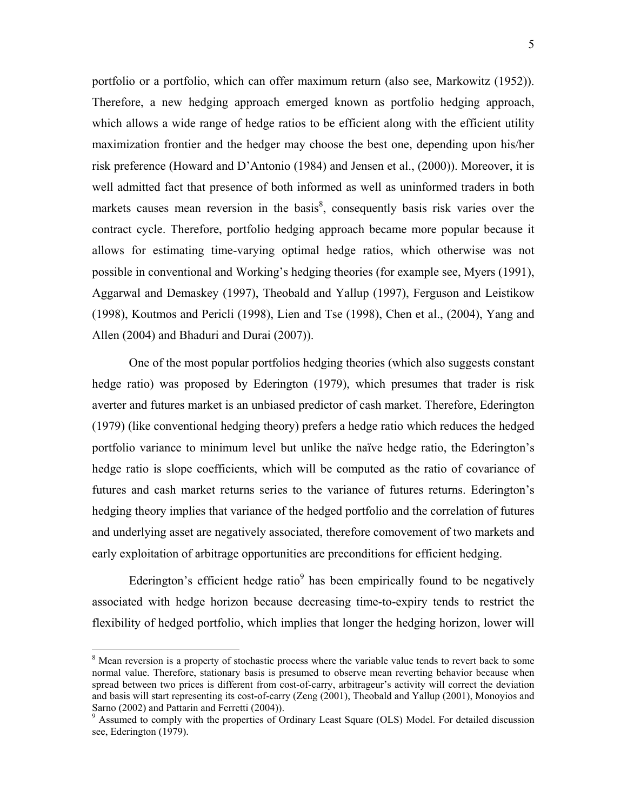portfolio or a portfolio, which can offer maximum return (also see, Markowitz (1952)). Therefore, a new hedging approach emerged known as portfolio hedging approach, which allows a wide range of hedge ratios to be efficient along with the efficient utility maximization frontier and the hedger may choose the best one, depending upon his/her risk preference (Howard and D'Antonio (1984) and Jensen et al., (2000)). Moreover, it is well admitted fact that presence of both informed as well as uninformed traders in both markets causes mean reversion in the basis<sup>8</sup>, consequently basis risk varies over the contract cycle. Therefore, portfolio hedging approach became more popular because it allows for estimating time-varying optimal hedge ratios, which otherwise was not possible in conventional and Working's hedging theories (for example see, Myers (1991), Aggarwal and Demaskey (1997), Theobald and Yallup (1997), Ferguson and Leistikow (1998), Koutmos and Pericli (1998), Lien and Tse (1998), Chen et al., (2004), Yang and Allen (2004) and Bhaduri and Durai (2007)).

One of the most popular portfolios hedging theories (which also suggests constant hedge ratio) was proposed by Ederington (1979), which presumes that trader is risk averter and futures market is an unbiased predictor of cash market. Therefore, Ederington (1979) (like conventional hedging theory) prefers a hedge ratio which reduces the hedged portfolio variance to minimum level but unlike the naïve hedge ratio, the Ederington's hedge ratio is slope coefficients, which will be computed as the ratio of covariance of futures and cash market returns series to the variance of futures returns. Ederington's hedging theory implies that variance of the hedged portfolio and the correlation of futures and underlying asset are negatively associated, therefore comovement of two markets and early exploitation of arbitrage opportunities are preconditions for efficient hedging.

Ederington's efficient hedge ratio<sup>9</sup> has been empirically found to be negatively associated with hedge horizon because decreasing time-to-expiry tends to restrict the flexibility of hedged portfolio, which implies that longer the hedging horizon, lower will

<sup>&</sup>lt;sup>8</sup> Mean reversion is a property of stochastic process where the variable value tends to revert back to some normal value. Therefore, stationary basis is presumed to observe mean reverting behavior because when spread between two prices is different from cost-of-carry, arbitrageur's activity will correct the deviation and basis will start representing its cost-of-carry (Zeng (2001), Theobald and Yallup (2001), Monoyios and Sarno (2002) and Pattarin and Ferretti (2004)).

<sup>&</sup>lt;sup>9</sup> Assumed to comply with the properties of Ordinary Least Square (OLS) Model. For detailed discussion see, Ederington (1979).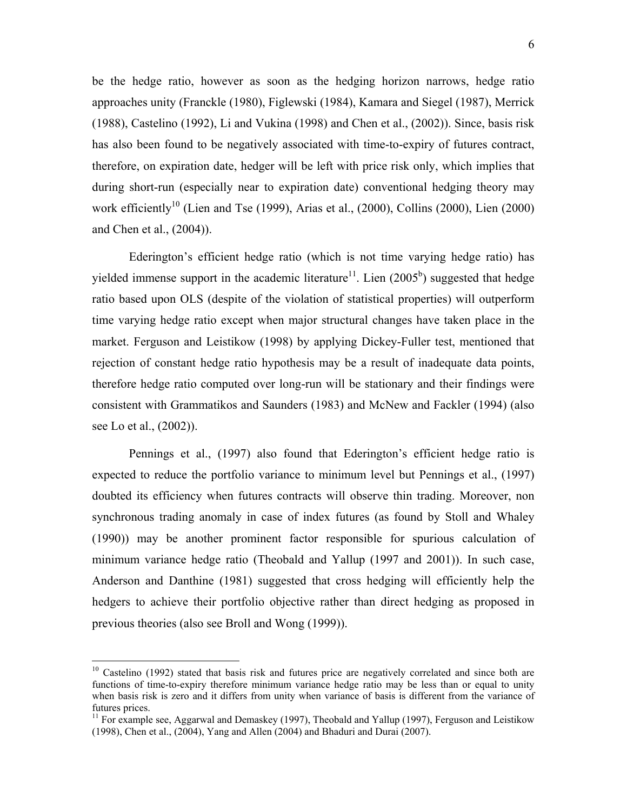be the hedge ratio, however as soon as the hedging horizon narrows, hedge ratio approaches unity (Franckle (1980), Figlewski (1984), Kamara and Siegel (1987), Merrick (1988), Castelino (1992), Li and Vukina (1998) and Chen et al., (2002)). Since, basis risk has also been found to be negatively associated with time-to-expiry of futures contract, therefore, on expiration date, hedger will be left with price risk only, which implies that during short-run (especially near to expiration date) conventional hedging theory may work efficiently<sup>10</sup> (Lien and Tse (1999), Arias et al., (2000), Collins (2000), Lien (2000) and Chen et al., (2004)).

Ederington's efficient hedge ratio (which is not time varying hedge ratio) has yielded immense support in the academic literature<sup>11</sup>. Lien  $(2005<sup>b</sup>)$  suggested that hedge ratio based upon OLS (despite of the violation of statistical properties) will outperform time varying hedge ratio except when major structural changes have taken place in the market. Ferguson and Leistikow (1998) by applying Dickey-Fuller test, mentioned that rejection of constant hedge ratio hypothesis may be a result of inadequate data points, therefore hedge ratio computed over long-run will be stationary and their findings were consistent with Grammatikos and Saunders (1983) and McNew and Fackler (1994) (also see Lo et al., (2002)).

Pennings et al., (1997) also found that Ederington's efficient hedge ratio is expected to reduce the portfolio variance to minimum level but Pennings et al., (1997) doubted its efficiency when futures contracts will observe thin trading. Moreover, non synchronous trading anomaly in case of index futures (as found by Stoll and Whaley (1990)) may be another prominent factor responsible for spurious calculation of minimum variance hedge ratio (Theobald and Yallup (1997 and 2001)). In such case, Anderson and Danthine (1981) suggested that cross hedging will efficiently help the hedgers to achieve their portfolio objective rather than direct hedging as proposed in previous theories (also see Broll and Wong (1999)).

 $10$  Castelino (1992) stated that basis risk and futures price are negatively correlated and since both are functions of time-to-expiry therefore minimum variance hedge ratio may be less than or equal to unity when basis risk is zero and it differs from unity when variance of basis is different from the variance of futures prices.

 $11$  For example see, Aggarwal and Demaskey (1997), Theobald and Yallup (1997), Ferguson and Leistikow (1998), Chen et al., (2004), Yang and Allen (2004) and Bhaduri and Durai (2007).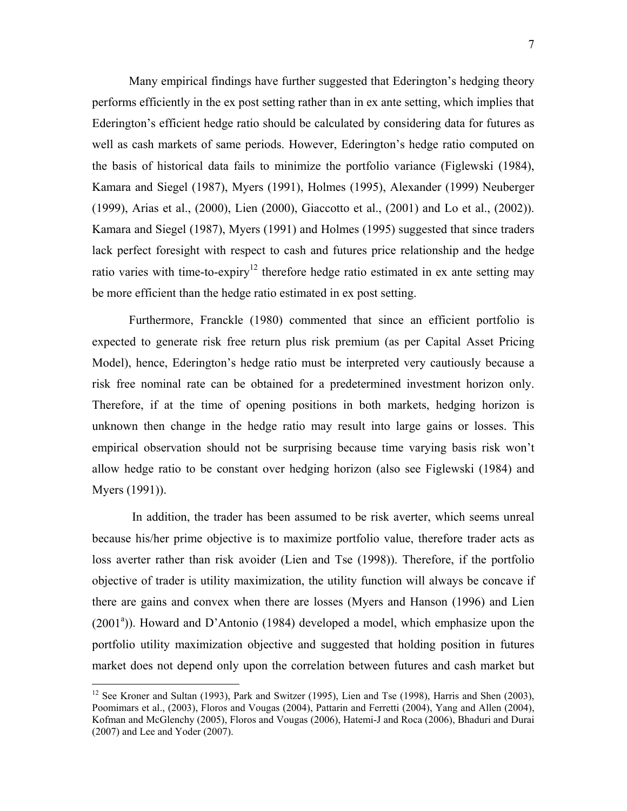Many empirical findings have further suggested that Ederington's hedging theory performs efficiently in the ex post setting rather than in ex ante setting, which implies that Ederington's efficient hedge ratio should be calculated by considering data for futures as well as cash markets of same periods. However, Ederington's hedge ratio computed on the basis of historical data fails to minimize the portfolio variance (Figlewski (1984), Kamara and Siegel (1987), Myers (1991), Holmes (1995), Alexander (1999) Neuberger (1999), Arias et al., (2000), Lien (2000), Giaccotto et al., (2001) and Lo et al., (2002)). Kamara and Siegel (1987), Myers (1991) and Holmes (1995) suggested that since traders lack perfect foresight with respect to cash and futures price relationship and the hedge ratio varies with time-to-expiry<sup>12</sup> therefore hedge ratio estimated in ex ante setting may be more efficient than the hedge ratio estimated in ex post setting.

Furthermore, Franckle (1980) commented that since an efficient portfolio is expected to generate risk free return plus risk premium (as per Capital Asset Pricing Model), hence, Ederington's hedge ratio must be interpreted very cautiously because a risk free nominal rate can be obtained for a predetermined investment horizon only. Therefore, if at the time of opening positions in both markets, hedging horizon is unknown then change in the hedge ratio may result into large gains or losses. This empirical observation should not be surprising because time varying basis risk won't allow hedge ratio to be constant over hedging horizon (also see Figlewski (1984) and Myers (1991)).

 In addition, the trader has been assumed to be risk averter, which seems unreal because his/her prime objective is to maximize portfolio value, therefore trader acts as loss averter rather than risk avoider (Lien and Tse (1998)). Therefore, if the portfolio objective of trader is utility maximization, the utility function will always be concave if there are gains and convex when there are losses (Myers and Hanson (1996) and Lien (2001<sup>a</sup>)). Howard and D'Antonio (1984) developed a model, which emphasize upon the portfolio utility maximization objective and suggested that holding position in futures market does not depend only upon the correlation between futures and cash market but

<u>.</u>

<sup>&</sup>lt;sup>12</sup> See Kroner and Sultan (1993), Park and Switzer (1995), Lien and Tse (1998), Harris and Shen (2003), Poomimars et al., (2003), Floros and Vougas (2004), Pattarin and Ferretti (2004), Yang and Allen (2004), Kofman and McGlenchy (2005), Floros and Vougas (2006), Hatemi-J and Roca (2006), Bhaduri and Durai (2007) and Lee and Yoder (2007).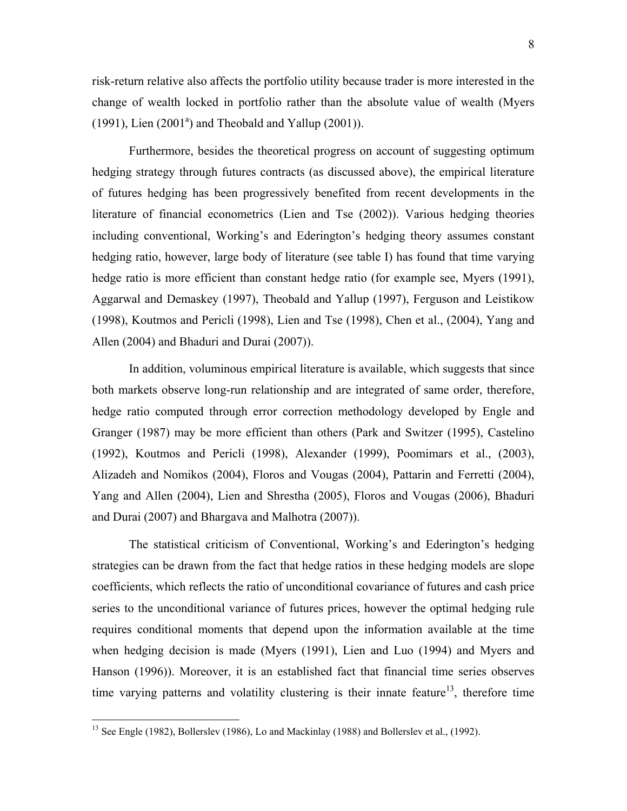risk-return relative also affects the portfolio utility because trader is more interested in the change of wealth locked in portfolio rather than the absolute value of wealth (Myers  $(1991)$ , Lien  $(2001<sup>a</sup>)$  and Theobald and Yallup  $(2001)$ ).

Furthermore, besides the theoretical progress on account of suggesting optimum hedging strategy through futures contracts (as discussed above), the empirical literature of futures hedging has been progressively benefited from recent developments in the literature of financial econometrics (Lien and Tse (2002)). Various hedging theories including conventional, Working's and Ederington's hedging theory assumes constant hedging ratio, however, large body of literature (see table I) has found that time varying hedge ratio is more efficient than constant hedge ratio (for example see, Myers (1991), Aggarwal and Demaskey (1997), Theobald and Yallup (1997), Ferguson and Leistikow (1998), Koutmos and Pericli (1998), Lien and Tse (1998), Chen et al., (2004), Yang and Allen (2004) and Bhaduri and Durai (2007)).

In addition, voluminous empirical literature is available, which suggests that since both markets observe long-run relationship and are integrated of same order, therefore, hedge ratio computed through error correction methodology developed by Engle and Granger (1987) may be more efficient than others (Park and Switzer (1995), Castelino (1992), Koutmos and Pericli (1998), Alexander (1999), Poomimars et al., (2003), Alizadeh and Nomikos (2004), Floros and Vougas (2004), Pattarin and Ferretti (2004), Yang and Allen (2004), Lien and Shrestha (2005), Floros and Vougas (2006), Bhaduri and Durai (2007) and Bhargava and Malhotra (2007)).

The statistical criticism of Conventional, Working's and Ederington's hedging strategies can be drawn from the fact that hedge ratios in these hedging models are slope coefficients, which reflects the ratio of unconditional covariance of futures and cash price series to the unconditional variance of futures prices, however the optimal hedging rule requires conditional moments that depend upon the information available at the time when hedging decision is made (Myers (1991), Lien and Luo (1994) and Myers and Hanson (1996)). Moreover, it is an established fact that financial time series observes time varying patterns and volatility clustering is their innate feature<sup>13</sup>, therefore time

<sup>&</sup>lt;sup>13</sup> See Engle (1982), Bollerslev (1986), Lo and Mackinlay (1988) and Bollerslev et al., (1992).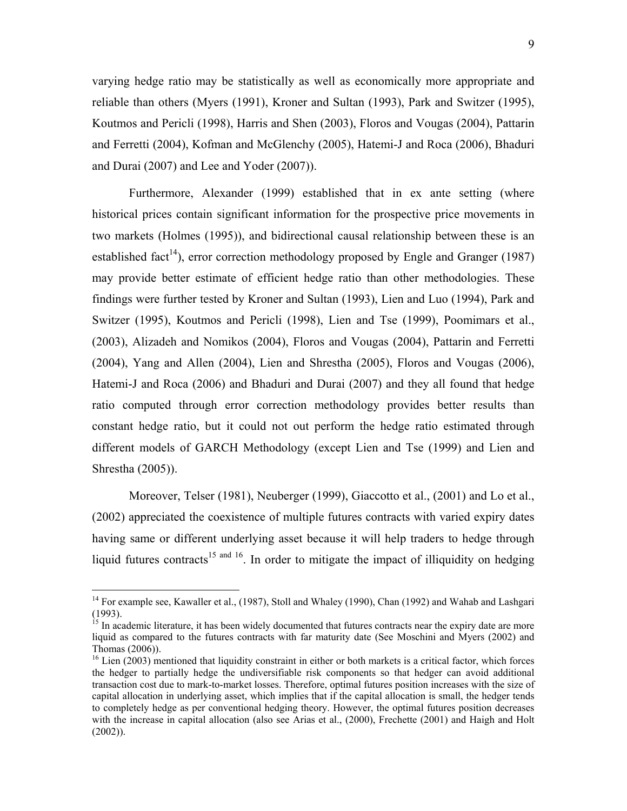varying hedge ratio may be statistically as well as economically more appropriate and reliable than others (Myers (1991), Kroner and Sultan (1993), Park and Switzer (1995), Koutmos and Pericli (1998), Harris and Shen (2003), Floros and Vougas (2004), Pattarin and Ferretti (2004), Kofman and McGlenchy (2005), Hatemi-J and Roca (2006), Bhaduri and Durai (2007) and Lee and Yoder (2007)).

Furthermore, Alexander (1999) established that in ex ante setting (where historical prices contain significant information for the prospective price movements in two markets (Holmes (1995)), and bidirectional causal relationship between these is an established fact<sup>14</sup>), error correction methodology proposed by Engle and Granger (1987) may provide better estimate of efficient hedge ratio than other methodologies. These findings were further tested by Kroner and Sultan (1993), Lien and Luo (1994), Park and Switzer (1995), Koutmos and Pericli (1998), Lien and Tse (1999), Poomimars et al., (2003), Alizadeh and Nomikos (2004), Floros and Vougas (2004), Pattarin and Ferretti (2004), Yang and Allen (2004), Lien and Shrestha (2005), Floros and Vougas (2006), Hatemi-J and Roca (2006) and Bhaduri and Durai (2007) and they all found that hedge ratio computed through error correction methodology provides better results than constant hedge ratio, but it could not out perform the hedge ratio estimated through different models of GARCH Methodology (except Lien and Tse (1999) and Lien and Shrestha (2005)).

Moreover, Telser (1981), Neuberger (1999), Giaccotto et al., (2001) and Lo et al., (2002) appreciated the coexistence of multiple futures contracts with varied expiry dates having same or different underlying asset because it will help traders to hedge through liquid futures contracts<sup>15 and 16</sup>. In order to mitigate the impact of illiquidity on hedging

<sup>&</sup>lt;sup>14</sup> For example see, Kawaller et al., (1987), Stoll and Whaley (1990), Chan (1992) and Wahab and Lashgari (1993).

<sup>&</sup>lt;sup>15</sup> In academic literature, it has been widely documented that futures contracts near the expiry date are more liquid as compared to the futures contracts with far maturity date (See Moschini and Myers (2002) and Thomas (2006)).

 $16$  Lien (2003) mentioned that liquidity constraint in either or both markets is a critical factor, which forces the hedger to partially hedge the undiversifiable risk components so that hedger can avoid additional transaction cost due to mark-to-market losses. Therefore, optimal futures position increases with the size of capital allocation in underlying asset, which implies that if the capital allocation is small, the hedger tends to completely hedge as per conventional hedging theory. However, the optimal futures position decreases with the increase in capital allocation (also see Arias et al., (2000), Frechette (2001) and Haigh and Holt (2002)).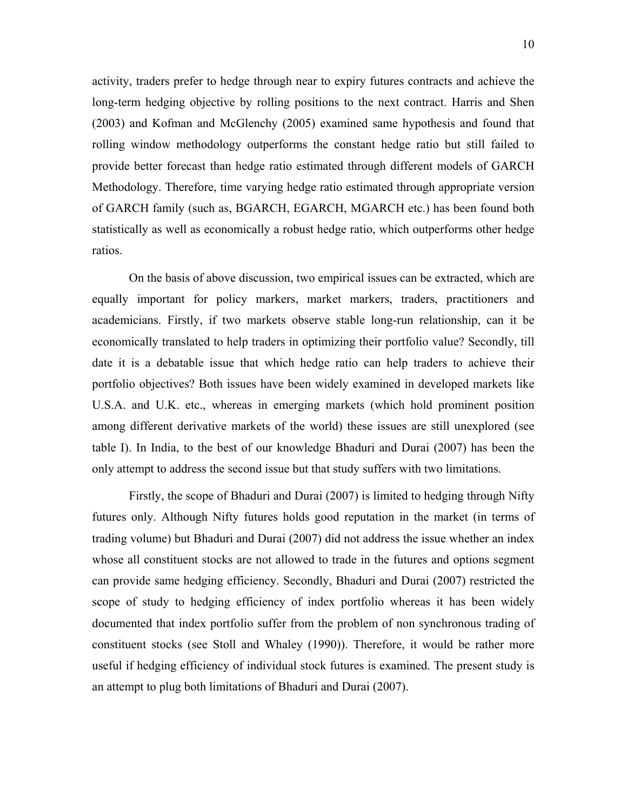activity, traders prefer to hedge through near to expiry futures contracts and achieve the long-term hedging objective by rolling positions to the next contract. Harris and Shen (2003) and Kofman and McGlenchy (2005) examined same hypothesis and found that rolling window methodology outperforms the constant hedge ratio but still failed to provide better forecast than hedge ratio estimated through different models of GARCH Methodology. Therefore, time varying hedge ratio estimated through appropriate version of GARCH family (such as, BGARCH, EGARCH, MGARCH etc.) has been found both statistically as well as economically a robust hedge ratio, which outperforms other hedge ratios.

On the basis of above discussion, two empirical issues can be extracted, which are equally important for policy markers, market markers, traders, practitioners and academicians. Firstly, if two markets observe stable long-run relationship, can it be economically translated to help traders in optimizing their portfolio value? Secondly, till date it is a debatable issue that which hedge ratio can help traders to achieve their portfolio objectives? Both issues have been widely examined in developed markets like U.S.A. and U.K. etc., whereas in emerging markets (which hold prominent position among different derivative markets of the world) these issues are still unexplored (see table I). In India, to the best of our knowledge Bhaduri and Durai (2007) has been the only attempt to address the second issue but that study suffers with two limitations.

Firstly, the scope of Bhaduri and Durai (2007) is limited to hedging through Nifty futures only. Although Nifty futures holds good reputation in the market (in terms of trading volume) but Bhaduri and Durai (2007) did not address the issue whether an index whose all constituent stocks are not allowed to trade in the futures and options segment can provide same hedging efficiency. Secondly, Bhaduri and Durai (2007) restricted the scope of study to hedging efficiency of index portfolio whereas it has been widely documented that index portfolio suffer from the problem of non synchronous trading of constituent stocks (see Stoll and Whaley (1990)). Therefore, it would be rather more useful if hedging efficiency of individual stock futures is examined. The present study is an attempt to plug both limitations of Bhaduri and Durai (2007).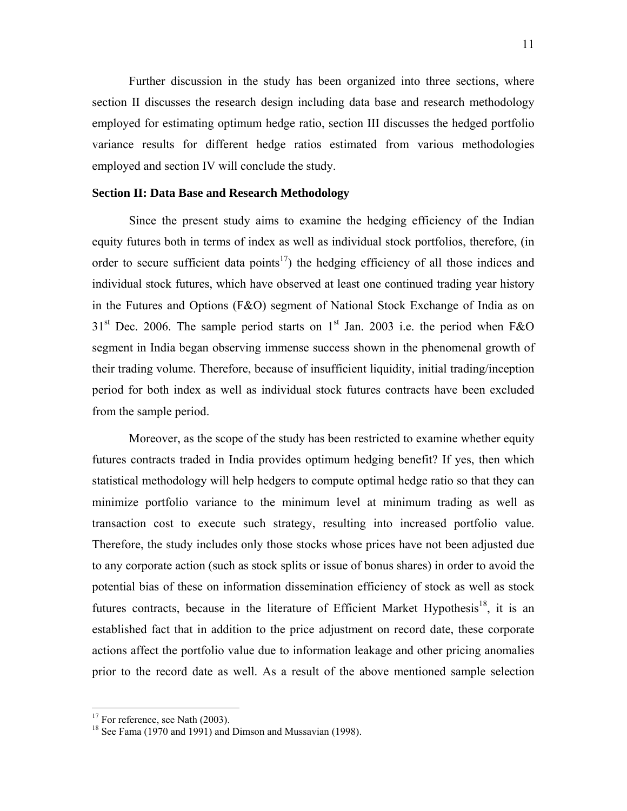Further discussion in the study has been organized into three sections, where section II discusses the research design including data base and research methodology employed for estimating optimum hedge ratio, section III discusses the hedged portfolio variance results for different hedge ratios estimated from various methodologies employed and section IV will conclude the study.

#### **Section II: Data Base and Research Methodology**

Since the present study aims to examine the hedging efficiency of the Indian equity futures both in terms of index as well as individual stock portfolios, therefore, (in order to secure sufficient data points<sup>17</sup>) the hedging efficiency of all those indices and individual stock futures, which have observed at least one continued trading year history in the Futures and Options (F&O) segment of National Stock Exchange of India as on  $31<sup>st</sup>$  Dec. 2006. The sample period starts on  $1<sup>st</sup>$  Jan. 2003 i.e. the period when F&O segment in India began observing immense success shown in the phenomenal growth of their trading volume. Therefore, because of insufficient liquidity, initial trading/inception period for both index as well as individual stock futures contracts have been excluded from the sample period.

Moreover, as the scope of the study has been restricted to examine whether equity futures contracts traded in India provides optimum hedging benefit? If yes, then which statistical methodology will help hedgers to compute optimal hedge ratio so that they can minimize portfolio variance to the minimum level at minimum trading as well as transaction cost to execute such strategy, resulting into increased portfolio value. Therefore, the study includes only those stocks whose prices have not been adjusted due to any corporate action (such as stock splits or issue of bonus shares) in order to avoid the potential bias of these on information dissemination efficiency of stock as well as stock futures contracts, because in the literature of Efficient Market Hypothesis<sup>18</sup>, it is an established fact that in addition to the price adjustment on record date, these corporate actions affect the portfolio value due to information leakage and other pricing anomalies prior to the record date as well. As a result of the above mentioned sample selection

 $17$  For reference, see Nath (2003).

 $18$  See Fama (1970 and 1991) and Dimson and Mussavian (1998).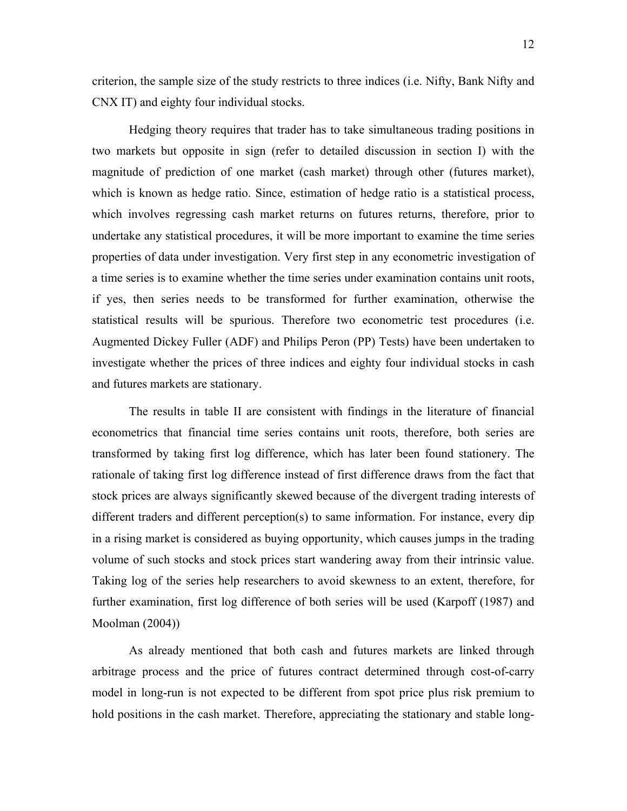criterion, the sample size of the study restricts to three indices (i.e. Nifty, Bank Nifty and CNX IT) and eighty four individual stocks.

Hedging theory requires that trader has to take simultaneous trading positions in two markets but opposite in sign (refer to detailed discussion in section I) with the magnitude of prediction of one market (cash market) through other (futures market), which is known as hedge ratio. Since, estimation of hedge ratio is a statistical process, which involves regressing cash market returns on futures returns, therefore, prior to undertake any statistical procedures, it will be more important to examine the time series properties of data under investigation. Very first step in any econometric investigation of a time series is to examine whether the time series under examination contains unit roots, if yes, then series needs to be transformed for further examination, otherwise the statistical results will be spurious. Therefore two econometric test procedures (i.e. Augmented Dickey Fuller (ADF) and Philips Peron (PP) Tests) have been undertaken to investigate whether the prices of three indices and eighty four individual stocks in cash and futures markets are stationary.

The results in table II are consistent with findings in the literature of financial econometrics that financial time series contains unit roots, therefore, both series are transformed by taking first log difference, which has later been found stationery. The rationale of taking first log difference instead of first difference draws from the fact that stock prices are always significantly skewed because of the divergent trading interests of different traders and different perception(s) to same information. For instance, every dip in a rising market is considered as buying opportunity, which causes jumps in the trading volume of such stocks and stock prices start wandering away from their intrinsic value. Taking log of the series help researchers to avoid skewness to an extent, therefore, for further examination, first log difference of both series will be used (Karpoff (1987) and Moolman (2004))

As already mentioned that both cash and futures markets are linked through arbitrage process and the price of futures contract determined through cost-of-carry model in long-run is not expected to be different from spot price plus risk premium to hold positions in the cash market. Therefore, appreciating the stationary and stable long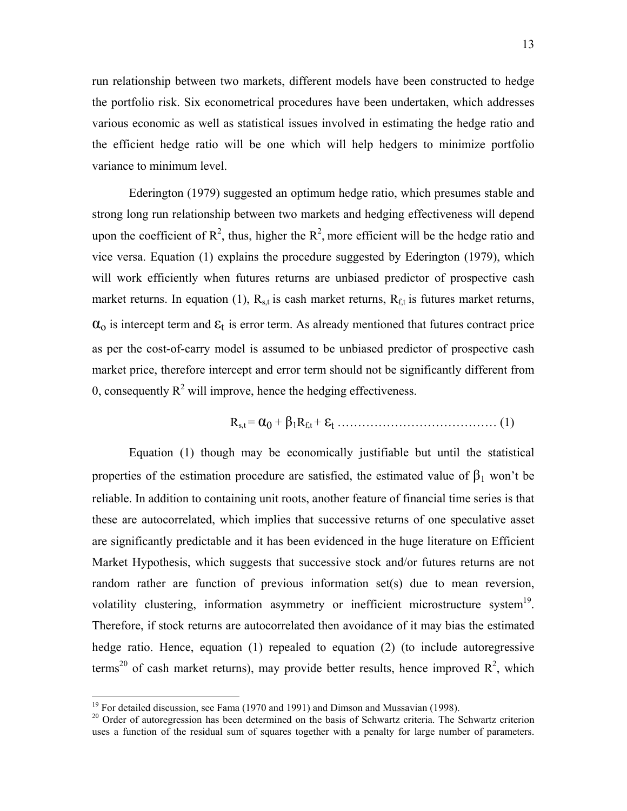run relationship between two markets, different models have been constructed to hedge the portfolio risk. Six econometrical procedures have been undertaken, which addresses various economic as well as statistical issues involved in estimating the hedge ratio and the efficient hedge ratio will be one which will help hedgers to minimize portfolio variance to minimum level.

Ederington (1979) suggested an optimum hedge ratio, which presumes stable and strong long run relationship between two markets and hedging effectiveness will depend upon the coefficient of  $\mathbb{R}^2$ , thus, higher the  $\mathbb{R}^2$ , more efficient will be the hedge ratio and vice versa. Equation (1) explains the procedure suggested by Ederington (1979), which will work efficiently when futures returns are unbiased predictor of prospective cash market returns. In equation (1),  $R_{s,t}$  is cash market returns,  $R_{f,t}$  is futures market returns,  $\alpha_0$  is intercept term and  $\epsilon_t$  is error term. As already mentioned that futures contract price as per the cost-of-carry model is assumed to be unbiased predictor of prospective cash market price, therefore intercept and error term should not be significantly different from 0, consequently  $R^2$  will improve, hence the hedging effectiveness.

$$
R_{s,t} = \alpha_0 + \beta_1 R_{f,t} + \varepsilon_t \dots \dots \dots \dots \dots \dots \dots \dots \dots \dots \dots \dots \tag{1}
$$

Equation (1) though may be economically justifiable but until the statistical properties of the estimation procedure are satisfied, the estimated value of  $\beta_1$  won't be reliable. In addition to containing unit roots, another feature of financial time series is that these are autocorrelated, which implies that successive returns of one speculative asset are significantly predictable and it has been evidenced in the huge literature on Efficient Market Hypothesis, which suggests that successive stock and/or futures returns are not random rather are function of previous information set(s) due to mean reversion, volatility clustering, information asymmetry or inefficient microstructure system<sup>19</sup>. Therefore, if stock returns are autocorrelated then avoidance of it may bias the estimated hedge ratio. Hence, equation (1) repealed to equation (2) (to include autoregressive terms<sup>20</sup> of cash market returns), may provide better results, hence improved  $R^2$ , which

 $19$  For detailed discussion, see Fama (1970 and 1991) and Dimson and Mussavian (1998).

 $^{20}$  Order of autoregression has been determined on the basis of Schwartz criteria. The Schwartz criterion uses a function of the residual sum of squares together with a penalty for large number of parameters.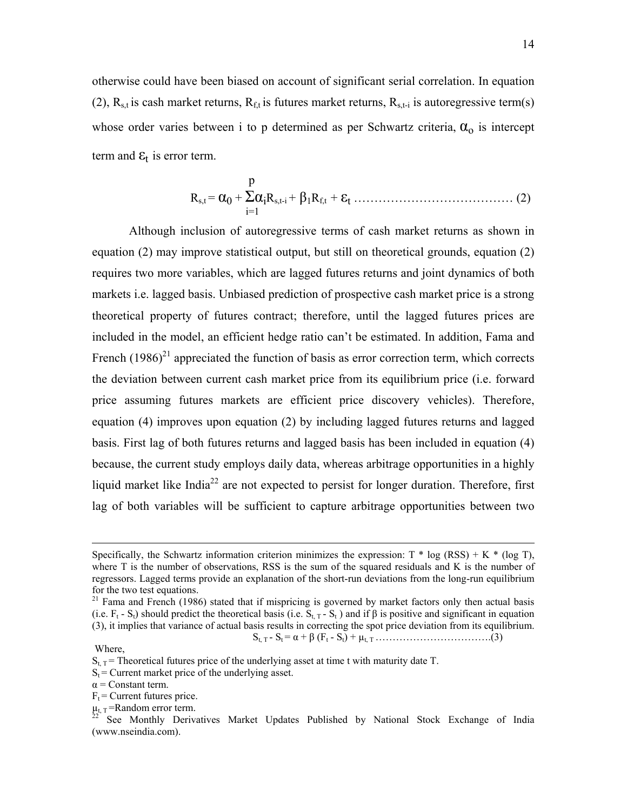otherwise could have been biased on account of significant serial correlation. In equation (2),  $R_{s,t}$  is cash market returns,  $R_{ft}$  is futures market returns,  $R_{s,t-i}$  is autoregressive term(s) whose order varies between i to p determined as per Schwartz criteria,  $\alpha_0$  is intercept term and  $\epsilon_t$  is error term.

$$
R_{s,t} = \alpha_0 + \sum_{i=1}^{p} \alpha_i R_{s,t-i} + \beta_1 R_{f,t} + \epsilon_t \dots \dots \dots \dots \dots \dots \dots \dots \dots \dots \dots \dots \tag{2}
$$

Although inclusion of autoregressive terms of cash market returns as shown in equation (2) may improve statistical output, but still on theoretical grounds, equation (2) requires two more variables, which are lagged futures returns and joint dynamics of both markets i.e. lagged basis. Unbiased prediction of prospective cash market price is a strong theoretical property of futures contract; therefore, until the lagged futures prices are included in the model, an efficient hedge ratio can't be estimated. In addition, Fama and French  $(1986)^{21}$  appreciated the function of basis as error correction term, which corrects the deviation between current cash market price from its equilibrium price (i.e. forward price assuming futures markets are efficient price discovery vehicles). Therefore, equation (4) improves upon equation (2) by including lagged futures returns and lagged basis. First lag of both futures returns and lagged basis has been included in equation (4) because, the current study employs daily data, whereas arbitrage opportunities in a highly liquid market like India<sup>22</sup> are not expected to persist for longer duration. Therefore, first lag of both variables will be sufficient to capture arbitrage opportunities between two

Where,

Specifically, the Schwartz information criterion minimizes the expression:  $T * log (RSS) + K * (log T)$ , where T is the number of observations, RSS is the sum of the squared residuals and K is the number of regressors. Lagged terms provide an explanation of the short-run deviations from the long-run equilibrium for the two test equations.

 $21$  Fama and French (1986) stated that if mispricing is governed by market factors only then actual basis (i.e.  $F_t - S_t$ ) should predict the theoretical basis (i.e.  $S_{t,T} - S_t$ ) and if  $\beta$  is positive and significant in equation (3), it implies that variance of actual basis results in correcting the spot price deviation from its equilibrium. St, T - St = α + β (Ft - St) + µt, T …………………………….(3)

 $S_{t,T}$  = Theoretical futures price of the underlying asset at time t with maturity date T.

 $S_t$  = Current market price of the underlying asset.

 $\alpha$  = Constant term.

 $F_t =$  Current futures price.<br>  $\mu_{t, T} =$ Random error term.

See Monthly Derivatives Market Updates Published by National Stock Exchange of India (www.nseindia.com).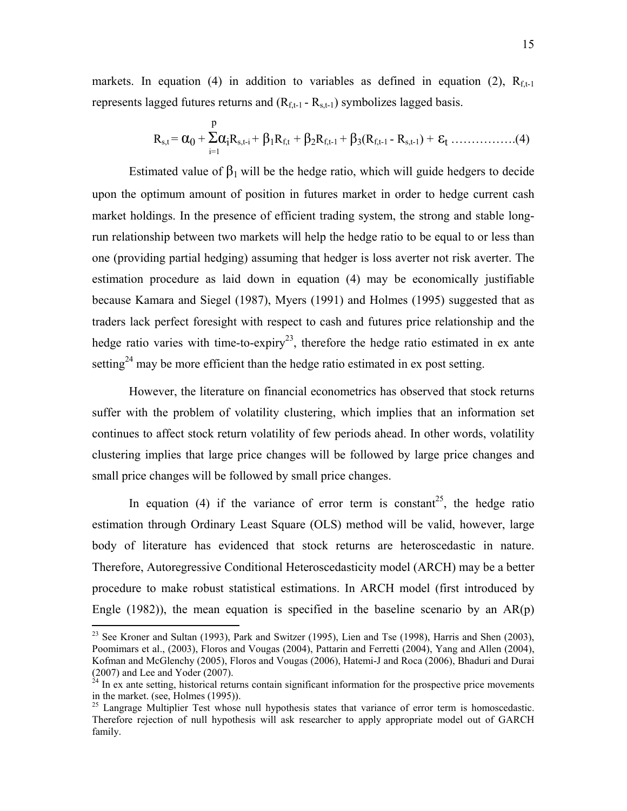markets. In equation (4) in addition to variables as defined in equation (2),  $R_{f-1}$ represents lagged futures returns and  $(R<sub>f,t-1</sub> - R<sub>s,t-1</sub>)$  symbolizes lagged basis.

 p Rs,t = α0 + ΣαiRs,t-i + <sup>β</sup>1Rf,t + β2Rf,t-1 + β3(Rf,t-1 - Rs,t-1) + <sup>ε</sup>t …………….(4) i=1

Estimated value of  $\beta_1$  will be the hedge ratio, which will guide hedgers to decide upon the optimum amount of position in futures market in order to hedge current cash market holdings. In the presence of efficient trading system, the strong and stable longrun relationship between two markets will help the hedge ratio to be equal to or less than one (providing partial hedging) assuming that hedger is loss averter not risk averter. The estimation procedure as laid down in equation (4) may be economically justifiable because Kamara and Siegel (1987), Myers (1991) and Holmes (1995) suggested that as traders lack perfect foresight with respect to cash and futures price relationship and the hedge ratio varies with time-to-expiry<sup>23</sup>, therefore the hedge ratio estimated in ex ante setting<sup>24</sup> may be more efficient than the hedge ratio estimated in ex post setting.

However, the literature on financial econometrics has observed that stock returns suffer with the problem of volatility clustering, which implies that an information set continues to affect stock return volatility of few periods ahead. In other words, volatility clustering implies that large price changes will be followed by large price changes and small price changes will be followed by small price changes.

In equation (4) if the variance of error term is constant<sup>25</sup>, the hedge ratio estimation through Ordinary Least Square (OLS) method will be valid, however, large body of literature has evidenced that stock returns are heteroscedastic in nature. Therefore, Autoregressive Conditional Heteroscedasticity model (ARCH) may be a better procedure to make robust statistical estimations. In ARCH model (first introduced by Engle  $(1982)$ ), the mean equation is specified in the baseline scenario by an  $AR(p)$ 

1

<sup>&</sup>lt;sup>23</sup> See Kroner and Sultan (1993), Park and Switzer (1995), Lien and Tse (1998), Harris and Shen (2003), Poomimars et al., (2003), Floros and Vougas (2004), Pattarin and Ferretti (2004), Yang and Allen (2004), Kofman and McGlenchy (2005), Floros and Vougas (2006), Hatemi-J and Roca (2006), Bhaduri and Durai (2007) and Lee and Yoder (2007).

 $^{24}$  In ex ante setting, historical returns contain significant information for the prospective price movements in the market. (see, Holmes (1995)).

<sup>&</sup>lt;sup>25</sup> Langrage Multiplier Test whose null hypothesis states that variance of error term is homoscedastic. Therefore rejection of null hypothesis will ask researcher to apply appropriate model out of GARCH family.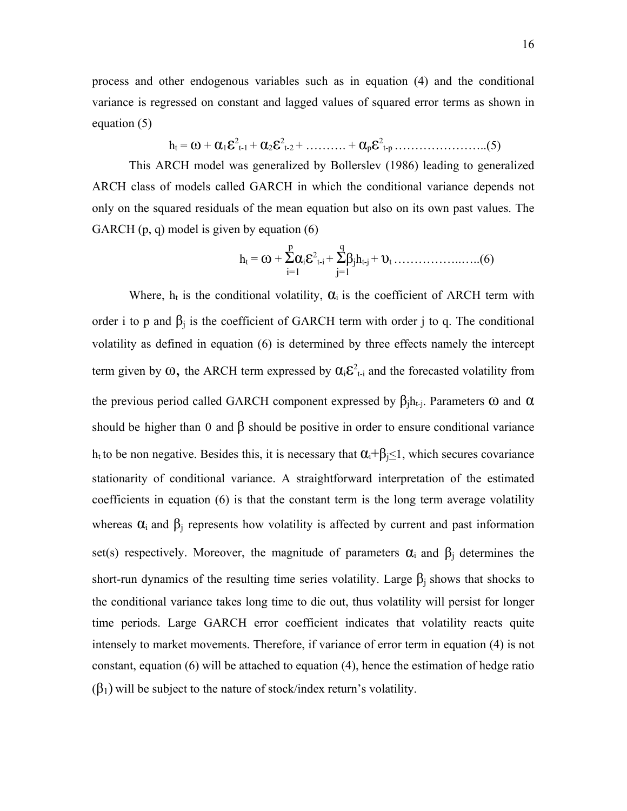process and other endogenous variables such as in equation (4) and the conditional variance is regressed on constant and lagged values of squared error terms as shown in equation (5)

$$
h_{t} = \omega + \alpha_{1} \varepsilon^{2}_{t-1} + \alpha_{2} \varepsilon^{2}_{t-2} + \ldots + \alpha_{p} \varepsilon^{2}_{t-p} \ldots \ldots \ldots \ldots \ldots \ldots (5)
$$

This ARCH model was generalized by Bollerslev (1986) leading to generalized ARCH class of models called GARCH in which the conditional variance depends not only on the squared residuals of the mean equation but also on its own past values. The GARCH (p, q) model is given by equation (6)

 p q ht = ω + Σαiε<sup>2</sup> t-i + Σβjht-j + υt ……………..…..(6) i=1 j=1

Where,  $h_t$  is the conditional volatility,  $\alpha_i$  is the coefficient of ARCH term with order i to p and  $\beta_i$  is the coefficient of GARCH term with order j to q. The conditional volatility as defined in equation (6) is determined by three effects namely the intercept term given by  $\omega$ , the ARCH term expressed by  $\alpha_i \varepsilon^2_{t-i}$  and the forecasted volatility from the previous period called GARCH component expressed by  $\beta_i h_{t-i}$ . Parameters  $\omega$  and  $\alpha$ should be higher than 0 and  $\beta$  should be positive in order to ensure conditional variance h<sub>t</sub> to be non negative. Besides this, it is necessary that  $\alpha_i + \beta_i \leq 1$ , which secures covariance stationarity of conditional variance. A straightforward interpretation of the estimated coefficients in equation (6) is that the constant term is the long term average volatility whereas  $\alpha_i$  and  $\beta_i$  represents how volatility is affected by current and past information set(s) respectively. Moreover, the magnitude of parameters  $\alpha_i$  and  $\beta_i$  determines the short-run dynamics of the resulting time series volatility. Large  $\beta_i$  shows that shocks to the conditional variance takes long time to die out, thus volatility will persist for longer time periods. Large GARCH error coefficient indicates that volatility reacts quite intensely to market movements. Therefore, if variance of error term in equation (4) is not constant, equation (6) will be attached to equation (4), hence the estimation of hedge ratio  $(\beta_1)$  will be subject to the nature of stock/index return's volatility.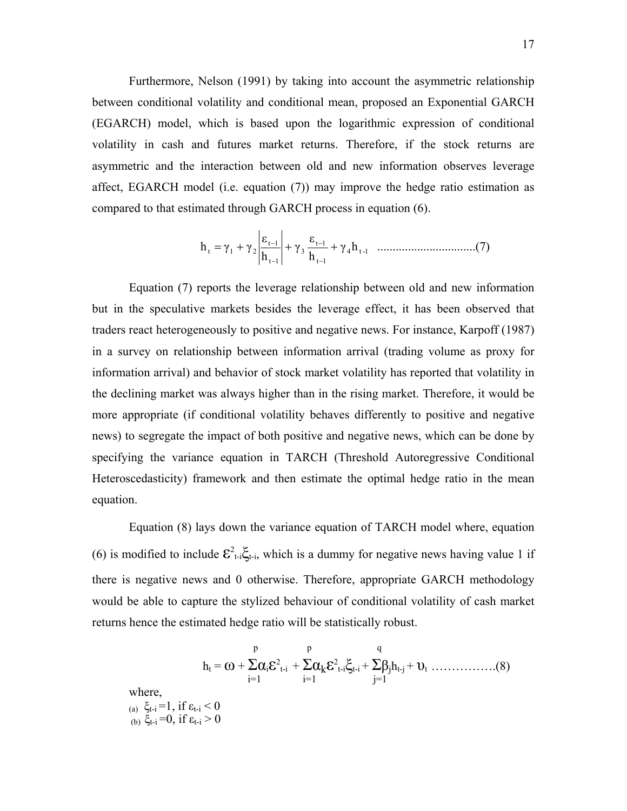Furthermore, Nelson (1991) by taking into account the asymmetric relationship between conditional volatility and conditional mean, proposed an Exponential GARCH (EGARCH) model, which is based upon the logarithmic expression of conditional volatility in cash and futures market returns. Therefore, if the stock returns are asymmetric and the interaction between old and new information observes leverage affect, EGARCH model (i.e. equation (7)) may improve the hedge ratio estimation as compared to that estimated through GARCH process in equation (6).

 <sup>γ</sup> h ................................(7) <sup>h</sup> ε <sup>γ</sup> <sup>h</sup> <sup>ε</sup> <sup>h</sup> <sup>γ</sup> <sup>γ</sup> <sup>4</sup> t -1 t 1 t 1 3 t 1 t 1 <sup>t</sup> = <sup>1</sup> + <sup>2</sup> + + − − − −

Equation (7) reports the leverage relationship between old and new information but in the speculative markets besides the leverage effect, it has been observed that traders react heterogeneously to positive and negative news. For instance, Karpoff (1987) in a survey on relationship between information arrival (trading volume as proxy for information arrival) and behavior of stock market volatility has reported that volatility in the declining market was always higher than in the rising market. Therefore, it would be more appropriate (if conditional volatility behaves differently to positive and negative news) to segregate the impact of both positive and negative news, which can be done by specifying the variance equation in TARCH (Threshold Autoregressive Conditional Heteroscedasticity) framework and then estimate the optimal hedge ratio in the mean equation.

Equation (8) lays down the variance equation of TARCH model where, equation (6) is modified to include  $\mathcal{E}^2_{t-i} \xi_{t-i}$ , which is a dummy for negative news having value 1 if there is negative news and 0 otherwise. Therefore, appropriate GARCH methodology would be able to capture the stylized behaviour of conditional volatility of cash market returns hence the estimated hedge ratio will be statistically robust.

$$
h_{t} = \omega + \sum_{i=1}^{p} \alpha_{i} \varepsilon^{2}{}_{t-i} + \sum_{i=1}^{p} \alpha_{k} \varepsilon^{2}{}_{t-i} \xi_{t-i} + \sum_{j=1}^{q} \beta_{j} h_{t-j} + \upsilon_{t} \dots \dots \dots \dots \dots (8)
$$
  
where,  
(a)  $\xi_{t-i} = 1$ , if  $\varepsilon_{t-i} < 0$   
(b)  $\xi_{t-i} = 0$ , if  $\varepsilon_{t-i} > 0$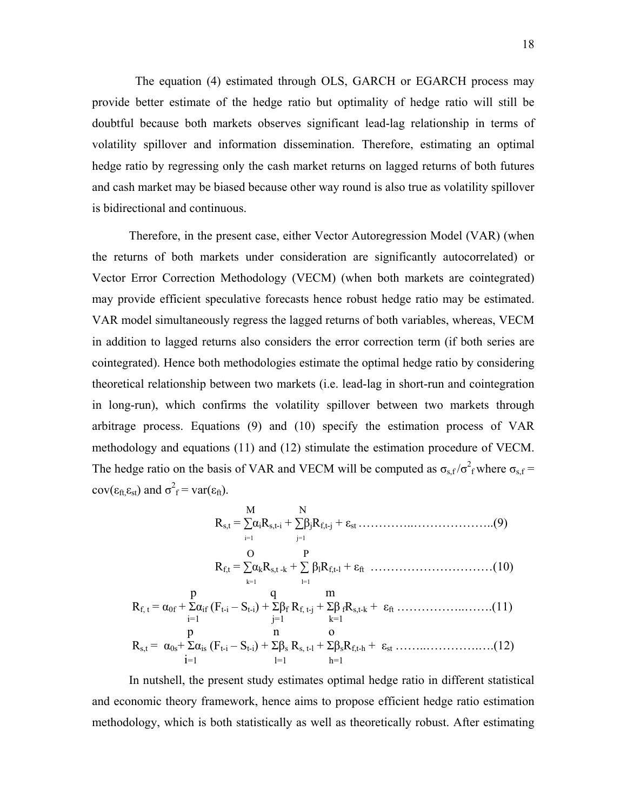The equation (4) estimated through OLS, GARCH or EGARCH process may provide better estimate of the hedge ratio but optimality of hedge ratio will still be doubtful because both markets observes significant lead-lag relationship in terms of volatility spillover and information dissemination. Therefore, estimating an optimal hedge ratio by regressing only the cash market returns on lagged returns of both futures and cash market may be biased because other way round is also true as volatility spillover is bidirectional and continuous.

Therefore, in the present case, either Vector Autoregression Model (VAR) (when the returns of both markets under consideration are significantly autocorrelated) or Vector Error Correction Methodology (VECM) (when both markets are cointegrated) may provide efficient speculative forecasts hence robust hedge ratio may be estimated. VAR model simultaneously regress the lagged returns of both variables, whereas, VECM in addition to lagged returns also considers the error correction term (if both series are cointegrated). Hence both methodologies estimate the optimal hedge ratio by considering theoretical relationship between two markets (i.e. lead-lag in short-run and cointegration in long-run), which confirms the volatility spillover between two markets through arbitrage process. Equations (9) and (10) specify the estimation process of VAR methodology and equations (11) and (12) stimulate the estimation procedure of VECM. The hedge ratio on the basis of VAR and VECM will be computed as  $\sigma_{s,f}/\sigma_f^2$  where  $\sigma_{s,f}$  =  $cov(\varepsilon_{\text{ft},\varepsilon_{\text{st}}})$  and  $\sigma^2_f = var(\varepsilon_{\text{ft}})$ .

$$
R_{s,t} = \sum_{i=1}^{M} \alpha_i R_{s,t-i} + \sum_{j=1}^{N} \beta_j R_{f,t-j} + \epsilon_{st} \dots \dots \dots \dots (9)
$$
  
\n
$$
R_{f,t} = \sum_{k=1}^{O} \alpha_k R_{s,t-k} + \sum_{l=1}^{P} \beta_l R_{f,t-l} + \epsilon_{ft} \dots \dots \dots \dots \dots (10)
$$
  
\n
$$
R_{f,t} = \alpha_{0f} + \sum_{i=1}^{P} \alpha_{if} (F_{t-i} - S_{t-i}) + \sum_{j=1}^{Q} \beta_f R_{f,t-j} + \sum_{k=1}^{P} \beta_f R_{s,t-k} + \epsilon_{ft} \dots \dots \dots \dots (11)
$$
  
\n
$$
R_{s,t} = \alpha_{0s} + \sum_{i=1}^{P} \alpha_{is} (F_{t-i} - S_{t-i}) + \sum_{l=1}^{P} \beta_s R_{s,t-l} + \sum_{l=1}^{P} \beta_s R_{f,t-h} + \epsilon_{st} \dots \dots \dots \dots (12)
$$

In nutshell, the present study estimates optimal hedge ratio in different statistical and economic theory framework, hence aims to propose efficient hedge ratio estimation methodology, which is both statistically as well as theoretically robust. After estimating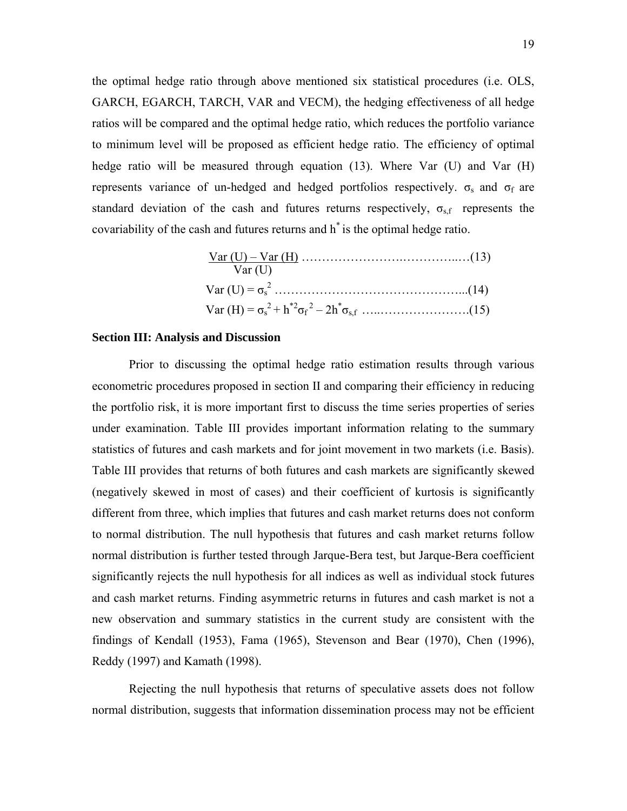the optimal hedge ratio through above mentioned six statistical procedures (i.e. OLS, GARCH, EGARCH, TARCH, VAR and VECM), the hedging effectiveness of all hedge ratios will be compared and the optimal hedge ratio, which reduces the portfolio variance to minimum level will be proposed as efficient hedge ratio. The efficiency of optimal hedge ratio will be measured through equation (13). Where Var (U) and Var (H) represents variance of un-hedged and hedged portfolios respectively.  $\sigma_s$  and  $\sigma_f$  are standard deviation of the cash and futures returns respectively,  $\sigma_{\rm sf}$  represents the covariability of the cash and futures returns and h\* is the optimal hedge ratio.

| Var(U) |  |
|--------|--|
|        |  |
|        |  |

#### **Section III: Analysis and Discussion**

Prior to discussing the optimal hedge ratio estimation results through various econometric procedures proposed in section II and comparing their efficiency in reducing the portfolio risk, it is more important first to discuss the time series properties of series under examination. Table III provides important information relating to the summary statistics of futures and cash markets and for joint movement in two markets (i.e. Basis). Table III provides that returns of both futures and cash markets are significantly skewed (negatively skewed in most of cases) and their coefficient of kurtosis is significantly different from three, which implies that futures and cash market returns does not conform to normal distribution. The null hypothesis that futures and cash market returns follow normal distribution is further tested through Jarque-Bera test, but Jarque-Bera coefficient significantly rejects the null hypothesis for all indices as well as individual stock futures and cash market returns. Finding asymmetric returns in futures and cash market is not a new observation and summary statistics in the current study are consistent with the findings of Kendall (1953), Fama (1965), Stevenson and Bear (1970), Chen (1996), Reddy (1997) and Kamath (1998).

Rejecting the null hypothesis that returns of speculative assets does not follow normal distribution, suggests that information dissemination process may not be efficient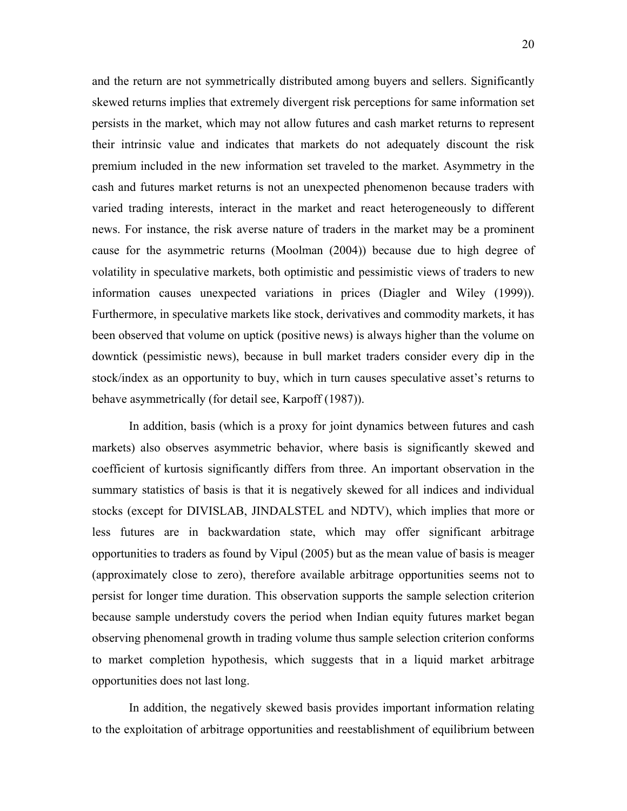and the return are not symmetrically distributed among buyers and sellers. Significantly skewed returns implies that extremely divergent risk perceptions for same information set persists in the market, which may not allow futures and cash market returns to represent their intrinsic value and indicates that markets do not adequately discount the risk premium included in the new information set traveled to the market. Asymmetry in the cash and futures market returns is not an unexpected phenomenon because traders with varied trading interests, interact in the market and react heterogeneously to different news. For instance, the risk averse nature of traders in the market may be a prominent cause for the asymmetric returns (Moolman (2004)) because due to high degree of volatility in speculative markets, both optimistic and pessimistic views of traders to new information causes unexpected variations in prices (Diagler and Wiley (1999)). Furthermore, in speculative markets like stock, derivatives and commodity markets, it has been observed that volume on uptick (positive news) is always higher than the volume on downtick (pessimistic news), because in bull market traders consider every dip in the stock/index as an opportunity to buy, which in turn causes speculative asset's returns to behave asymmetrically (for detail see, Karpoff (1987)).

In addition, basis (which is a proxy for joint dynamics between futures and cash markets) also observes asymmetric behavior, where basis is significantly skewed and coefficient of kurtosis significantly differs from three. An important observation in the summary statistics of basis is that it is negatively skewed for all indices and individual stocks (except for DIVISLAB, JINDALSTEL and NDTV), which implies that more or less futures are in backwardation state, which may offer significant arbitrage opportunities to traders as found by Vipul (2005) but as the mean value of basis is meager (approximately close to zero), therefore available arbitrage opportunities seems not to persist for longer time duration. This observation supports the sample selection criterion because sample understudy covers the period when Indian equity futures market began observing phenomenal growth in trading volume thus sample selection criterion conforms to market completion hypothesis, which suggests that in a liquid market arbitrage opportunities does not last long.

In addition, the negatively skewed basis provides important information relating to the exploitation of arbitrage opportunities and reestablishment of equilibrium between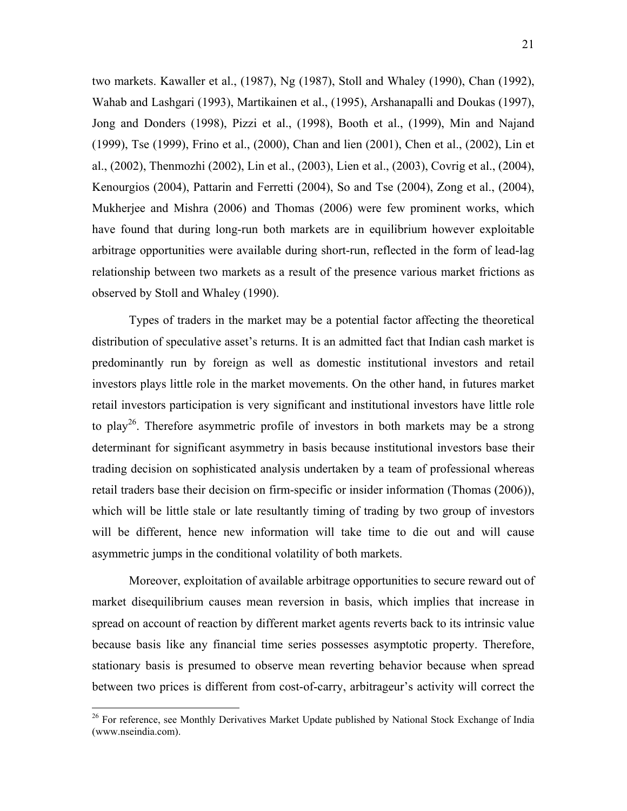two markets. Kawaller et al., (1987), Ng (1987), Stoll and Whaley (1990), Chan (1992), Wahab and Lashgari (1993), Martikainen et al., (1995), Arshanapalli and Doukas (1997), Jong and Donders (1998), Pizzi et al., (1998), Booth et al., (1999), Min and Najand (1999), Tse (1999), Frino et al., (2000), Chan and lien (2001), Chen et al., (2002), Lin et al., (2002), Thenmozhi (2002), Lin et al., (2003), Lien et al., (2003), Covrig et al., (2004), Kenourgios (2004), Pattarin and Ferretti (2004), So and Tse (2004), Zong et al., (2004), Mukherjee and Mishra (2006) and Thomas (2006) were few prominent works, which have found that during long-run both markets are in equilibrium however exploitable arbitrage opportunities were available during short-run, reflected in the form of lead-lag relationship between two markets as a result of the presence various market frictions as observed by Stoll and Whaley (1990).

Types of traders in the market may be a potential factor affecting the theoretical distribution of speculative asset's returns. It is an admitted fact that Indian cash market is predominantly run by foreign as well as domestic institutional investors and retail investors plays little role in the market movements. On the other hand, in futures market retail investors participation is very significant and institutional investors have little role to play<sup>26</sup>. Therefore asymmetric profile of investors in both markets may be a strong determinant for significant asymmetry in basis because institutional investors base their trading decision on sophisticated analysis undertaken by a team of professional whereas retail traders base their decision on firm-specific or insider information (Thomas (2006)), which will be little stale or late resultantly timing of trading by two group of investors will be different, hence new information will take time to die out and will cause asymmetric jumps in the conditional volatility of both markets.

Moreover, exploitation of available arbitrage opportunities to secure reward out of market disequilibrium causes mean reversion in basis, which implies that increase in spread on account of reaction by different market agents reverts back to its intrinsic value because basis like any financial time series possesses asymptotic property. Therefore, stationary basis is presumed to observe mean reverting behavior because when spread between two prices is different from cost-of-carry, arbitrageur's activity will correct the

<sup>&</sup>lt;sup>26</sup> For reference, see Monthly Derivatives Market Update published by National Stock Exchange of India (www.nseindia.com).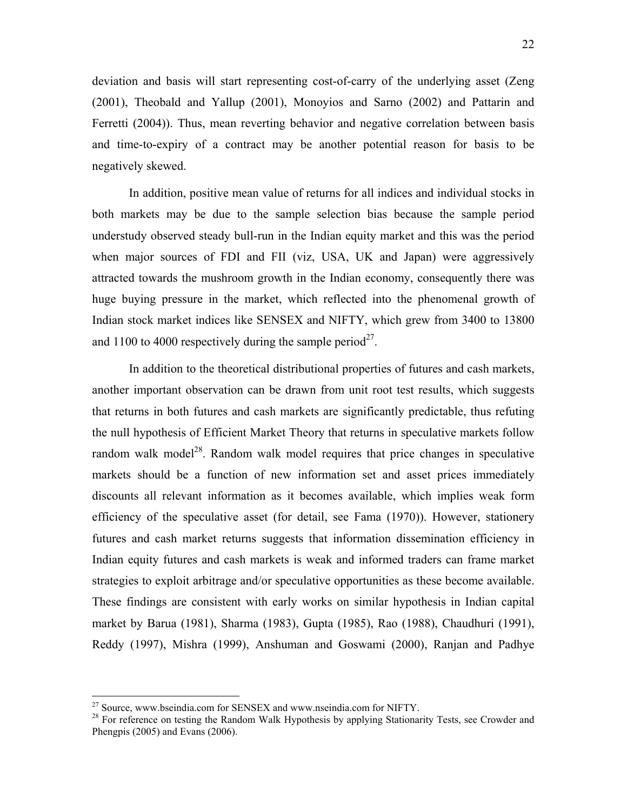22

deviation and basis will start representing cost-of-carry of the underlying asset (Zeng (2001), Theobald and Yallup (2001), Monoyios and Sarno (2002) and Pattarin and Ferretti (2004)). Thus, mean reverting behavior and negative correlation between basis and time-to-expiry of a contract may be another potential reason for basis to be negatively skewed.

In addition, positive mean value of returns for all indices and individual stocks in both markets may be due to the sample selection bias because the sample period understudy observed steady bull-run in the Indian equity market and this was the period when major sources of FDI and FII (viz, USA, UK and Japan) were aggressively attracted towards the mushroom growth in the Indian economy, consequently there was huge buying pressure in the market, which reflected into the phenomenal growth of Indian stock market indices like SENSEX and NIFTY, which grew from 3400 to 13800 and 1100 to 4000 respectively during the sample period<sup>27</sup>.

In addition to the theoretical distributional properties of futures and cash markets, another important observation can be drawn from unit root test results, which suggests that returns in both futures and cash markets are significantly predictable, thus refuting the null hypothesis of Efficient Market Theory that returns in speculative markets follow random walk model<sup>28</sup>. Random walk model requires that price changes in speculative markets should be a function of new information set and asset prices immediately discounts all relevant information as it becomes available, which implies weak form efficiency of the speculative asset (for detail, see Fama (1970)). However, stationery futures and cash market returns suggests that information dissemination efficiency in Indian equity futures and cash markets is weak and informed traders can frame market strategies to exploit arbitrage and/or speculative opportunities as these become available. These findings are consistent with early works on similar hypothesis in Indian capital market by Barua (1981), Sharma (1983), Gupta (1985), Rao (1988), Chaudhuri (1991), Reddy (1997), Mishra (1999), Anshuman and Goswami (2000), Ranjan and Padhye

<sup>&</sup>lt;sup>27</sup> Source, www.bseindia.com for SENSEX and www.nseindia.com for NIFTY.<br><sup>28</sup> For reference on testing the Random Walk Hypothesis by applying Stationarity Tests, see Crowder and Phengpis (2005) and Evans (2006).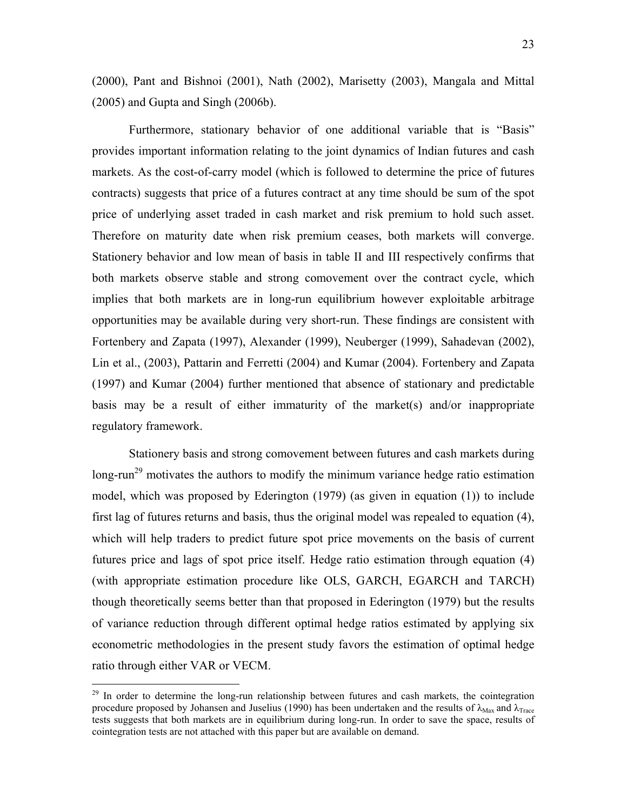(2000), Pant and Bishnoi (2001), Nath (2002), Marisetty (2003), Mangala and Mittal (2005) and Gupta and Singh (2006b).

Furthermore, stationary behavior of one additional variable that is "Basis" provides important information relating to the joint dynamics of Indian futures and cash markets. As the cost-of-carry model (which is followed to determine the price of futures contracts) suggests that price of a futures contract at any time should be sum of the spot price of underlying asset traded in cash market and risk premium to hold such asset. Therefore on maturity date when risk premium ceases, both markets will converge. Stationery behavior and low mean of basis in table II and III respectively confirms that both markets observe stable and strong comovement over the contract cycle, which implies that both markets are in long-run equilibrium however exploitable arbitrage opportunities may be available during very short-run. These findings are consistent with Fortenbery and Zapata (1997), Alexander (1999), Neuberger (1999), Sahadevan (2002), Lin et al., (2003), Pattarin and Ferretti (2004) and Kumar (2004). Fortenbery and Zapata (1997) and Kumar (2004) further mentioned that absence of stationary and predictable basis may be a result of either immaturity of the market(s) and/or inappropriate regulatory framework.

Stationery basis and strong comovement between futures and cash markets during long-run<sup>29</sup> motivates the authors to modify the minimum variance hedge ratio estimation model, which was proposed by Ederington (1979) (as given in equation (1)) to include first lag of futures returns and basis, thus the original model was repealed to equation (4), which will help traders to predict future spot price movements on the basis of current futures price and lags of spot price itself. Hedge ratio estimation through equation (4) (with appropriate estimation procedure like OLS, GARCH, EGARCH and TARCH) though theoretically seems better than that proposed in Ederington (1979) but the results of variance reduction through different optimal hedge ratios estimated by applying six econometric methodologies in the present study favors the estimation of optimal hedge ratio through either VAR or VECM.

 $29$  In order to determine the long-run relationship between futures and cash markets, the cointegration procedure proposed by Johansen and Juselius (1990) has been undertaken and the results of  $\lambda_{\text{Max}}$  and  $\lambda_{\text{Trace}}$ tests suggests that both markets are in equilibrium during long-run. In order to save the space, results of cointegration tests are not attached with this paper but are available on demand.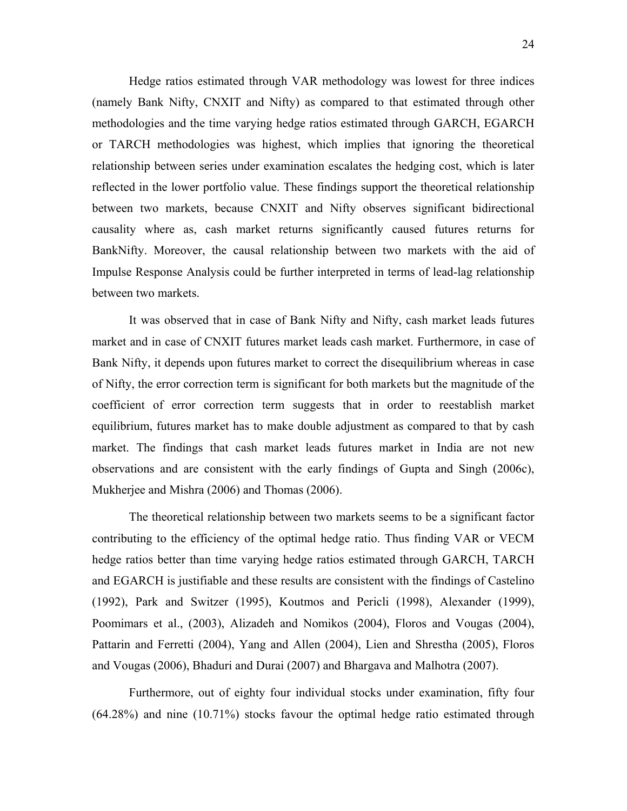Hedge ratios estimated through VAR methodology was lowest for three indices (namely Bank Nifty, CNXIT and Nifty) as compared to that estimated through other methodologies and the time varying hedge ratios estimated through GARCH, EGARCH or TARCH methodologies was highest, which implies that ignoring the theoretical relationship between series under examination escalates the hedging cost, which is later reflected in the lower portfolio value. These findings support the theoretical relationship between two markets, because CNXIT and Nifty observes significant bidirectional causality where as, cash market returns significantly caused futures returns for BankNifty. Moreover, the causal relationship between two markets with the aid of Impulse Response Analysis could be further interpreted in terms of lead-lag relationship between two markets.

It was observed that in case of Bank Nifty and Nifty, cash market leads futures market and in case of CNXIT futures market leads cash market. Furthermore, in case of Bank Nifty, it depends upon futures market to correct the disequilibrium whereas in case of Nifty, the error correction term is significant for both markets but the magnitude of the coefficient of error correction term suggests that in order to reestablish market equilibrium, futures market has to make double adjustment as compared to that by cash market. The findings that cash market leads futures market in India are not new observations and are consistent with the early findings of Gupta and Singh (2006c), Mukherjee and Mishra (2006) and Thomas (2006).

The theoretical relationship between two markets seems to be a significant factor contributing to the efficiency of the optimal hedge ratio. Thus finding VAR or VECM hedge ratios better than time varying hedge ratios estimated through GARCH, TARCH and EGARCH is justifiable and these results are consistent with the findings of Castelino (1992), Park and Switzer (1995), Koutmos and Pericli (1998), Alexander (1999), Poomimars et al., (2003), Alizadeh and Nomikos (2004), Floros and Vougas (2004), Pattarin and Ferretti (2004), Yang and Allen (2004), Lien and Shrestha (2005), Floros and Vougas (2006), Bhaduri and Durai (2007) and Bhargava and Malhotra (2007).

Furthermore, out of eighty four individual stocks under examination, fifty four (64.28%) and nine (10.71%) stocks favour the optimal hedge ratio estimated through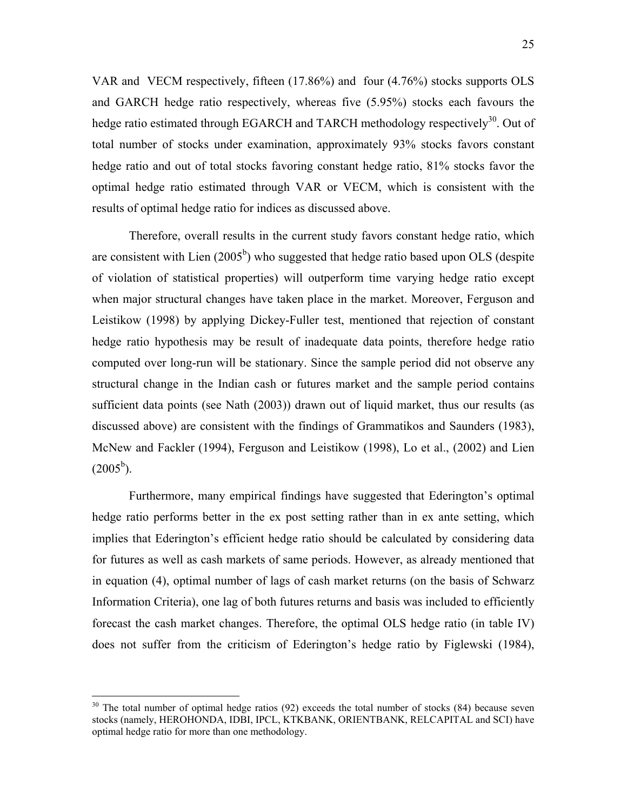VAR and VECM respectively, fifteen (17.86%) and four (4.76%) stocks supports OLS and GARCH hedge ratio respectively, whereas five (5.95%) stocks each favours the hedge ratio estimated through EGARCH and TARCH methodology respectively<sup>30</sup>. Out of total number of stocks under examination, approximately 93% stocks favors constant hedge ratio and out of total stocks favoring constant hedge ratio, 81% stocks favor the optimal hedge ratio estimated through VAR or VECM, which is consistent with the results of optimal hedge ratio for indices as discussed above.

Therefore, overall results in the current study favors constant hedge ratio, which are consistent with Lien  $(2005<sup>b</sup>)$  who suggested that hedge ratio based upon OLS (despite of violation of statistical properties) will outperform time varying hedge ratio except when major structural changes have taken place in the market. Moreover, Ferguson and Leistikow (1998) by applying Dickey-Fuller test, mentioned that rejection of constant hedge ratio hypothesis may be result of inadequate data points, therefore hedge ratio computed over long-run will be stationary. Since the sample period did not observe any structural change in the Indian cash or futures market and the sample period contains sufficient data points (see Nath (2003)) drawn out of liquid market, thus our results (as discussed above) are consistent with the findings of Grammatikos and Saunders (1983), McNew and Fackler (1994), Ferguson and Leistikow (1998), Lo et al., (2002) and Lien  $(2005^{\rm b})$ .

Furthermore, many empirical findings have suggested that Ederington's optimal hedge ratio performs better in the ex post setting rather than in ex ante setting, which implies that Ederington's efficient hedge ratio should be calculated by considering data for futures as well as cash markets of same periods. However, as already mentioned that in equation (4), optimal number of lags of cash market returns (on the basis of Schwarz Information Criteria), one lag of both futures returns and basis was included to efficiently forecast the cash market changes. Therefore, the optimal OLS hedge ratio (in table IV) does not suffer from the criticism of Ederington's hedge ratio by Figlewski (1984),

 $30$  The total number of optimal hedge ratios (92) exceeds the total number of stocks (84) because seven stocks (namely, HEROHONDA, IDBI, IPCL, KTKBANK, ORIENTBANK, RELCAPITAL and SCI) have optimal hedge ratio for more than one methodology.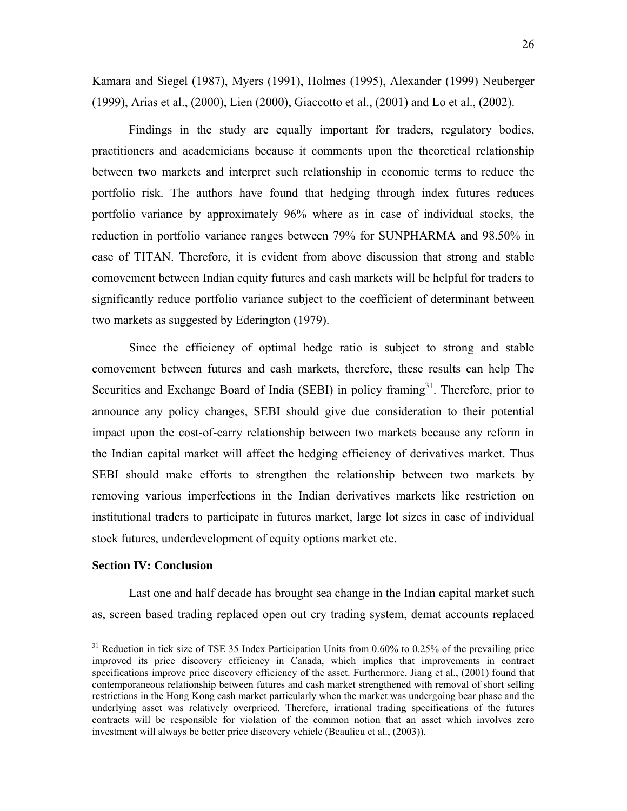Kamara and Siegel (1987), Myers (1991), Holmes (1995), Alexander (1999) Neuberger (1999), Arias et al., (2000), Lien (2000), Giaccotto et al., (2001) and Lo et al., (2002).

Findings in the study are equally important for traders, regulatory bodies, practitioners and academicians because it comments upon the theoretical relationship between two markets and interpret such relationship in economic terms to reduce the portfolio risk. The authors have found that hedging through index futures reduces portfolio variance by approximately 96% where as in case of individual stocks, the reduction in portfolio variance ranges between 79% for SUNPHARMA and 98.50% in case of TITAN. Therefore, it is evident from above discussion that strong and stable comovement between Indian equity futures and cash markets will be helpful for traders to significantly reduce portfolio variance subject to the coefficient of determinant between two markets as suggested by Ederington (1979).

Since the efficiency of optimal hedge ratio is subject to strong and stable comovement between futures and cash markets, therefore, these results can help The Securities and Exchange Board of India (SEBI) in policy framing<sup>31</sup>. Therefore, prior to announce any policy changes, SEBI should give due consideration to their potential impact upon the cost-of-carry relationship between two markets because any reform in the Indian capital market will affect the hedging efficiency of derivatives market. Thus SEBI should make efforts to strengthen the relationship between two markets by removing various imperfections in the Indian derivatives markets like restriction on institutional traders to participate in futures market, large lot sizes in case of individual stock futures, underdevelopment of equity options market etc.

#### **Section IV: Conclusion**

1

Last one and half decade has brought sea change in the Indian capital market such as, screen based trading replaced open out cry trading system, demat accounts replaced

<sup>&</sup>lt;sup>31</sup> Reduction in tick size of TSE 35 Index Participation Units from 0.60% to 0.25% of the prevailing price improved its price discovery efficiency in Canada, which implies that improvements in contract specifications improve price discovery efficiency of the asset. Furthermore, Jiang et al., (2001) found that contemporaneous relationship between futures and cash market strengthened with removal of short selling restrictions in the Hong Kong cash market particularly when the market was undergoing bear phase and the underlying asset was relatively overpriced. Therefore, irrational trading specifications of the futures contracts will be responsible for violation of the common notion that an asset which involves zero investment will always be better price discovery vehicle (Beaulieu et al., (2003)).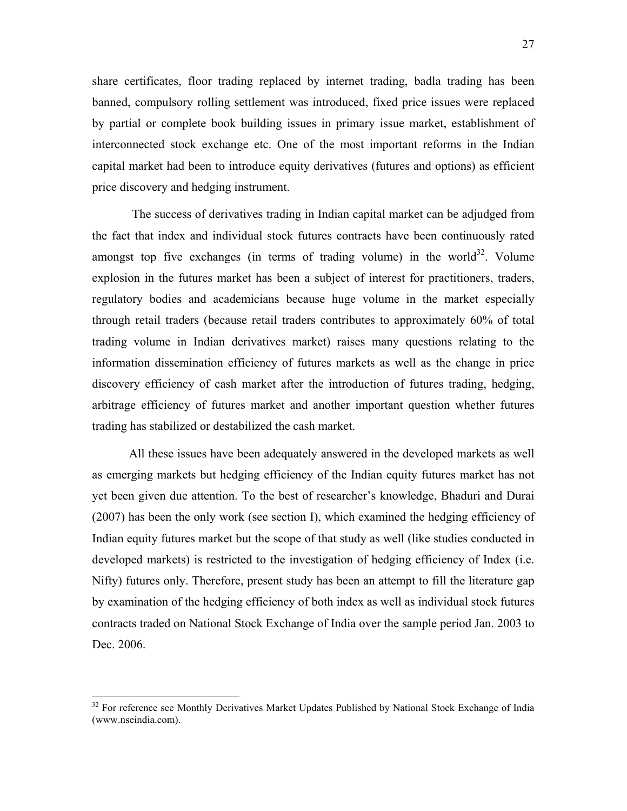share certificates, floor trading replaced by internet trading, badla trading has been banned, compulsory rolling settlement was introduced, fixed price issues were replaced by partial or complete book building issues in primary issue market, establishment of interconnected stock exchange etc. One of the most important reforms in the Indian capital market had been to introduce equity derivatives (futures and options) as efficient price discovery and hedging instrument.

 The success of derivatives trading in Indian capital market can be adjudged from the fact that index and individual stock futures contracts have been continuously rated amongst top five exchanges (in terms of trading volume) in the world $32$ . Volume explosion in the futures market has been a subject of interest for practitioners, traders, regulatory bodies and academicians because huge volume in the market especially through retail traders (because retail traders contributes to approximately 60% of total trading volume in Indian derivatives market) raises many questions relating to the information dissemination efficiency of futures markets as well as the change in price discovery efficiency of cash market after the introduction of futures trading, hedging, arbitrage efficiency of futures market and another important question whether futures trading has stabilized or destabilized the cash market.

All these issues have been adequately answered in the developed markets as well as emerging markets but hedging efficiency of the Indian equity futures market has not yet been given due attention. To the best of researcher's knowledge, Bhaduri and Durai (2007) has been the only work (see section I), which examined the hedging efficiency of Indian equity futures market but the scope of that study as well (like studies conducted in developed markets) is restricted to the investigation of hedging efficiency of Index (i.e. Nifty) futures only. Therefore, present study has been an attempt to fill the literature gap by examination of the hedging efficiency of both index as well as individual stock futures contracts traded on National Stock Exchange of India over the sample period Jan. 2003 to Dec. 2006.

<sup>&</sup>lt;sup>32</sup> For reference see Monthly Derivatives Market Updates Published by National Stock Exchange of India (www.nseindia.com).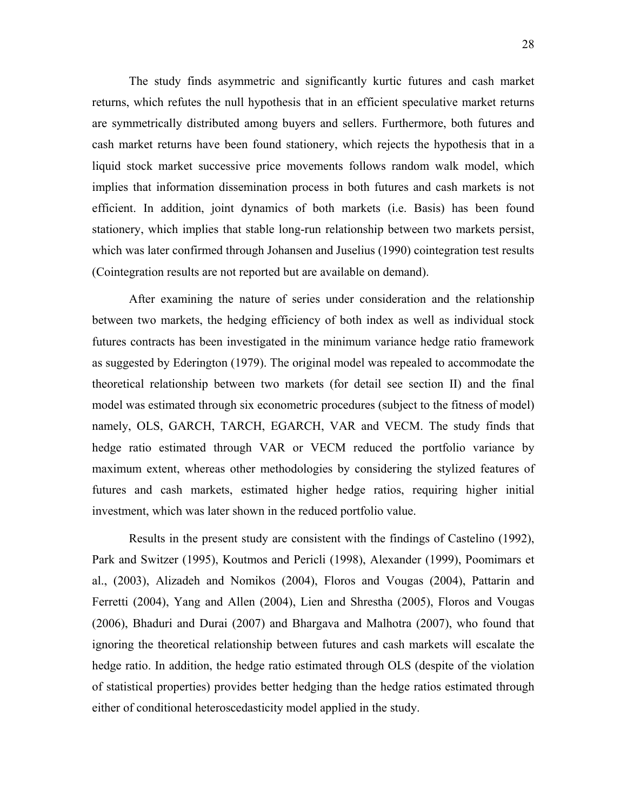The study finds asymmetric and significantly kurtic futures and cash market returns, which refutes the null hypothesis that in an efficient speculative market returns are symmetrically distributed among buyers and sellers. Furthermore, both futures and cash market returns have been found stationery, which rejects the hypothesis that in a liquid stock market successive price movements follows random walk model, which implies that information dissemination process in both futures and cash markets is not efficient. In addition, joint dynamics of both markets (i.e. Basis) has been found stationery, which implies that stable long-run relationship between two markets persist, which was later confirmed through Johansen and Juselius (1990) cointegration test results (Cointegration results are not reported but are available on demand).

After examining the nature of series under consideration and the relationship between two markets, the hedging efficiency of both index as well as individual stock futures contracts has been investigated in the minimum variance hedge ratio framework as suggested by Ederington (1979). The original model was repealed to accommodate the theoretical relationship between two markets (for detail see section II) and the final model was estimated through six econometric procedures (subject to the fitness of model) namely, OLS, GARCH, TARCH, EGARCH, VAR and VECM. The study finds that hedge ratio estimated through VAR or VECM reduced the portfolio variance by maximum extent, whereas other methodologies by considering the stylized features of futures and cash markets, estimated higher hedge ratios, requiring higher initial investment, which was later shown in the reduced portfolio value.

Results in the present study are consistent with the findings of Castelino (1992), Park and Switzer (1995), Koutmos and Pericli (1998), Alexander (1999), Poomimars et al., (2003), Alizadeh and Nomikos (2004), Floros and Vougas (2004), Pattarin and Ferretti (2004), Yang and Allen (2004), Lien and Shrestha (2005), Floros and Vougas (2006), Bhaduri and Durai (2007) and Bhargava and Malhotra (2007), who found that ignoring the theoretical relationship between futures and cash markets will escalate the hedge ratio. In addition, the hedge ratio estimated through OLS (despite of the violation of statistical properties) provides better hedging than the hedge ratios estimated through either of conditional heteroscedasticity model applied in the study.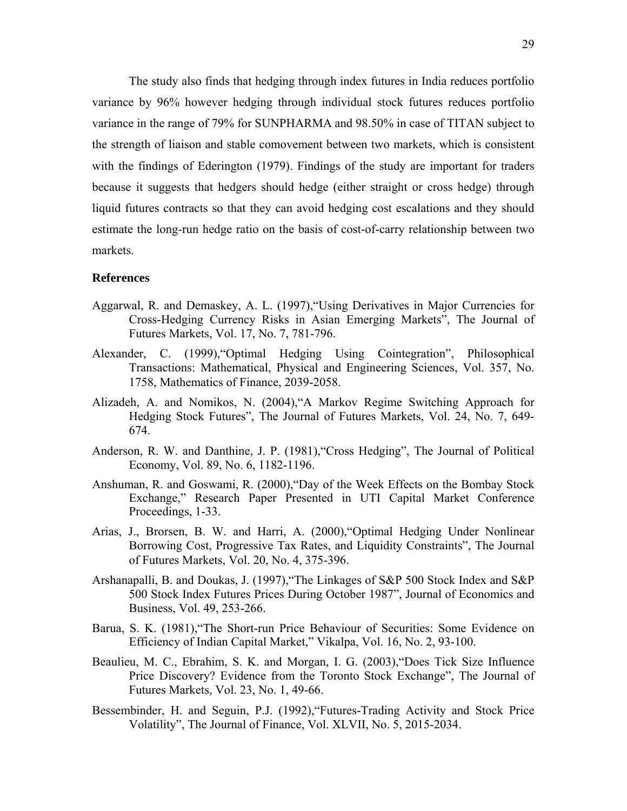The study also finds that hedging through index futures in India reduces portfolio variance by 96% however hedging through individual stock futures reduces portfolio variance in the range of 79% for SUNPHARMA and 98.50% in case of TITAN subject to the strength of liaison and stable comovement between two markets, which is consistent with the findings of Ederington (1979). Findings of the study are important for traders because it suggests that hedgers should hedge (either straight or cross hedge) through liquid futures contracts so that they can avoid hedging cost escalations and they should estimate the long-run hedge ratio on the basis of cost-of-carry relationship between two markets.

#### **References**

- Aggarwal, R. and Demaskey, A. L. (1997),"Using Derivatives in Major Currencies for Cross-Hedging Currency Risks in Asian Emerging Markets", The Journal of Futures Markets, Vol. 17, No. 7, 781-796.
- Alexander, C. (1999),"Optimal Hedging Using Cointegration", Philosophical Transactions: Mathematical, Physical and Engineering Sciences, Vol. 357, No. 1758, Mathematics of Finance, 2039-2058.
- Alizadeh, A. and Nomikos, N. (2004),"A Markov Regime Switching Approach for Hedging Stock Futures", The Journal of Futures Markets, Vol. 24, No. 7, 649- 674.
- Anderson, R. W. and Danthine, J. P. (1981),"Cross Hedging", The Journal of Political Economy, Vol. 89, No. 6, 1182-1196.
- Anshuman, R. and Goswami, R. (2000),"Day of the Week Effects on the Bombay Stock Exchange," Research Paper Presented in UTI Capital Market Conference Proceedings, 1-33.
- Arias, J., Brorsen, B. W. and Harri, A. (2000),"Optimal Hedging Under Nonlinear Borrowing Cost, Progressive Tax Rates, and Liquidity Constraints", The Journal of Futures Markets, Vol. 20, No. 4, 375-396.
- Arshanapalli, B. and Doukas, J. (1997),"The Linkages of S&P 500 Stock Index and S&P 500 Stock Index Futures Prices During October 1987", Journal of Economics and Business, Vol. 49, 253-266.
- Barua, S. K. (1981),"The Short-run Price Behaviour of Securities: Some Evidence on Efficiency of Indian Capital Market," Vikalpa, Vol. 16, No. 2, 93-100.
- Beaulieu, M. C., Ebrahim, S. K. and Morgan, I. G. (2003),"Does Tick Size Influence Price Discovery? Evidence from the Toronto Stock Exchange", The Journal of Futures Markets, Vol. 23, No. 1, 49-66.
- Bessembinder, H. and Seguin, P.J. (1992),"Futures-Trading Activity and Stock Price Volatility", The Journal of Finance, Vol. XLVII, No. 5, 2015-2034.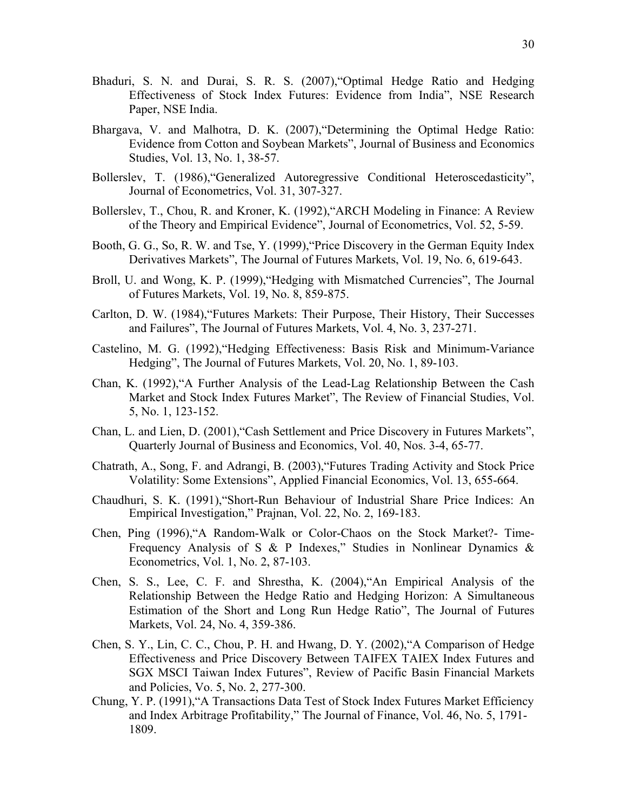- Bhaduri, S. N. and Durai, S. R. S. (2007),"Optimal Hedge Ratio and Hedging Effectiveness of Stock Index Futures: Evidence from India", NSE Research Paper, NSE India.
- Bhargava, V. and Malhotra, D. K. (2007),"Determining the Optimal Hedge Ratio: Evidence from Cotton and Soybean Markets", Journal of Business and Economics Studies, Vol. 13, No. 1, 38-57.
- Bollerslev, T. (1986),"Generalized Autoregressive Conditional Heteroscedasticity", Journal of Econometrics, Vol. 31, 307-327.
- Bollerslev, T., Chou, R. and Kroner, K. (1992),"ARCH Modeling in Finance: A Review of the Theory and Empirical Evidence", Journal of Econometrics, Vol. 52, 5-59.
- Booth, G. G., So, R. W. and Tse, Y. (1999),"Price Discovery in the German Equity Index Derivatives Markets", The Journal of Futures Markets, Vol. 19, No. 6, 619-643.
- Broll, U. and Wong, K. P. (1999),"Hedging with Mismatched Currencies", The Journal of Futures Markets, Vol. 19, No. 8, 859-875.
- Carlton, D. W. (1984),"Futures Markets: Their Purpose, Their History, Their Successes and Failures", The Journal of Futures Markets, Vol. 4, No. 3, 237-271.
- Castelino, M. G. (1992),"Hedging Effectiveness: Basis Risk and Minimum-Variance Hedging", The Journal of Futures Markets, Vol. 20, No. 1, 89-103.
- Chan, K. (1992),"A Further Analysis of the Lead-Lag Relationship Between the Cash Market and Stock Index Futures Market", The Review of Financial Studies, Vol. 5, No. 1, 123-152.
- Chan, L. and Lien, D. (2001),"Cash Settlement and Price Discovery in Futures Markets", Quarterly Journal of Business and Economics, Vol. 40, Nos. 3-4, 65-77.
- Chatrath, A., Song, F. and Adrangi, B. (2003),"Futures Trading Activity and Stock Price Volatility: Some Extensions", Applied Financial Economics, Vol. 13, 655-664.
- Chaudhuri, S. K. (1991),"Short-Run Behaviour of Industrial Share Price Indices: An Empirical Investigation," Prajnan, Vol. 22, No. 2, 169-183.
- Chen, Ping (1996),"A Random-Walk or Color-Chaos on the Stock Market?- Time-Frequency Analysis of S & P Indexes," Studies in Nonlinear Dynamics & Econometrics, Vol. 1, No. 2, 87-103.
- Chen, S. S., Lee, C. F. and Shrestha, K. (2004),"An Empirical Analysis of the Relationship Between the Hedge Ratio and Hedging Horizon: A Simultaneous Estimation of the Short and Long Run Hedge Ratio", The Journal of Futures Markets, Vol. 24, No. 4, 359-386.
- Chen, S. Y., Lin, C. C., Chou, P. H. and Hwang, D. Y. (2002),"A Comparison of Hedge Effectiveness and Price Discovery Between TAIFEX TAIEX Index Futures and SGX MSCI Taiwan Index Futures", Review of Pacific Basin Financial Markets and Policies, Vo. 5, No. 2, 277-300.
- Chung, Y. P. (1991),"A Transactions Data Test of Stock Index Futures Market Efficiency and Index Arbitrage Profitability," The Journal of Finance, Vol. 46, No. 5, 1791- 1809.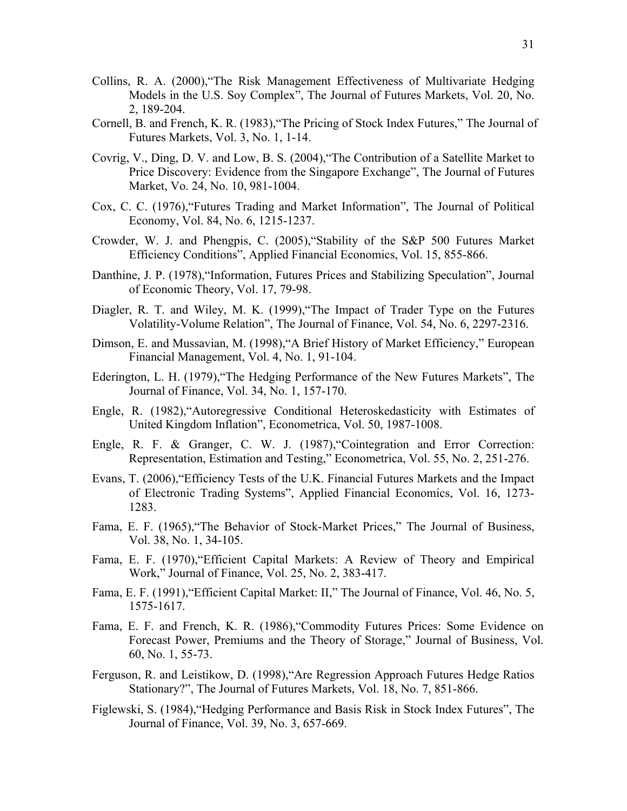- Collins, R. A. (2000),"The Risk Management Effectiveness of Multivariate Hedging Models in the U.S. Soy Complex", The Journal of Futures Markets, Vol. 20, No. 2, 189-204.
- Cornell, B. and French, K. R. (1983),"The Pricing of Stock Index Futures," The Journal of Futures Markets, Vol. 3, No. 1, 1-14.
- Covrig, V., Ding, D. V. and Low, B. S. (2004),"The Contribution of a Satellite Market to Price Discovery: Evidence from the Singapore Exchange", The Journal of Futures Market, Vo. 24, No. 10, 981-1004.
- Cox, C. C. (1976),"Futures Trading and Market Information", The Journal of Political Economy, Vol. 84, No. 6, 1215-1237.
- Crowder, W. J. and Phengpis, C. (2005),"Stability of the S&P 500 Futures Market Efficiency Conditions", Applied Financial Economics, Vol. 15, 855-866.
- Danthine, J. P. (1978),"Information, Futures Prices and Stabilizing Speculation", Journal of Economic Theory, Vol. 17, 79-98.
- Diagler, R. T. and Wiley, M. K. (1999), The Impact of Trader Type on the Futures Volatility-Volume Relation", The Journal of Finance, Vol. 54, No. 6, 2297-2316.
- Dimson, E. and Mussavian, M. (1998),"A Brief History of Market Efficiency," European Financial Management, Vol. 4, No. 1, 91-104.
- Ederington, L. H. (1979),"The Hedging Performance of the New Futures Markets", The Journal of Finance, Vol. 34, No. 1, 157-170.
- Engle, R. (1982),"Autoregressive Conditional Heteroskedasticity with Estimates of United Kingdom Inflation", Econometrica, Vol. 50, 1987-1008.
- Engle, R. F. & Granger, C. W. J. (1987),"Cointegration and Error Correction: Representation, Estimation and Testing," Econometrica, Vol. 55, No. 2, 251-276.
- Evans, T. (2006),"Efficiency Tests of the U.K. Financial Futures Markets and the Impact of Electronic Trading Systems", Applied Financial Economics, Vol. 16, 1273- 1283.
- Fama, E. F. (1965),"The Behavior of Stock-Market Prices," The Journal of Business, Vol. 38, No. 1, 34-105.
- Fama, E. F. (1970),"Efficient Capital Markets: A Review of Theory and Empirical Work," Journal of Finance, Vol. 25, No. 2, 383-417.
- Fama, E. F. (1991), "Efficient Capital Market: II," The Journal of Finance, Vol. 46, No. 5, 1575-1617.
- Fama, E. F. and French, K. R. (1986),"Commodity Futures Prices: Some Evidence on Forecast Power, Premiums and the Theory of Storage," Journal of Business, Vol. 60, No. 1, 55-73.
- Ferguson, R. and Leistikow, D. (1998),"Are Regression Approach Futures Hedge Ratios Stationary?", The Journal of Futures Markets, Vol. 18, No. 7, 851-866.
- Figlewski, S. (1984),"Hedging Performance and Basis Risk in Stock Index Futures", The Journal of Finance, Vol. 39, No. 3, 657-669.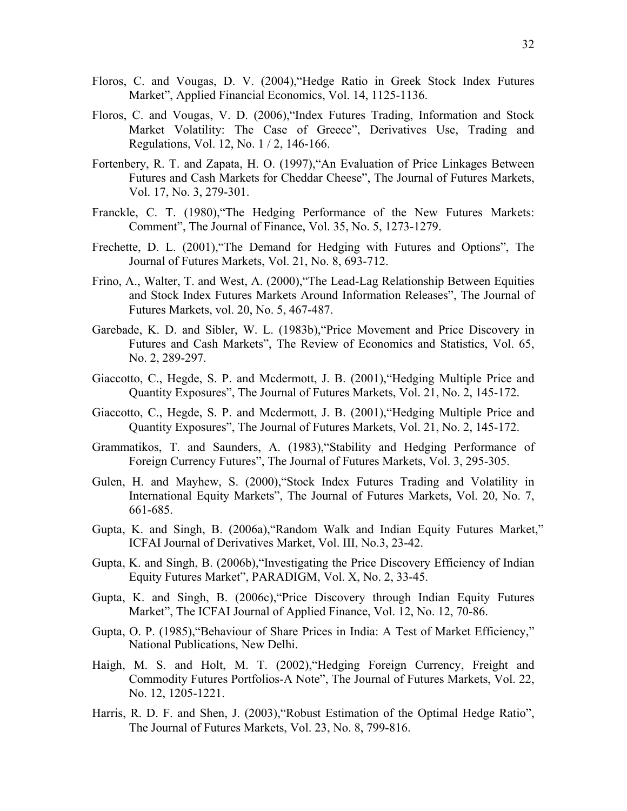- Floros, C. and Vougas, D. V. (2004),"Hedge Ratio in Greek Stock Index Futures Market", Applied Financial Economics, Vol. 14, 1125-1136.
- Floros, C. and Vougas, V. D. (2006),"Index Futures Trading, Information and Stock Market Volatility: The Case of Greece", Derivatives Use, Trading and Regulations, Vol. 12, No. 1 / 2, 146-166.
- Fortenbery, R. T. and Zapata, H. O. (1997),"An Evaluation of Price Linkages Between Futures and Cash Markets for Cheddar Cheese", The Journal of Futures Markets, Vol. 17, No. 3, 279-301.
- Franckle, C. T. (1980),"The Hedging Performance of the New Futures Markets: Comment", The Journal of Finance, Vol. 35, No. 5, 1273-1279.
- Frechette, D. L. (2001),"The Demand for Hedging with Futures and Options", The Journal of Futures Markets, Vol. 21, No. 8, 693-712.
- Frino, A., Walter, T. and West, A. (2000),"The Lead-Lag Relationship Between Equities and Stock Index Futures Markets Around Information Releases", The Journal of Futures Markets, vol. 20, No. 5, 467-487.
- Garebade, K. D. and Sibler, W. L. (1983b),"Price Movement and Price Discovery in Futures and Cash Markets", The Review of Economics and Statistics, Vol. 65, No. 2, 289-297.
- Giaccotto, C., Hegde, S. P. and Mcdermott, J. B. (2001),"Hedging Multiple Price and Quantity Exposures", The Journal of Futures Markets, Vol. 21, No. 2, 145-172.
- Giaccotto, C., Hegde, S. P. and Mcdermott, J. B. (2001),"Hedging Multiple Price and Quantity Exposures", The Journal of Futures Markets, Vol. 21, No. 2, 145-172.
- Grammatikos, T. and Saunders, A. (1983),"Stability and Hedging Performance of Foreign Currency Futures", The Journal of Futures Markets, Vol. 3, 295-305.
- Gulen, H. and Mayhew, S. (2000),"Stock Index Futures Trading and Volatility in International Equity Markets", The Journal of Futures Markets, Vol. 20, No. 7, 661-685.
- Gupta, K. and Singh, B. (2006a),"Random Walk and Indian Equity Futures Market," ICFAI Journal of Derivatives Market, Vol. III, No.3, 23-42.
- Gupta, K. and Singh, B. (2006b),"Investigating the Price Discovery Efficiency of Indian Equity Futures Market", PARADIGM, Vol. X, No. 2, 33-45.
- Gupta, K. and Singh, B. (2006c),"Price Discovery through Indian Equity Futures Market", The ICFAI Journal of Applied Finance, Vol. 12, No. 12, 70-86.
- Gupta, O. P. (1985),"Behaviour of Share Prices in India: A Test of Market Efficiency," National Publications, New Delhi.
- Haigh, M. S. and Holt, M. T. (2002),"Hedging Foreign Currency, Freight and Commodity Futures Portfolios-A Note", The Journal of Futures Markets, Vol. 22, No. 12, 1205-1221.
- Harris, R. D. F. and Shen, J. (2003),"Robust Estimation of the Optimal Hedge Ratio", The Journal of Futures Markets, Vol. 23, No. 8, 799-816.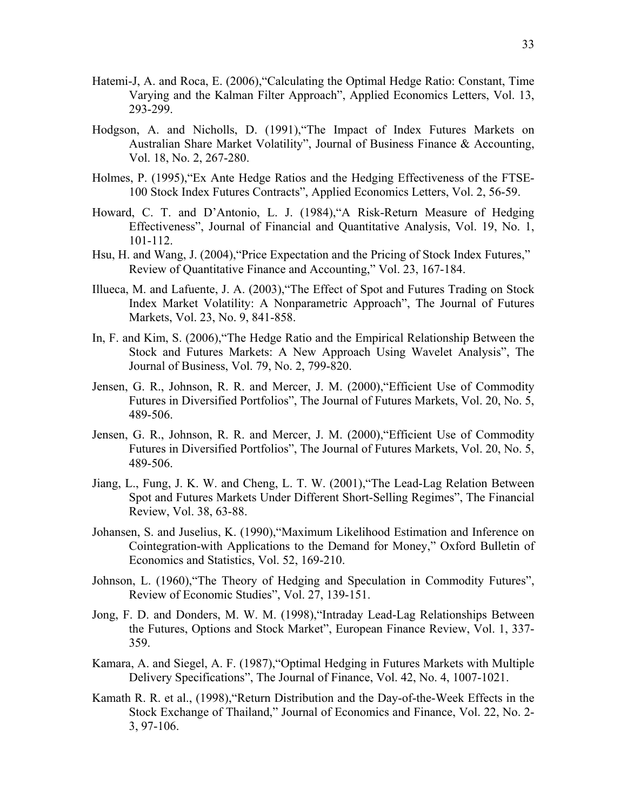- Hatemi-J, A. and Roca, E. (2006),"Calculating the Optimal Hedge Ratio: Constant, Time Varying and the Kalman Filter Approach", Applied Economics Letters, Vol. 13, 293-299.
- Hodgson, A. and Nicholls, D. (1991),"The Impact of Index Futures Markets on Australian Share Market Volatility", Journal of Business Finance & Accounting, Vol. 18, No. 2, 267-280.
- Holmes, P. (1995),"Ex Ante Hedge Ratios and the Hedging Effectiveness of the FTSE-100 Stock Index Futures Contracts", Applied Economics Letters, Vol. 2, 56-59.
- Howard, C. T. and D'Antonio, L. J. (1984),"A Risk-Return Measure of Hedging Effectiveness", Journal of Financial and Quantitative Analysis, Vol. 19, No. 1, 101-112.
- Hsu, H. and Wang, J. (2004),"Price Expectation and the Pricing of Stock Index Futures," Review of Quantitative Finance and Accounting," Vol. 23, 167-184.
- Illueca, M. and Lafuente, J. A. (2003),"The Effect of Spot and Futures Trading on Stock Index Market Volatility: A Nonparametric Approach", The Journal of Futures Markets, Vol. 23, No. 9, 841-858.
- In, F. and Kim, S. (2006),"The Hedge Ratio and the Empirical Relationship Between the Stock and Futures Markets: A New Approach Using Wavelet Analysis", The Journal of Business, Vol. 79, No. 2, 799-820.
- Jensen, G. R., Johnson, R. R. and Mercer, J. M. (2000),"Efficient Use of Commodity Futures in Diversified Portfolios", The Journal of Futures Markets, Vol. 20, No. 5, 489-506.
- Jensen, G. R., Johnson, R. R. and Mercer, J. M. (2000),"Efficient Use of Commodity Futures in Diversified Portfolios", The Journal of Futures Markets, Vol. 20, No. 5, 489-506.
- Jiang, L., Fung, J. K. W. and Cheng, L. T. W. (2001),"The Lead-Lag Relation Between Spot and Futures Markets Under Different Short-Selling Regimes", The Financial Review, Vol. 38, 63-88.
- Johansen, S. and Juselius, K. (1990),"Maximum Likelihood Estimation and Inference on Cointegration-with Applications to the Demand for Money," Oxford Bulletin of Economics and Statistics, Vol. 52, 169-210.
- Johnson, L. (1960),"The Theory of Hedging and Speculation in Commodity Futures", Review of Economic Studies", Vol. 27, 139-151.
- Jong, F. D. and Donders, M. W. M. (1998),"Intraday Lead-Lag Relationships Between the Futures, Options and Stock Market", European Finance Review, Vol. 1, 337- 359.
- Kamara, A. and Siegel, A. F. (1987),"Optimal Hedging in Futures Markets with Multiple Delivery Specifications", The Journal of Finance, Vol. 42, No. 4, 1007-1021.
- Kamath R. R. et al., (1998),"Return Distribution and the Day-of-the-Week Effects in the Stock Exchange of Thailand," Journal of Economics and Finance, Vol. 22, No. 2- 3, 97-106.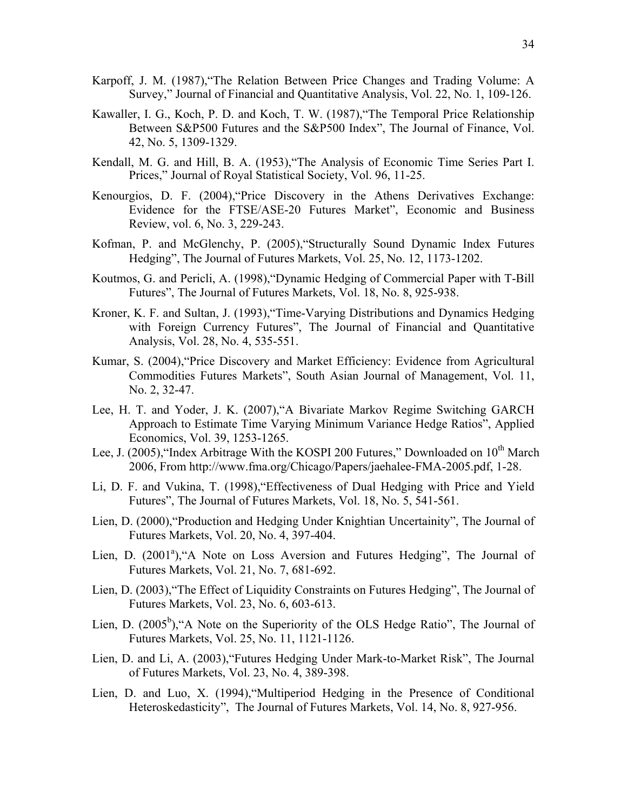- Karpoff, J. M. (1987),"The Relation Between Price Changes and Trading Volume: A Survey," Journal of Financial and Quantitative Analysis, Vol. 22, No. 1, 109-126.
- Kawaller, I. G., Koch, P. D. and Koch, T. W. (1987),"The Temporal Price Relationship Between S&P500 Futures and the S&P500 Index", The Journal of Finance, Vol. 42, No. 5, 1309-1329.
- Kendall, M. G. and Hill, B. A. (1953),"The Analysis of Economic Time Series Part I. Prices," Journal of Royal Statistical Society, Vol. 96, 11-25.
- Kenourgios, D. F. (2004),"Price Discovery in the Athens Derivatives Exchange: Evidence for the FTSE/ASE-20 Futures Market", Economic and Business Review, vol. 6, No. 3, 229-243.
- Kofman, P. and McGlenchy, P. (2005),"Structurally Sound Dynamic Index Futures Hedging", The Journal of Futures Markets, Vol. 25, No. 12, 1173-1202.
- Koutmos, G. and Pericli, A. (1998),"Dynamic Hedging of Commercial Paper with T-Bill Futures", The Journal of Futures Markets, Vol. 18, No. 8, 925-938.
- Kroner, K. F. and Sultan, J. (1993),"Time-Varying Distributions and Dynamics Hedging with Foreign Currency Futures", The Journal of Financial and Quantitative Analysis, Vol. 28, No. 4, 535-551.
- Kumar, S. (2004),"Price Discovery and Market Efficiency: Evidence from Agricultural Commodities Futures Markets", South Asian Journal of Management, Vol. 11, No. 2, 32-47.
- Lee, H. T. and Yoder, J. K. (2007),"A Bivariate Markov Regime Switching GARCH Approach to Estimate Time Varying Minimum Variance Hedge Ratios", Applied Economics, Vol. 39, 1253-1265.
- Lee, J. (2005), "Index Arbitrage With the KOSPI 200 Futures," Downloaded on 10<sup>th</sup> March 2006, From http://www.fma.org/Chicago/Papers/jaehalee-FMA-2005.pdf, 1-28.
- Li, D. F. and Vukina, T. (1998),"Effectiveness of Dual Hedging with Price and Yield Futures", The Journal of Futures Markets, Vol. 18, No. 5, 541-561.
- Lien, D. (2000),"Production and Hedging Under Knightian Uncertainity", The Journal of Futures Markets, Vol. 20, No. 4, 397-404.
- Lien, D. (2001<sup>a</sup>), "A Note on Loss Aversion and Futures Hedging", The Journal of Futures Markets, Vol. 21, No. 7, 681-692.
- Lien, D. (2003),"The Effect of Liquidity Constraints on Futures Hedging", The Journal of Futures Markets, Vol. 23, No. 6, 603-613.
- Lien, D. (2005<sup>b</sup>), "A Note on the Superiority of the OLS Hedge Ratio", The Journal of Futures Markets, Vol. 25, No. 11, 1121-1126.
- Lien, D. and Li, A. (2003),"Futures Hedging Under Mark-to-Market Risk", The Journal of Futures Markets, Vol. 23, No. 4, 389-398.
- Lien, D. and Luo, X. (1994),"Multiperiod Hedging in the Presence of Conditional Heteroskedasticity", The Journal of Futures Markets, Vol. 14, No. 8, 927-956.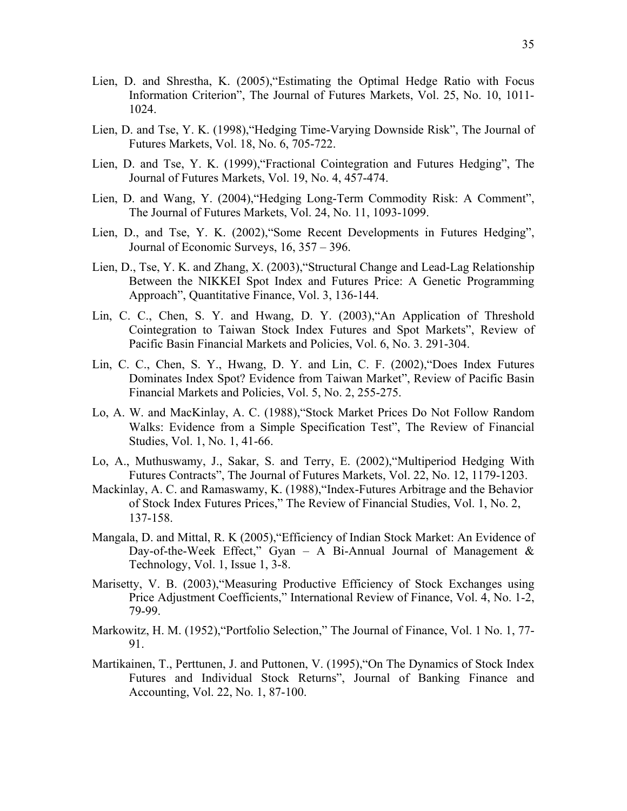- Lien, D. and Shrestha, K. (2005),"Estimating the Optimal Hedge Ratio with Focus Information Criterion", The Journal of Futures Markets, Vol. 25, No. 10, 1011- 1024.
- Lien, D. and Tse, Y. K. (1998),"Hedging Time-Varying Downside Risk", The Journal of Futures Markets, Vol. 18, No. 6, 705-722.
- Lien, D. and Tse, Y. K. (1999),"Fractional Cointegration and Futures Hedging", The Journal of Futures Markets, Vol. 19, No. 4, 457-474.
- Lien, D. and Wang, Y. (2004),"Hedging Long-Term Commodity Risk: A Comment", The Journal of Futures Markets, Vol. 24, No. 11, 1093-1099.
- Lien, D., and Tse, Y. K. (2002),"Some Recent Developments in Futures Hedging", Journal of Economic Surveys, 16, 357 – 396.
- Lien, D., Tse, Y. K. and Zhang, X. (2003),"Structural Change and Lead-Lag Relationship Between the NIKKEI Spot Index and Futures Price: A Genetic Programming Approach", Quantitative Finance, Vol. 3, 136-144.
- Lin, C. C., Chen, S. Y. and Hwang, D. Y. (2003),"An Application of Threshold Cointegration to Taiwan Stock Index Futures and Spot Markets", Review of Pacific Basin Financial Markets and Policies, Vol. 6, No. 3. 291-304.
- Lin, C. C., Chen, S. Y., Hwang, D. Y. and Lin, C. F. (2002),"Does Index Futures Dominates Index Spot? Evidence from Taiwan Market", Review of Pacific Basin Financial Markets and Policies, Vol. 5, No. 2, 255-275.
- Lo, A. W. and MacKinlay, A. C. (1988),"Stock Market Prices Do Not Follow Random Walks: Evidence from a Simple Specification Test", The Review of Financial Studies, Vol. 1, No. 1, 41-66.
- Lo, A., Muthuswamy, J., Sakar, S. and Terry, E. (2002),"Multiperiod Hedging With Futures Contracts", The Journal of Futures Markets, Vol. 22, No. 12, 1179-1203.
- Mackinlay, A. C. and Ramaswamy, K. (1988),"Index-Futures Arbitrage and the Behavior of Stock Index Futures Prices," The Review of Financial Studies, Vol. 1, No. 2, 137-158.
- Mangala, D. and Mittal, R. K (2005),"Efficiency of Indian Stock Market: An Evidence of Day-of-the-Week Effect," Gyan – A Bi-Annual Journal of Management & Technology, Vol. 1, Issue 1, 3-8.
- Marisetty, V. B. (2003),"Measuring Productive Efficiency of Stock Exchanges using Price Adjustment Coefficients," International Review of Finance, Vol. 4, No. 1-2, 79-99.
- Markowitz, H. M. (1952), "Portfolio Selection," The Journal of Finance, Vol. 1 No. 1, 77-91.
- Martikainen, T., Perttunen, J. and Puttonen, V. (1995),"On The Dynamics of Stock Index Futures and Individual Stock Returns", Journal of Banking Finance and Accounting, Vol. 22, No. 1, 87-100.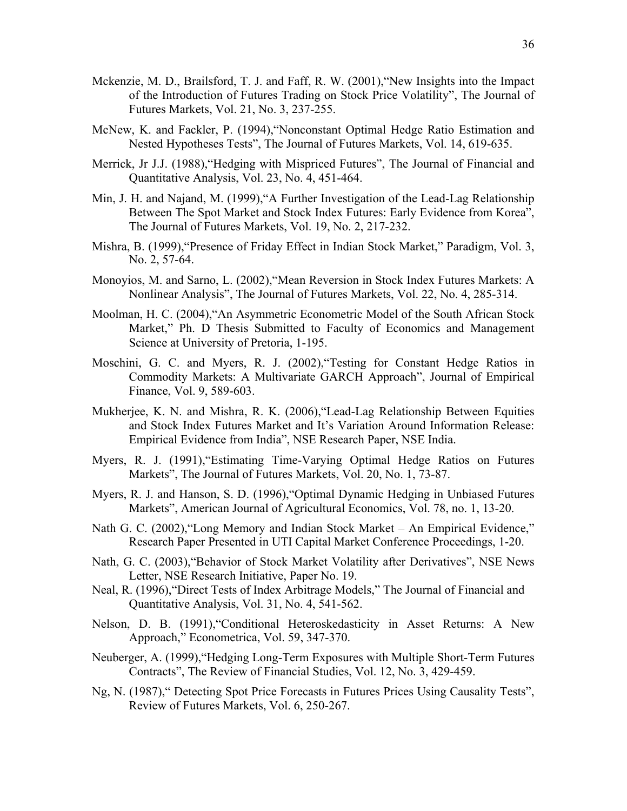- Mckenzie, M. D., Brailsford, T. J. and Faff, R. W. (2001),"New Insights into the Impact of the Introduction of Futures Trading on Stock Price Volatility", The Journal of Futures Markets, Vol. 21, No. 3, 237-255.
- McNew, K. and Fackler, P. (1994),"Nonconstant Optimal Hedge Ratio Estimation and Nested Hypotheses Tests", The Journal of Futures Markets, Vol. 14, 619-635.
- Merrick, Jr J.J. (1988),"Hedging with Mispriced Futures", The Journal of Financial and Quantitative Analysis, Vol. 23, No. 4, 451-464.
- Min, J. H. and Najand, M. (1999),"A Further Investigation of the Lead-Lag Relationship Between The Spot Market and Stock Index Futures: Early Evidence from Korea", The Journal of Futures Markets, Vol. 19, No. 2, 217-232.
- Mishra, B. (1999),"Presence of Friday Effect in Indian Stock Market," Paradigm, Vol. 3, No. 2, 57-64.
- Monoyios, M. and Sarno, L. (2002),"Mean Reversion in Stock Index Futures Markets: A Nonlinear Analysis", The Journal of Futures Markets, Vol. 22, No. 4, 285-314.
- Moolman, H. C. (2004),"An Asymmetric Econometric Model of the South African Stock Market," Ph. D Thesis Submitted to Faculty of Economics and Management Science at University of Pretoria, 1-195.
- Moschini, G. C. and Myers, R. J. (2002),"Testing for Constant Hedge Ratios in Commodity Markets: A Multivariate GARCH Approach", Journal of Empirical Finance, Vol. 9, 589-603.
- Mukherjee, K. N. and Mishra, R. K. (2006),"Lead-Lag Relationship Between Equities and Stock Index Futures Market and It's Variation Around Information Release: Empirical Evidence from India", NSE Research Paper, NSE India.
- Myers, R. J. (1991),"Estimating Time-Varying Optimal Hedge Ratios on Futures Markets", The Journal of Futures Markets, Vol. 20, No. 1, 73-87.
- Myers, R. J. and Hanson, S. D. (1996),"Optimal Dynamic Hedging in Unbiased Futures Markets", American Journal of Agricultural Economics, Vol. 78, no. 1, 13-20.
- Nath G. C. (2002),"Long Memory and Indian Stock Market An Empirical Evidence," Research Paper Presented in UTI Capital Market Conference Proceedings, 1-20.
- Nath, G. C. (2003),"Behavior of Stock Market Volatility after Derivatives", NSE News Letter, NSE Research Initiative, Paper No. 19.
- Neal, R. (1996),"Direct Tests of Index Arbitrage Models," The Journal of Financial and Quantitative Analysis, Vol. 31, No. 4, 541-562.
- Nelson, D. B. (1991),"Conditional Heteroskedasticity in Asset Returns: A New Approach," Econometrica, Vol. 59, 347-370.
- Neuberger, A. (1999),"Hedging Long-Term Exposures with Multiple Short-Term Futures Contracts", The Review of Financial Studies, Vol. 12, No. 3, 429-459.
- Ng, N. (1987)," Detecting Spot Price Forecasts in Futures Prices Using Causality Tests", Review of Futures Markets, Vol. 6, 250-267.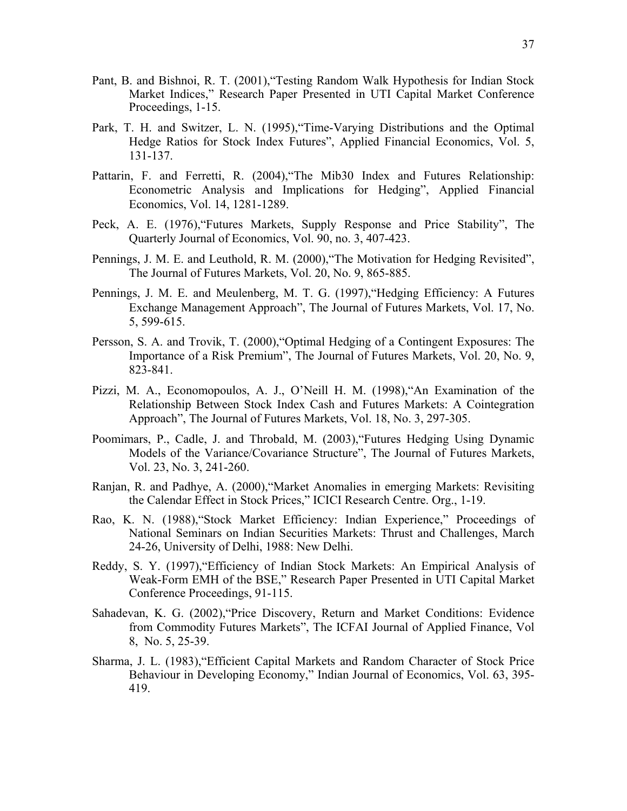- Pant, B. and Bishnoi, R. T. (2001),"Testing Random Walk Hypothesis for Indian Stock Market Indices," Research Paper Presented in UTI Capital Market Conference Proceedings, 1-15.
- Park, T. H. and Switzer, L. N. (1995),"Time-Varying Distributions and the Optimal Hedge Ratios for Stock Index Futures", Applied Financial Economics, Vol. 5, 131-137.
- Pattarin, F. and Ferretti, R. (2004),"The Mib30 Index and Futures Relationship: Econometric Analysis and Implications for Hedging", Applied Financial Economics, Vol. 14, 1281-1289.
- Peck, A. E. (1976),"Futures Markets, Supply Response and Price Stability", The Quarterly Journal of Economics, Vol. 90, no. 3, 407-423.
- Pennings, J. M. E. and Leuthold, R. M. (2000),"The Motivation for Hedging Revisited", The Journal of Futures Markets, Vol. 20, No. 9, 865-885.
- Pennings, J. M. E. and Meulenberg, M. T. G. (1997),"Hedging Efficiency: A Futures Exchange Management Approach", The Journal of Futures Markets, Vol. 17, No. 5, 599-615.
- Persson, S. A. and Trovik, T. (2000),"Optimal Hedging of a Contingent Exposures: The Importance of a Risk Premium", The Journal of Futures Markets, Vol. 20, No. 9, 823-841.
- Pizzi, M. A., Economopoulos, A. J., O'Neill H. M. (1998),"An Examination of the Relationship Between Stock Index Cash and Futures Markets: A Cointegration Approach", The Journal of Futures Markets, Vol. 18, No. 3, 297-305.
- Poomimars, P., Cadle, J. and Throbald, M. (2003),"Futures Hedging Using Dynamic Models of the Variance/Covariance Structure", The Journal of Futures Markets, Vol. 23, No. 3, 241-260.
- Ranjan, R. and Padhye, A. (2000),"Market Anomalies in emerging Markets: Revisiting the Calendar Effect in Stock Prices," ICICI Research Centre. Org., 1-19.
- Rao, K. N. (1988),"Stock Market Efficiency: Indian Experience," Proceedings of National Seminars on Indian Securities Markets: Thrust and Challenges, March 24-26, University of Delhi, 1988: New Delhi.
- Reddy, S. Y. (1997),"Efficiency of Indian Stock Markets: An Empirical Analysis of Weak-Form EMH of the BSE," Research Paper Presented in UTI Capital Market Conference Proceedings, 91-115.
- Sahadevan, K. G. (2002),"Price Discovery, Return and Market Conditions: Evidence from Commodity Futures Markets", The ICFAI Journal of Applied Finance, Vol 8, No. 5, 25-39.
- Sharma, J. L. (1983),"Efficient Capital Markets and Random Character of Stock Price Behaviour in Developing Economy," Indian Journal of Economics, Vol. 63, 395- 419.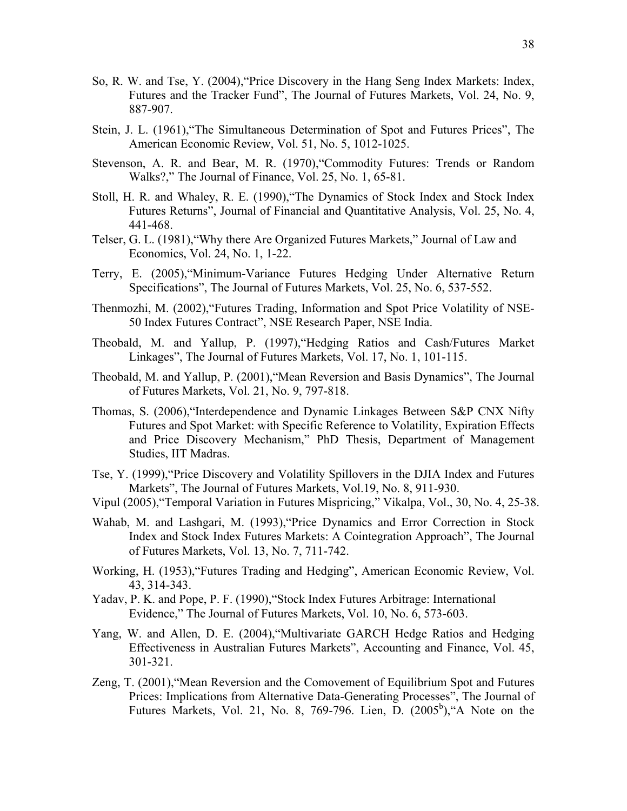- So, R. W. and Tse, Y. (2004),"Price Discovery in the Hang Seng Index Markets: Index, Futures and the Tracker Fund", The Journal of Futures Markets, Vol. 24, No. 9, 887-907.
- Stein, J. L. (1961),"The Simultaneous Determination of Spot and Futures Prices", The American Economic Review, Vol. 51, No. 5, 1012-1025.
- Stevenson, A. R. and Bear, M. R. (1970),"Commodity Futures: Trends or Random Walks?," The Journal of Finance, Vol. 25, No. 1, 65-81.
- Stoll, H. R. and Whaley, R. E. (1990),"The Dynamics of Stock Index and Stock Index Futures Returns", Journal of Financial and Quantitative Analysis, Vol. 25, No. 4, 441-468.
- Telser, G. L. (1981),"Why there Are Organized Futures Markets," Journal of Law and Economics, Vol. 24, No. 1, 1-22.
- Terry, E. (2005),"Minimum-Variance Futures Hedging Under Alternative Return Specifications", The Journal of Futures Markets, Vol. 25, No. 6, 537-552.
- Thenmozhi, M. (2002),"Futures Trading, Information and Spot Price Volatility of NSE-50 Index Futures Contract", NSE Research Paper, NSE India.
- Theobald, M. and Yallup, P. (1997),"Hedging Ratios and Cash/Futures Market Linkages", The Journal of Futures Markets, Vol. 17, No. 1, 101-115.
- Theobald, M. and Yallup, P. (2001),"Mean Reversion and Basis Dynamics", The Journal of Futures Markets, Vol. 21, No. 9, 797-818.
- Thomas, S. (2006),"Interdependence and Dynamic Linkages Between S&P CNX Nifty Futures and Spot Market: with Specific Reference to Volatility, Expiration Effects and Price Discovery Mechanism," PhD Thesis, Department of Management Studies, IIT Madras.
- Tse, Y. (1999),"Price Discovery and Volatility Spillovers in the DJIA Index and Futures Markets", The Journal of Futures Markets, Vol.19, No. 8, 911-930.
- Vipul (2005),"Temporal Variation in Futures Mispricing," Vikalpa, Vol., 30, No. 4, 25-38.
- Wahab, M. and Lashgari, M. (1993),"Price Dynamics and Error Correction in Stock Index and Stock Index Futures Markets: A Cointegration Approach", The Journal of Futures Markets, Vol. 13, No. 7, 711-742.
- Working, H. (1953),"Futures Trading and Hedging", American Economic Review, Vol. 43, 314-343.
- Yadav, P. K. and Pope, P. F. (1990),"Stock Index Futures Arbitrage: International Evidence," The Journal of Futures Markets, Vol. 10, No. 6, 573-603.
- Yang, W. and Allen, D. E. (2004),"Multivariate GARCH Hedge Ratios and Hedging Effectiveness in Australian Futures Markets", Accounting and Finance, Vol. 45, 301-321.
- Zeng, T. (2001),"Mean Reversion and the Comovement of Equilibrium Spot and Futures Prices: Implications from Alternative Data-Generating Processes", The Journal of Futures Markets, Vol. 21, No. 8, 769-796. Lien, D.  $(2005^b)$ , A Note on the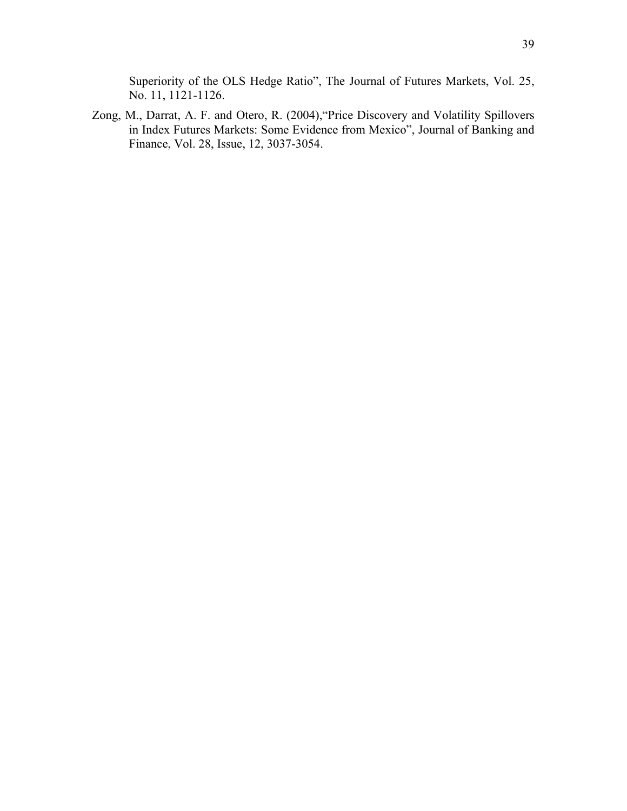Superiority of the OLS Hedge Ratio", The Journal of Futures Markets, Vol. 25, No. 11, 1121-1126.

Zong, M., Darrat, A. F. and Otero, R. (2004),"Price Discovery and Volatility Spillovers in Index Futures Markets: Some Evidence from Mexico", Journal of Banking and Finance, Vol. 28, Issue, 12, 3037-3054.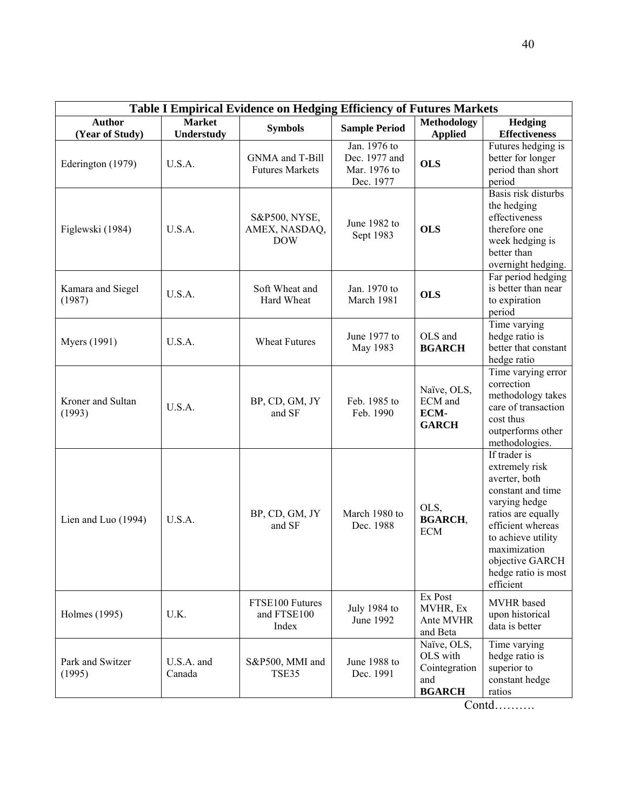| Table I Empirical Evidence on Hedging Efficiency of Futures Markets |                             |                                              |                                                            |                                                                  |                                                                                                                                                                                                                               |  |
|---------------------------------------------------------------------|-----------------------------|----------------------------------------------|------------------------------------------------------------|------------------------------------------------------------------|-------------------------------------------------------------------------------------------------------------------------------------------------------------------------------------------------------------------------------|--|
| <b>Author</b><br>(Year of Study)                                    | <b>Market</b><br>Understudy | <b>Symbols</b>                               | <b>Sample Period</b>                                       | <b>Methodology</b><br><b>Applied</b>                             | Hedging<br><b>Effectiveness</b>                                                                                                                                                                                               |  |
| Ederington (1979)                                                   | U.S.A.                      | GNMA and T-Bill<br><b>Futures Markets</b>    | Jan. 1976 to<br>Dec. 1977 and<br>Mar. 1976 to<br>Dec. 1977 | <b>OLS</b>                                                       | Futures hedging is<br>better for longer<br>period than short<br>period                                                                                                                                                        |  |
| Figlewski (1984)                                                    | U.S.A.                      | S&P500, NYSE,<br>AMEX, NASDAQ,<br><b>DOW</b> | June 1982 to<br>Sept 1983                                  | <b>OLS</b>                                                       | Basis risk disturbs<br>the hedging<br>effectiveness<br>therefore one<br>week hedging is<br>better than<br>overnight hedging.                                                                                                  |  |
| Kamara and Siegel<br>(1987)                                         | U.S.A.                      | Soft Wheat and<br>Hard Wheat                 | Jan. 1970 to<br>March 1981                                 | <b>OLS</b>                                                       | Far period hedging<br>is better than near<br>to expiration<br>period                                                                                                                                                          |  |
| <b>Myers</b> (1991)                                                 | U.S.A.                      | <b>Wheat Futures</b>                         | June 1977 to<br>May 1983                                   | OLS and<br><b>BGARCH</b>                                         | Time varying<br>hedge ratio is<br>better that constant<br>hedge ratio                                                                                                                                                         |  |
| Kroner and Sultan<br>(1993)                                         | U.S.A.                      | BP, CD, GM, JY<br>and SF                     | Feb. 1985 to<br>Feb. 1990                                  | Naïve, OLS,<br>ECM and<br>ECM-<br><b>GARCH</b>                   | Time varying error<br>correction<br>methodology takes<br>care of transaction<br>cost thus<br>outperforms other<br>methodologies.                                                                                              |  |
| Lien and Luo (1994)                                                 | U.S.A.                      | BP, CD, GM, JY<br>and SF                     | March 1980 to<br>Dec. 1988                                 | OLS,<br><b>BGARCH,</b><br><b>ECM</b>                             | If trader is<br>extremely risk<br>averter, both<br>constant and time<br>varying hedge<br>ratios are equally<br>efficient whereas<br>to achieve utility<br>maximization<br>objective GARCH<br>hedge ratio is most<br>efficient |  |
| Holmes (1995)                                                       | U.K.                        | FTSE100 Futures<br>and FTSE100<br>Index      | July 1984 to<br>June 1992                                  | Ex Post<br>MVHR, Ex<br>Ante MVHR<br>and Beta                     | <b>MVHR</b> based<br>upon historical<br>data is better                                                                                                                                                                        |  |
| Park and Switzer<br>(1995)                                          | U.S.A. and<br>Canada        | S&P500, MMI and<br><b>TSE35</b>              | June 1988 to<br>Dec. 1991                                  | Naïve, OLS,<br>OLS with<br>Cointegration<br>and<br><b>BGARCH</b> | Time varying<br>hedge ratio is<br>superior to<br>constant hedge<br>ratios                                                                                                                                                     |  |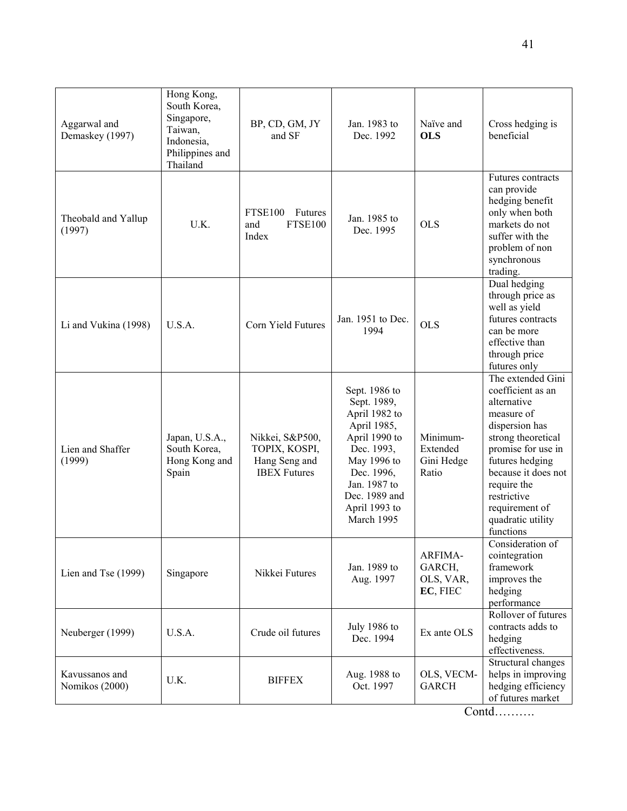| Aggarwal and<br>Demaskey (1997)  | Hong Kong,<br>South Korea,<br>Singapore,<br>Taiwan,<br>Indonesia,<br>Philippines and<br>Thailand | BP, CD, GM, JY<br>and SF                                                 | Jan. 1983 to<br>Dec. 1992                                                                                                                                                                | Naïve and<br><b>OLS</b>                     | Cross hedging is<br>beneficial                                                                                                                                                                                                                                |
|----------------------------------|--------------------------------------------------------------------------------------------------|--------------------------------------------------------------------------|------------------------------------------------------------------------------------------------------------------------------------------------------------------------------------------|---------------------------------------------|---------------------------------------------------------------------------------------------------------------------------------------------------------------------------------------------------------------------------------------------------------------|
| Theobald and Yallup<br>(1997)    | U.K.                                                                                             | <b>FTSE100</b><br>Futures<br><b>FTSE100</b><br>and<br>Index              | Jan. 1985 to<br>Dec. 1995                                                                                                                                                                | <b>OLS</b>                                  | Futures contracts<br>can provide<br>hedging benefit<br>only when both<br>markets do not<br>suffer with the<br>problem of non<br>synchronous<br>trading.                                                                                                       |
| Li and Vukina (1998)             | U.S.A.                                                                                           | Corn Yield Futures                                                       | Jan. 1951 to Dec.<br>1994                                                                                                                                                                | <b>OLS</b>                                  | Dual hedging<br>through price as<br>well as yield<br>futures contracts<br>can be more<br>effective than<br>through price<br>futures only                                                                                                                      |
| Lien and Shaffer<br>(1999)       | Japan, U.S.A.,<br>South Korea,<br>Hong Kong and<br>Spain                                         | Nikkei, S&P500,<br>TOPIX, KOSPI,<br>Hang Seng and<br><b>IBEX Futures</b> | Sept. 1986 to<br>Sept. 1989,<br>April 1982 to<br>April 1985,<br>April 1990 to<br>Dec. 1993,<br>May 1996 to<br>Dec. 1996,<br>Jan. 1987 to<br>Dec. 1989 and<br>April 1993 to<br>March 1995 | Minimum-<br>Extended<br>Gini Hedge<br>Ratio | The extended Gini<br>coefficient as an<br>alternative<br>measure of<br>dispersion has<br>strong theoretical<br>promise for use in<br>futures hedging<br>because it does not<br>require the<br>restrictive<br>requirement of<br>quadratic utility<br>functions |
| Lien and Tse (1999)              | Singapore                                                                                        | Nikkei Futures                                                           | Jan. 1989 to<br>Aug. 1997                                                                                                                                                                | ARFIMA-<br>GARCH,<br>OLS, VAR,<br>EC, FIEC  | Consideration of<br>cointegration<br>framework<br>improves the<br>hedging<br>performance                                                                                                                                                                      |
| Neuberger (1999)                 | U.S.A.                                                                                           | Crude oil futures                                                        | July 1986 to<br>Dec. 1994                                                                                                                                                                | Ex ante OLS                                 | Rollover of futures<br>contracts adds to<br>hedging<br>effectiveness.                                                                                                                                                                                         |
| Kavussanos and<br>Nomikos (2000) | U.K.                                                                                             | <b>BIFFEX</b>                                                            | Aug. 1988 to<br>Oct. 1997                                                                                                                                                                | OLS, VECM-<br><b>GARCH</b>                  | Structural changes<br>helps in improving<br>hedging efficiency<br>of futures market                                                                                                                                                                           |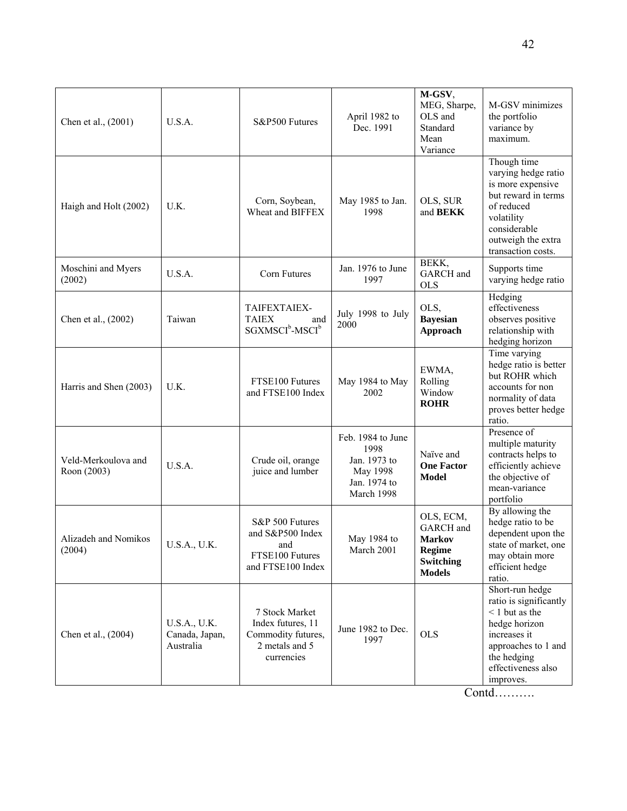| Chen et al., (2001)                | U.S.A.                                      | S&P500 Futures                                                                            | April 1982 to<br>Dec. 1991                                                          | M-GSV,<br>MEG, Sharpe,<br>OLS and<br>Standard<br>Mean<br>Variance                             | M-GSV minimizes<br>the portfolio<br>variance by<br>maximum.                                                                                                             |
|------------------------------------|---------------------------------------------|-------------------------------------------------------------------------------------------|-------------------------------------------------------------------------------------|-----------------------------------------------------------------------------------------------|-------------------------------------------------------------------------------------------------------------------------------------------------------------------------|
| Haigh and Holt (2002)              | U.K.                                        | Corn, Soybean,<br>Wheat and BIFFEX                                                        | May 1985 to Jan.<br>1998                                                            | OLS, SUR<br>and <b>BEKK</b>                                                                   | Though time<br>varying hedge ratio<br>is more expensive<br>but reward in terms<br>of reduced<br>volatility<br>considerable<br>outweigh the extra<br>transaction costs.  |
| Moschini and Myers<br>(2002)       | U.S.A.                                      | Corn Futures                                                                              | Jan. 1976 to June<br>1997                                                           | BEKK,<br>GARCH and<br><b>OLS</b>                                                              | Supports time<br>varying hedge ratio                                                                                                                                    |
| Chen et al., (2002)                | Taiwan                                      | TAIFEXTAIEX-<br><b>TAIEX</b><br>and<br>SGXMSCI <sup>b</sup> -MSCI <sup>b</sup>            | July 1998 to July<br>2000                                                           | OLS,<br><b>Bayesian</b><br>Approach                                                           | Hedging<br>effectiveness<br>observes positive<br>relationship with<br>hedging horizon                                                                                   |
| Harris and Shen (2003)             | U.K.                                        | FTSE100 Futures<br>and FTSE100 Index                                                      | May 1984 to May<br>2002                                                             | EWMA,<br>Rolling<br>Window<br><b>ROHR</b>                                                     | Time varying<br>hedge ratio is better<br>but ROHR which<br>accounts for non<br>normality of data<br>proves better hedge<br>ratio.                                       |
| Veld-Merkoulova and<br>Roon (2003) | U.S.A.                                      | Crude oil, orange<br>juice and lumber                                                     | Feb. 1984 to June<br>1998<br>Jan. 1973 to<br>May 1998<br>Jan. 1974 to<br>March 1998 | Naïve and<br><b>One Factor</b><br><b>Model</b>                                                | Presence of<br>multiple maturity<br>contracts helps to<br>efficiently achieve<br>the objective of<br>mean-variance<br>portfolio                                         |
| Alizadeh and Nomikos<br>(2004)     | U.S.A., U.K.                                | S&P 500 Futures<br>and S&P500 Index<br>and<br>FTSE100 Futures<br>and FTSE100 Index        | May 1984 to<br>March 2001                                                           | OLS, ECM,<br><b>GARCH</b> and<br><b>Markov</b><br><b>Regime</b><br>Switching<br><b>Models</b> | By allowing the<br>hedge ratio to be<br>dependent upon the<br>state of market, one<br>may obtain more<br>efficient hedge<br>ratio.                                      |
| Chen et al., (2004)                | U.S.A., U.K.<br>Canada, Japan,<br>Australia | 7 Stock Market<br>Index futures, 11<br>Commodity futures,<br>2 metals and 5<br>currencies | June 1982 to Dec.<br>1997                                                           | <b>OLS</b>                                                                                    | Short-run hedge<br>ratio is significantly<br>$<$ 1 but as the<br>hedge horizon<br>increases it<br>approaches to 1 and<br>the hedging<br>effectiveness also<br>improves. |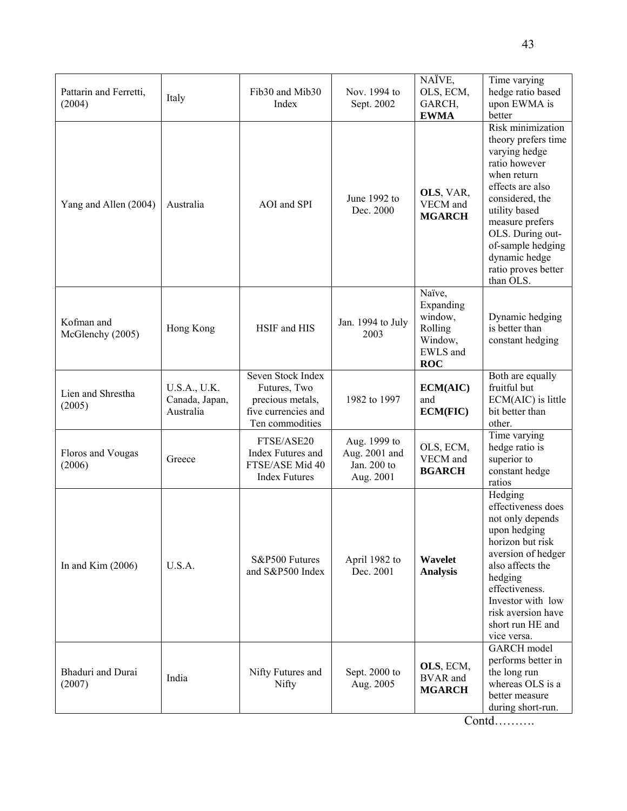| Pattarin and Ferretti,<br>(2004) | Italy                                       | Fib <sub>30</sub> and Mib <sub>30</sub><br>Index                                                | Nov. 1994 to<br>Sept. 2002                                | NAÏVE,<br>OLS, ECM,<br>GARCH,<br><b>EWMA</b>                                   | Time varying<br>hedge ratio based<br>upon EWMA is<br>better                                                                                                                                                                                                        |
|----------------------------------|---------------------------------------------|-------------------------------------------------------------------------------------------------|-----------------------------------------------------------|--------------------------------------------------------------------------------|--------------------------------------------------------------------------------------------------------------------------------------------------------------------------------------------------------------------------------------------------------------------|
| Yang and Allen (2004)            | Australia                                   | AOI and SPI                                                                                     | June 1992 to<br>Dec. 2000                                 | OLS, VAR,<br>VECM and<br><b>MGARCH</b>                                         | Risk minimization<br>theory prefers time<br>varying hedge<br>ratio however<br>when return<br>effects are also<br>considered, the<br>utility based<br>measure prefers<br>OLS. During out-<br>of-sample hedging<br>dynamic hedge<br>ratio proves better<br>than OLS. |
| Kofman and<br>McGlenchy (2005)   | Hong Kong                                   | HSIF and HIS                                                                                    | Jan. 1994 to July<br>2003                                 | Naïve,<br>Expanding<br>window,<br>Rolling<br>Window,<br>EWLS and<br><b>ROC</b> | Dynamic hedging<br>is better than<br>constant hedging                                                                                                                                                                                                              |
| Lien and Shrestha<br>(2005)      | U.S.A., U.K.<br>Canada, Japan,<br>Australia | Seven Stock Index<br>Futures, Two<br>precious metals,<br>five currencies and<br>Ten commodities | 1982 to 1997                                              | ECM(AIC)<br>and<br><b>ECM(FIC)</b>                                             | Both are equally<br>fruitful but<br>ECM(AIC) is little<br>bit better than<br>other.                                                                                                                                                                                |
| Floros and Vougas<br>(2006)      | Greece                                      | FTSE/ASE20<br>Index Futures and<br>FTSE/ASE Mid 40<br><b>Index Futures</b>                      | Aug. 1999 to<br>Aug. 2001 and<br>Jan. 200 to<br>Aug. 2001 | OLS, ECM,<br>VECM and<br><b>BGARCH</b>                                         | Time varying<br>hedge ratio is<br>superior to<br>constant hedge<br>ratios                                                                                                                                                                                          |
| In and Kim $(2006)$              | U.S.A.                                      | S&P500 Futures<br>and S&P500 Index                                                              | April 1982 to<br>Dec. 2001                                | Wavelet<br><b>Analysis</b>                                                     | Hedging<br>effectiveness does<br>not only depends<br>upon hedging<br>horizon but risk<br>aversion of hedger<br>also affects the<br>hedging<br>effectiveness.<br>Investor with low<br>risk aversion have<br>short run HE and<br>vice versa.                         |
| Bhaduri and Durai<br>(2007)      | India                                       | Nifty Futures and<br>Nifty                                                                      | Sept. 2000 to<br>Aug. 2005                                | OLS, ECM,<br><b>BVAR</b> and<br><b>MGARCH</b>                                  | <b>GARCH</b> model<br>performs better in<br>the long run<br>whereas OLS is a<br>better measure<br>during short-run.                                                                                                                                                |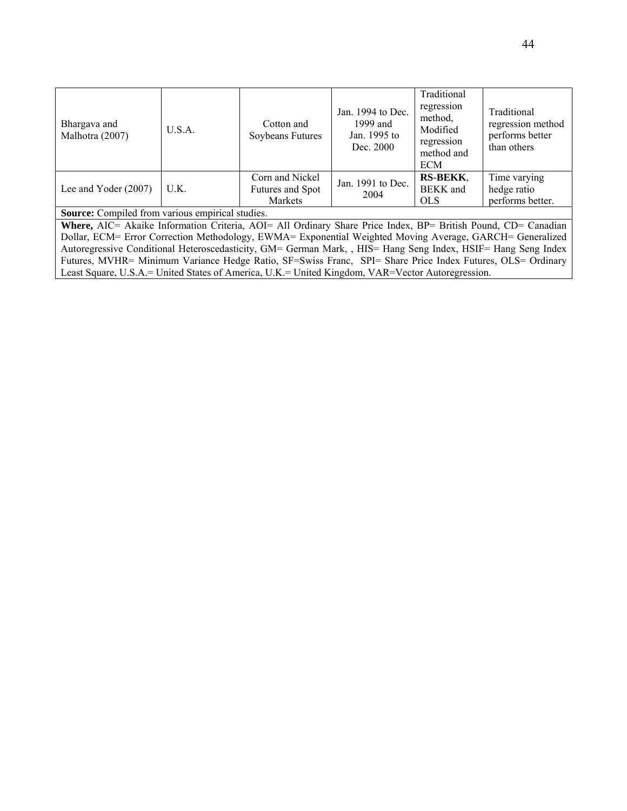| Bhargava and<br>Malhotra (2007)                                                                               | U.S.A.                                                                                                   | Cotton and<br>Soybeans Futures                        | Jan. $1994$ to Dec.<br>1999 and<br>Jan. 1995 to<br>Dec. 2000 | Traditional<br>regression<br>method.<br>Modified<br>regression<br>method and<br><b>ECM</b> | Traditional<br>regression method<br>performs better<br>than others |  |  |  |
|---------------------------------------------------------------------------------------------------------------|----------------------------------------------------------------------------------------------------------|-------------------------------------------------------|--------------------------------------------------------------|--------------------------------------------------------------------------------------------|--------------------------------------------------------------------|--|--|--|
| Lee and Yoder $(2007)$                                                                                        | U.K.                                                                                                     | Corn and Nickel<br>Futures and Spot<br><b>Markets</b> | Jan. 1991 to Dec.<br>2004                                    | <b>RS-BEKK.</b><br><b>BEKK</b> and<br><b>OLS</b>                                           | Time varying<br>hedge ratio<br>performs better.                    |  |  |  |
| Source: Compiled from various empirical studies.                                                              |                                                                                                          |                                                       |                                                              |                                                                                            |                                                                    |  |  |  |
| Where, AIC= Akaike Information Criteria, AOI= All Ordinary Share Price Index, BP= British Pound, CD= Canadian |                                                                                                          |                                                       |                                                              |                                                                                            |                                                                    |  |  |  |
|                                                                                                               | Dollar, ECM= Error Correction Methodology, EWMA= Exponential Weighted Moving Average, GARCH= Generalized |                                                       |                                                              |                                                                                            |                                                                    |  |  |  |
| Autoregressive Conditional Heteroscedasticity, GM= German Mark, HIS= Hang Seng Index, HSIF= Hang Seng Index   |                                                                                                          |                                                       |                                                              |                                                                                            |                                                                    |  |  |  |
| Futures, MVHR= Minimum Variance Hedge Ratio, SF=Swiss Franc, SPI= Share Price Index Futures, OLS= Ordinary    |                                                                                                          |                                                       |                                                              |                                                                                            |                                                                    |  |  |  |

Least Square, U.S.A.= United States of America, U.K.= United Kingdom, VAR=Vector Autoregression.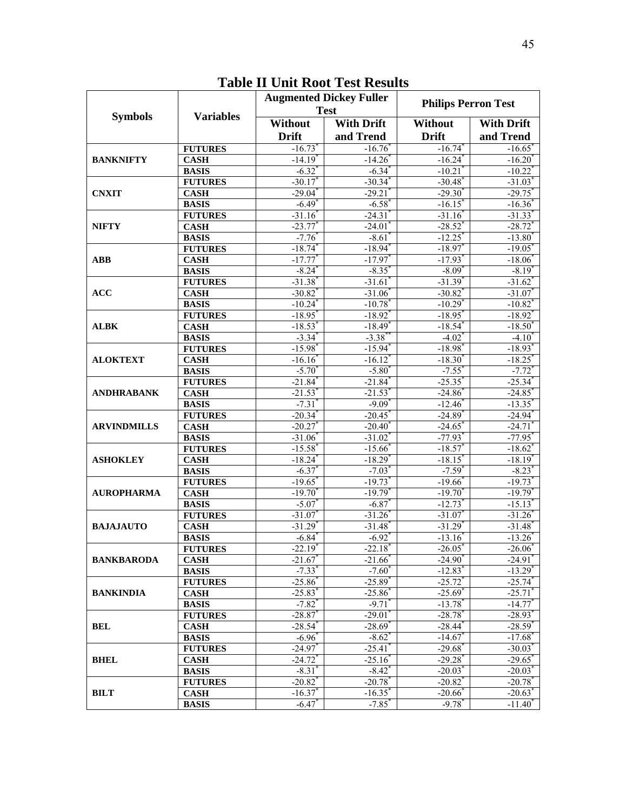|                    | <b>Variables</b>              |                             | <b>Augmented Dickey Fuller</b> | <b>Philips Perron Test</b> |                                  |  |
|--------------------|-------------------------------|-----------------------------|--------------------------------|----------------------------|----------------------------------|--|
| <b>Symbols</b>     |                               |                             | <b>Test</b>                    |                            |                                  |  |
|                    |                               | <b>Without</b>              | <b>With Drift</b>              | Without                    | <b>With Drift</b>                |  |
|                    |                               | <b>Drift</b>                | and Trend                      | <b>Drift</b>               | and Trend                        |  |
|                    | <b>FUTURES</b>                | $-16.73$                    | $-16.76$                       | $-16.74$                   | $-16.65$                         |  |
| <b>BANKNIFTY</b>   | <b>CASH</b>                   | $-14.19*$                   | $-14.26$                       | $-16.24$                   | $-16.20$                         |  |
|                    | <b>BASIS</b>                  | $-6.32$ <sup>*</sup>        | $-6.34$ <sup>*</sup>           | $-10.21$                   | $-10.22$ <sup>*</sup>            |  |
|                    | <b>FUTURES</b>                | $-30.17$                    | $-30.34$                       | $-30.48$                   | $-31.03$                         |  |
| <b>CNXIT</b>       | <b>CASH</b>                   | $-29.04$                    | $-29.21$                       | $-29.30$                   | $-29.75$                         |  |
|                    | <b>BASIS</b>                  | $-6.49$ <sup>*</sup>        | $-6.58$                        | $-16.15$                   | $-16.36$                         |  |
|                    | <b>FUTURES</b>                | $-31.16$                    | $-24.31$                       | $-31.16$                   | $-31.33$                         |  |
| <b>NIFTY</b>       | <b>CASH</b>                   | $-23.77$                    | $-24.01$                       | $-28.52$                   | $-28.72$                         |  |
|                    | <b>BASIS</b>                  | $-7.76$                     | $-8.61$                        | $-12.25$                   | $-13.80$                         |  |
|                    | <b>FUTURES</b>                | $-18.74$                    | $-18.94$                       | $-18.97$                   | $-19.05$                         |  |
| <b>ABB</b>         | <b>CASH</b>                   | $-17.77$                    | $-17.97$                       | $-17.93$                   | $-18.06$ <sup>*</sup>            |  |
|                    | <b>BASIS</b>                  | $-8.24$                     | $-8.35$                        | $-8.09$                    | $-8.19$ <sup>*</sup>             |  |
|                    | <b>FUTURES</b>                | $-31.38$                    | $-31.61$                       | $-31.39$ <sup>*</sup>      | $-31.62$                         |  |
| <b>ACC</b>         | <b>CASH</b>                   | $-30.82$                    | $-31.06$                       | $-30.82$                   | $-31.07$                         |  |
|                    | <b>BASIS</b>                  | $-10.24$ <sup>*</sup>       | $-10.78$                       | $-10.29$                   | $-10.82$ <sup>*</sup>            |  |
|                    | <b>FUTURES</b>                | $-18.95$                    | $-18.92$                       | $-18.95$                   | $-18.92$ <sup>*</sup>            |  |
| <b>ALBK</b>        | <b>CASH</b>                   | $-18.53$                    | $-18.49$                       | $-18.54$                   | $-18.50^{*}$                     |  |
|                    | <b>BASIS</b>                  | $-3.34$                     | $-3.38$ <sup>*</sup>           | $-4.02$ <sup>*</sup>       | $-4.10^{\circ}$                  |  |
|                    | <b>FUTURES</b>                | $-15.98$                    | $-15.94$ <sup>*</sup>          | $-18.98$ <sup>*</sup>      | $-18.93$ <sup>*</sup>            |  |
| <b>ALOKTEXT</b>    | <b>CASH</b>                   | $-16.16$                    | $-16.12$                       | $-18.30$<br>$-7.55$        | $-18.25$                         |  |
|                    | <b>BASIS</b>                  | $-5.70^{\circ}$<br>$-21.84$ | $-5.80^{\circ}$<br>$-21.84$    | $-25.35$                   | $-7.72$ <sup>*</sup><br>$-25.34$ |  |
|                    | <b>FUTURES</b><br><b>CASH</b> | $-21.53$                    | $-21.53$                       | $-24.86$                   | $-24.85$                         |  |
| <b>ANDHRABANK</b>  | <b>BASIS</b>                  | $-7.31$                     | $-9.09$                        | $-12.46$                   | $-13.35$                         |  |
|                    | <b>FUTURES</b>                | $-20.34$                    | $-20.45$                       | $-24.89$                   | $-24.94$                         |  |
| <b>ARVINDMILLS</b> | <b>CASH</b>                   | $-20.27$                    | $-20.40$                       | $-24.65$                   | $-24.71$                         |  |
|                    | <b>BASIS</b>                  | $-31.06$                    | $-31.02$                       | $-77.93$                   | $-77.95$                         |  |
|                    | <b>FUTURES</b>                | $-15.58$                    | $-15.66$                       | $-18.57$                   | $-18.62$                         |  |
| <b>ASHOKLEY</b>    | <b>CASH</b>                   | $-18.24$                    | $-18.29$                       | $-18.15$                   | $-18.19$                         |  |
|                    | <b>BASIS</b>                  | $-6.37$                     | $-7.03$                        | $-7.59$                    | $-8.23$                          |  |
|                    | <b>FUTURES</b>                | $-19.65$                    | $-19.73$                       | $-19.66$                   | $-19.73$                         |  |
| <b>AUROPHARMA</b>  | <b>CASH</b>                   | $-19.70^*$                  | $-19.79$ <sup>*</sup>          | $-19.70$ <sup>*</sup>      | $-19.79$ <sup>*</sup>            |  |
|                    | <b>BASIS</b>                  | $-5.07$                     | $-6.87$                        | $-12.73$                   | $-15.13$                         |  |
|                    | <b>FUTURES</b>                | $-31.07$ <sup>*</sup>       | $-31.26$ <sup>*</sup>          | $-31.07$                   | $-31.26$                         |  |
| <b>BAJAJAUTO</b>   | <b>CASH</b>                   | $-31.29$                    | $-31.48$                       | $-31.29$                   | $-31.48$                         |  |
|                    | <b>BASIS</b>                  | $-6.84$                     | $-6.92$                        | $-13.16$                   | $-13.26$                         |  |
|                    | <b>FUTURES</b>                | $-22.19$ <sup>*</sup>       | $-22.18$                       | $-26.05$                   | $-26.06^*$                       |  |
| <b>BANKBARODA</b>  | <b>CASH</b>                   | $-21.67$                    | $-21.66$                       | $-24.90$                   | $-24.91$                         |  |
|                    | <b>BASIS</b>                  | $-7.33$ <sup>*</sup>        | $-7.60^{\circ}$                | $-12.83$ <sup>*</sup>      | $-13.29$ <sup>*</sup>            |  |
|                    | <b>FUTURES</b>                | $-25.86$ <sup>*</sup>       | $-25.89$ <sup>*</sup>          | $-25.72"$                  | $-25.74$                         |  |
| <b>BANKINDIA</b>   | <b>CASH</b>                   | $-25.83$ <sup>*</sup>       | $-25.86$                       | $-25.69$ <sup>*</sup>      | $-25.71$                         |  |
|                    | <b>BASIS</b>                  | $-7.82$ <sup>*</sup>        | $-9.71$ <sup>*</sup>           | $-13.78$ <sup>*</sup>      | $-14.77$                         |  |
|                    | <b>FUTURES</b>                | $-28.87$                    | $-29.01$                       | $-28.78$                   | $-28.93$ <sup>*</sup>            |  |
| <b>BEL</b>         | <b>CASH</b>                   | $-28.54$ <sup>*</sup>       | $-28.69$ <sup>*</sup>          | $-28.44$ <sup>*</sup>      | $-28.59$ <sup>*</sup>            |  |
|                    | <b>BASIS</b>                  | $-6.96$ <sup>*</sup>        | $-8.62^{\circ}$                | $-14.67$ <sup>*</sup>      | $-17.68$ <sup>*</sup>            |  |
|                    | <b>FUTURES</b>                | $-24.97$                    | $-25.41$                       | $-29.68"$                  | $-30.03$ <sup>*</sup>            |  |
| <b>BHEL</b>        | <b>CASH</b>                   | $-24.72$ <sup>*</sup>       | $-25.16$                       | $-29.28$ <sup>*</sup>      | $-29.65$                         |  |
|                    | <b>BASIS</b>                  | $-8.31$ <sup>*</sup>        | $-8.42$ <sup>*</sup>           | $-20.03$ <sup>*</sup>      | $-20.03$ <sup>*</sup>            |  |
|                    | <b>FUTURES</b>                | $-20.82^{\degree}$          | $-20.78$ <sup>*</sup>          | $-20.82$ <sup>*</sup>      | $-20.78$ <sup>*</sup>            |  |
| <b>BILT</b>        | <b>CASH</b>                   | $-16.37$ <sup>*</sup>       | $-16.35$ <sup>*</sup>          | $-20.66$ <sup>*</sup>      | $-20.63$ <sup>*</sup>            |  |
|                    | <b>BASIS</b>                  | $-6.47$                     | $-7.85$ <sup>*</sup>           | $-9.78$ <sup>*</sup>       | $-11.40^{\circ}$                 |  |

## **Table II Unit Root Test Results**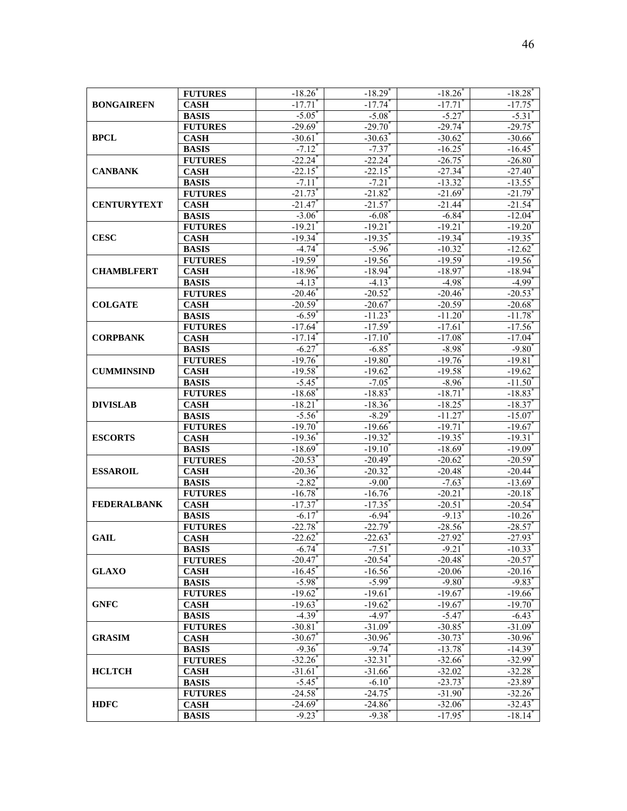| <b>BONGAIREFN</b>  | <b>FUTURES</b> | $-18.26$ <sup>*</sup> | $-18.29$ <sup>*</sup> | $-18.26$ <sup>*</sup> | $-18.28$ <sup>*</sup> |
|--------------------|----------------|-----------------------|-----------------------|-----------------------|-----------------------|
|                    | <b>CASH</b>    | $-17.71$              | $-17.74$ <sup>*</sup> | $-17.71$              | $-17.75$ <sup>*</sup> |
|                    | <b>BASIS</b>   | $-5.05$               | $-5.08^{\circ}$       | $-5.27$               | $-5.31$               |
|                    | <b>FUTURES</b> | $-29.69$              | $-29.70$ <sup>*</sup> | $-29.74$ <sup>*</sup> | $-29.75$              |
| <b>BPCL</b>        | <b>CASH</b>    | $-30.61$              | $-30.63$              | $-30.62$              | $-30.66$              |
|                    | <b>BASIS</b>   | $-7.12$ <sup>*</sup>  | $-7.37$               | $-16.25$              | $-16.45$              |
|                    | <b>FUTURES</b> | $-22.24$ <sup>*</sup> | $-22.24$ <sup>*</sup> | $-26.75$              | $-26.80^*$            |
| <b>CANBANK</b>     | <b>CASH</b>    | $-22.15$              | $-22.15$ <sup>*</sup> | $-27.34$ <sup>*</sup> | $-27.40^{\degree}$    |
|                    | <b>BASIS</b>   | $-7.11$ <sup>*</sup>  | $-7.21$               | $-13.32$ <sup>*</sup> | $-13.55$ <sup>*</sup> |
|                    | <b>FUTURES</b> | $-21.73$ <sup>*</sup> | $-21.82$              | $-21.69$ <sup>*</sup> | $-21.79$ <sup>*</sup> |
| <b>CENTURYTEXT</b> | <b>CASH</b>    | $-21.47$              | $-21.57$              | $-21.44$ <sup>*</sup> | $-21.54$ <sup>*</sup> |
|                    | <b>BASIS</b>   | $-3.06$ <sup>*</sup>  | $-6.08$ <sup>*</sup>  | $-6.84$ <sup>*</sup>  | $-12.04$ <sup>*</sup> |
|                    | <b>FUTURES</b> | $-19.21$              | $-19.21$              | $-19.21$              | $-19.20$              |
| <b>CESC</b>        | <b>CASH</b>    | $-19.34$ <sup>*</sup> | $-19.35$              | $-19.34$              | $-19.35$              |
|                    | <b>BASIS</b>   | $-4.74$ <sup>*</sup>  | $-5.96$               | $-10.32$              | $-12.62$ <sup>*</sup> |
|                    |                | $-19.59$ <sup>*</sup> |                       |                       |                       |
|                    | <b>FUTURES</b> |                       | $-19.56$              | $-19.59$ <sup>*</sup> | $-19.56$              |
| <b>CHAMBLFERT</b>  | <b>CASH</b>    | $-18.96$ <sup>*</sup> | $-18.94$ <sup>*</sup> | $-18.97$ <sup>*</sup> | $-18.94$ <sup>*</sup> |
|                    | <b>BASIS</b>   | $-4.13$ <sup>*</sup>  | $-4.13$ <sup>*</sup>  | $-4.98$ <sup>*</sup>  | $-4.99$ <sup>*</sup>  |
|                    | <b>FUTURES</b> | $-20.46$ <sup>*</sup> | $-20.52$ <sup>*</sup> | $-20.46$              | $-20.53$ <sup>*</sup> |
| <b>COLGATE</b>     | <b>CASH</b>    | $-20.59$ <sup>*</sup> | $-20.67$              | $-20.59$ <sup>*</sup> | $-20.68$ <sup>*</sup> |
|                    | <b>BASIS</b>   | $-6.59^*$             | $-11.23$              | $-11.20$ <sup>*</sup> | $-11.78$ <sup>*</sup> |
|                    | <b>FUTURES</b> | $-17.64$ <sup>*</sup> | $-17.59$ <sup>*</sup> | $-17.61$              | $-17.56^{\circ}$      |
| <b>CORPBANK</b>    | <b>CASH</b>    | $-17.14$ <sup>*</sup> | $-17.10$ <sup>*</sup> | $-17.08$              | $-17.04$ <sup>*</sup> |
|                    | <b>BASIS</b>   | $-6.27$               | $-6.85$               | $-8.98$ <sup>*</sup>  | $-9.80^*$             |
|                    | <b>FUTURES</b> | $-19.76$ <sup>*</sup> | $-19.80$ <sup>*</sup> | $-19.76$              | $-19.81$              |
| <b>CUMMINSIND</b>  | <b>CASH</b>    | $-19.58$              | $-19.62$              | $-19.58$              | $-19.62$              |
|                    | <b>BASIS</b>   | $-5.45^{\circ}$       | $-7.05$               | $-8.96$               | $-11.50$              |
|                    | <b>FUTURES</b> | $-18.68$              | $-18.83$              | $-18.71$              | $-18.83$ <sup>*</sup> |
| <b>DIVISLAB</b>    | <b>CASH</b>    | $-18.21$              | $-18.36$              | $-18.25$              | $-18.37$              |
|                    | <b>BASIS</b>   | $-5.56$               | $-8.29$               | $-11.27$              | $-15.07$              |
|                    | <b>FUTURES</b> | $-19.70$ <sup>*</sup> | $-19.66$              | $-19.71$              | $-19.67$              |
| <b>ESCORTS</b>     | <b>CASH</b>    | $-19.36$ <sup>*</sup> | $-19.32$ <sup>*</sup> | $-19.35$ <sup>*</sup> | $-19.31$              |
|                    | <b>BASIS</b>   | $-18.69$ <sup>*</sup> | $-19.10$              | $-18.69$ <sup>*</sup> | $-19.09$ <sup>*</sup> |
|                    | <b>FUTURES</b> | $-20.53$              | $-20.49$              | $-20.62$              | $-20.59$ <sup>*</sup> |
| <b>ESSAROIL</b>    | <b>CASH</b>    | $-20.36^*$            | $-20.32$              | $-20.48$ <sup>*</sup> | $-20.44$              |
|                    | <b>BASIS</b>   | $-2.82$ <sup>*</sup>  | $-9.00^{\circ}$       | $-7.63$ <sup>*</sup>  | $-13.69*$             |
|                    | <b>FUTURES</b> | $-16.78$ <sup>*</sup> | $-16.76$              | $-20.21$              | $-20.18$ <sup>*</sup> |
| <b>FEDERALBANK</b> | <b>CASH</b>    | $-17.37$ <sup>*</sup> | $-17.35$ <sup>*</sup> | $-20.51$              | $-20.54^{\circ}$      |
|                    | <b>BASIS</b>   | $-6.17$               | $-6.94$               | $-9.13$ <sup>*</sup>  | $-10.26$              |
|                    | <b>FUTURES</b> | $-22.78$ <sup>*</sup> | $-22.79$ <sup>*</sup> | $-28.56$              | $-28.57$              |
| <b>GAIL</b>        | <b>CASH</b>    | $-22.62$              | $-22.63$              | $-27.92$              | $-27.93$ <sup>*</sup> |
|                    | <b>BASIS</b>   | $-6.74$               | $-7.51$               | $-9.21$               | $-10.33$              |
|                    | <b>FUTURES</b> | $-20.47$ *            | $-20.54$ <sup>*</sup> | $-20.48$              | $-20.57$ <sup>*</sup> |
| <b>GLAXO</b>       | <b>CASH</b>    | $-16.45$ <sup>*</sup> | $-16.56$              | $-20.06$              | $-20.16$ <sup>*</sup> |
|                    | <b>BASIS</b>   | $-5.98^*$             | $-5.99$ <sup>*</sup>  | $-9.80^{\circ}$       | $-9.83$ <sup>*</sup>  |
|                    | <b>FUTURES</b> | $-19.62$ <sup>*</sup> | $-19.61$ <sup>*</sup> | $-19.67$              | $-19.66$ <sup>*</sup> |
| <b>GNFC</b>        | <b>CASH</b>    | $-19.63$ <sup>*</sup> | $-19.62$              | $-19.67$              | $-19.70$              |
|                    | <b>BASIS</b>   | $-4.39$ <sup>*</sup>  | $-4.97$               | $-5.47$               | $-6.43$               |
|                    | <b>FUTURES</b> | $-30.81$ <sup>*</sup> | $-31.09$ <sup>*</sup> | $-30.85$ <sup>*</sup> | $-31.09$ <sup>*</sup> |
| <b>GRASIM</b>      | <b>CASH</b>    | $-30.67$              | $-30.96$              | $-30.73$              | $-30.96$ <sup>*</sup> |
|                    | <b>BASIS</b>   | $-9.36^{\circ}$       | $-9.74$ <sup>*</sup>  | $-13.78$ <sup>*</sup> | $-14.39*$             |
|                    | <b>FUTURES</b> | $-32.26$ <sup>*</sup> | $-32.31'$             | $-32.66$ <sup>*</sup> | $-32.99^{\circ}$      |
| <b>HCLTCH</b>      | <b>CASH</b>    | $-31.61$ <sup>*</sup> | $-31.66$              | $-32.02$ <sup>*</sup> | $-32.28$ <sup>*</sup> |
|                    | <b>BASIS</b>   | $-5.45$               | $-6.10$               | $-23.73$              | $-23.89$ <sup>*</sup> |
|                    | <b>FUTURES</b> | $-24.58$ <sup>*</sup> | $-24.75$              | $-31.90$ <sup>*</sup> | $-32.26$ <sup>*</sup> |
| <b>HDFC</b>        | <b>CASH</b>    | $-24.69$ <sup>*</sup> | $-24.86$              | $-32.06$ <sup>*</sup> | $-32.43$ <sup>*</sup> |
|                    | <b>BASIS</b>   | $-9.23$ <sup>*</sup>  | $-9.38$               | $-17.95$ <sup>*</sup> | $-18.14$ <sup>*</sup> |
|                    |                |                       |                       |                       |                       |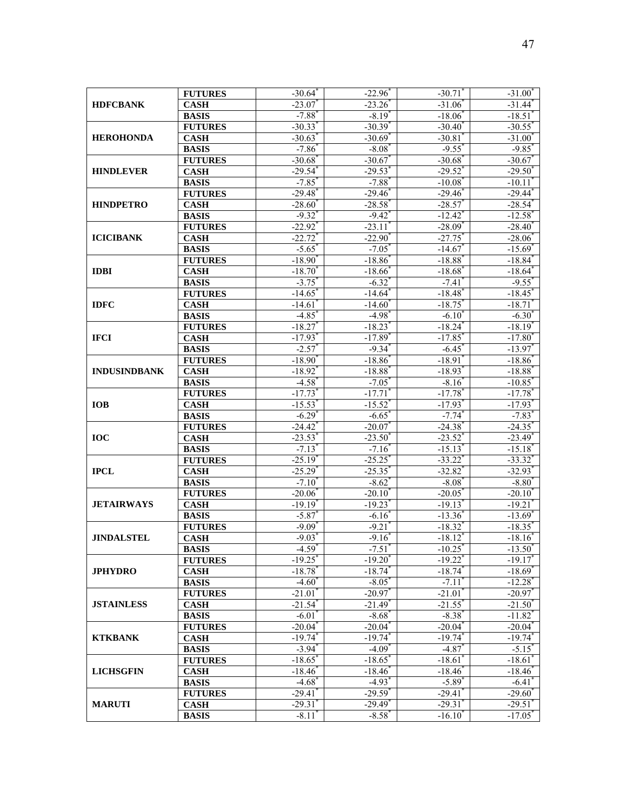| <b>HDFCBANK</b>     | <b>FUTURES</b>                 | $-30.64$ <sup>*</sup>       | $-22.96$              | $-30.71$ <sup>*</sup>            | $-31.00$                  |
|---------------------|--------------------------------|-----------------------------|-----------------------|----------------------------------|---------------------------|
|                     | <b>CASH</b>                    | $-23.07$                    | $-23.26$              | $-31.06$                         | $-31.44$ <sup>*</sup>     |
|                     | <b>BASIS</b>                   | $-7.88$ <sup>*</sup>        | $-8.19^{*}$           | $-18.06$                         | $-18.51'$                 |
|                     | <b>FUTURES</b>                 | $-30.33$ <sup>*</sup>       | $-30.39$ <sup>*</sup> | $-30.40$                         | $-30.55$                  |
| <b>HEROHONDA</b>    | <b>CASH</b>                    | $-30.63$                    | $-30.69$ <sup>*</sup> | $-30.81$                         | $-31.00$                  |
|                     | <b>BASIS</b>                   | $-7.86$ <sup>*</sup>        | $-8.08^*$             | $-9.55$ <sup>*</sup>             | $-9.85$ <sup>*</sup>      |
|                     | <b>FUTURES</b>                 | $-30.68$ <sup>*</sup>       | $-30.67$              | $-30.68$ <sup>*</sup>            | $-30.67$                  |
| <b>HINDLEVER</b>    | <b>CASH</b>                    | $-29.54$ <sup>*</sup>       | $-29.53$              | $-29.52$                         | $-29.50^*$                |
|                     | <b>BASIS</b>                   | $-7.85$ <sup>*</sup>        | $-7.88$ <sup>*</sup>  | $-10.08$ <sup>*</sup>            | $-10.11'$                 |
|                     | <b>FUTURES</b>                 | $-29.48$ <sup>*</sup>       | $-29.46$              | $-29.46$                         | $-29.44$ <sup>*</sup>     |
| <b>HINDPETRO</b>    | <b>CASH</b>                    | $-28.60"$                   | $-28.58$              | $-28.57$                         | $-28.54$ <sup>*</sup>     |
|                     | <b>BASIS</b>                   | $-9.32$ <sup>*</sup>        | $-9.42$ <sup>*</sup>  | $-12.42$                         | $-12.58$ <sup>*</sup>     |
|                     | <b>FUTURES</b>                 | $-22.92$ <sup>*</sup>       | $-23.11$              | $-28.09$ <sup>*</sup>            | $-28.40$                  |
| <b>ICICIBANK</b>    | <b>CASH</b>                    | $-22.72$                    | $-22.90$              | $-27.75$                         | $-28.06$ <sup>*</sup>     |
|                     | <b>BASIS</b>                   | $-5.65$ <sup>*</sup>        | $-7.05$               | $-14.67$                         | $-15.69$ <sup>*</sup>     |
|                     | <b>FUTURES</b>                 | $-18.90$                    | $-18.86$              | $-18.88$                         | $-18.84$ <sup>*</sup>     |
| <b>IDBI</b>         | <b>CASH</b>                    | $-18.70^{*}$                | $-18.66$ <sup>*</sup> | $-18.68$ <sup>*</sup>            | $-18.64$ <sup>*</sup>     |
|                     | <b>BASIS</b>                   | $-3.75$ <sup>*</sup>        | $-6.32$ <sup>*</sup>  | $-7.41$                          | $-9.55$ <sup>*</sup>      |
|                     | <b>FUTURES</b>                 | $-14.65$ <sup>*</sup>       | $-14.64$ <sup>*</sup> | $-18.48$ <sup>*</sup>            | $-18.45$ <sup>*</sup>     |
| <b>IDFC</b>         | $\overline{\textbf{CASH}}$     | $-14.61$                    | $-14.60^{\circ}$      | $-18.75$                         | $-18.71$                  |
|                     | <b>BASIS</b>                   | $-4.85$                     | $-4.98$ <sup>*</sup>  | $-6.10^{\circ}$                  | $-6.30^{\circ}$           |
|                     | <b>FUTURES</b>                 | $-18.27$                    | $-18.23$ <sup>*</sup> | $-18.24$                         | $-18.19"$                 |
| <b>IFCI</b>         | <b>CASH</b>                    | $-17.93$ <sup>*</sup>       | $-17.89$ <sup>*</sup> | $-17.85$ <sup>*</sup>            | $-17.80$ <sup>*</sup>     |
|                     | <b>BASIS</b>                   | $-2.57$                     | $-9.34$ <sup>*</sup>  | $-6.45$                          | $-13.97$                  |
|                     | <b>FUTURES</b>                 | $-18.90^*$                  | $-18.86$ <sup>*</sup> | $-18.91'$                        | $-18.86$ <sup>*</sup>     |
| <b>INDUSINDBANK</b> | <b>CASH</b>                    | $-18.92$                    | $-18.88$              | $-18.93$                         | $-18.88$                  |
|                     | <b>BASIS</b>                   | $-4.58$ <sup>*</sup>        | $-7.05$               | $-8.16$                          | $-10.85$ <sup>*</sup>     |
|                     | <b>FUTURES</b>                 | $-17.73$                    | $-17.71$              | $-17.78$                         | $-17.78$ <sup>*</sup>     |
| <b>IOB</b>          | <b>CASH</b>                    | $-15.53$                    | $-15.52$              | $-17.93$                         | $-17.93$ <sup>*</sup>     |
|                     | <b>BASIS</b>                   | $-6.29$ <sup>*</sup>        | $-6.65$               | $-7.74$ <sup>*</sup>             | $-7.83$ <sup>*</sup>      |
|                     | <b>FUTURES</b>                 | $-24.42^{\degree}$          | $-20.07$              | $-24.38$                         | $-24.35$                  |
| <b>IOC</b>          | <b>CASH</b>                    | $-23.53$ <sup>*</sup>       | $-23.50$              | $-23.52$ <sup>*</sup>            | $-23.49$ <sup>*</sup>     |
|                     | <b>BASIS</b>                   | $-7.13$ <sup>*</sup>        | $-7.16$               | $-15.13$ <sup>*</sup>            | $-15.18$ <sup>*</sup>     |
|                     | <b>FUTURES</b>                 | $-25.19"$                   | $-25.25$              | $-33.22$                         | $-33.32$ <sup>*</sup>     |
| <b>IPCL</b>         | <b>CASH</b>                    | $-25.29$                    | $-25.35$ <sup>*</sup> | $-32.82$ <sup>*</sup>            | $-32.93$ <sup>*</sup>     |
|                     | <b>BASIS</b><br><b>FUTURES</b> | $-7.10^{\circ}$<br>$-20.06$ | $-8.62$<br>$-20.10^*$ | $-8.08$ <sup>*</sup><br>$-20.05$ | $-8.80^{*}$<br>$-20.10^*$ |
| <b>JETAIRWAYS</b>   | <b>CASH</b>                    | $-19.19*$                   | $-19.23$ <sup>*</sup> | $-19.13$ <sup>*</sup>            | $-19.21$                  |
|                     | <b>BASIS</b>                   | $-5.87$                     | $-6.16$               | $-13.36$                         | $-13.69$ <sup>*</sup>     |
|                     | <b>FUTURES</b>                 | $-9.09^{\circ}$             | $-9.21$               | $-18.32$                         | $-18.35$ <sup>*</sup>     |
| <b>JINDALSTEL</b>   | <b>CASH</b>                    | $-9.03$ <sup>*</sup>        | $-9.16$               | $-18.12$                         | $-18.16$                  |
|                     | <b>BASIS</b>                   | $-4.59$ <sup>*</sup>        | $-7.51$               | $-10.25$                         | $-13.50$                  |
|                     | <b>FUTURES</b>                 | $-19.25$                    | $-19.20$ <sup>*</sup> | $-19.22$ <sup>*</sup>            | $-19.17$                  |
| <b>JPHYDRO</b>      | <b>CASH</b>                    | $-18.78$ <sup>*</sup>       | $-18.74$ <sup>*</sup> | $-18.74$                         | $-18.69$ <sup>*</sup>     |
|                     | <b>BASIS</b>                   | $-4.60^{\degree}$           | $-8.05^*$             | $-7.11$                          | $-12.28$ <sup>*</sup>     |
|                     | <b>FUTURES</b>                 | $-21.01$ <sup>*</sup>       | $-20.97$ *            | $-21.01$                         | $-20.97$                  |
| <b>JSTAINLESS</b>   | <b>CASH</b>                    | $-21.54$ <sup>*</sup>       | $-21.49$ <sup>*</sup> | $-21.55$                         | $-21.50^{\degree}$        |
|                     | <b>BASIS</b>                   | $-6.01$ <sup>*</sup>        | $-8.68$ <sup>*</sup>  | $-8.38^{*}$                      | $-11.82$ <sup>*</sup>     |
|                     | <b>FUTURES</b>                 | $-20.04$ <sup>*</sup>       | $-20.04^*$            | $-20.04$ <sup>*</sup>            | $-20.04$ <sup>*</sup>     |
| <b>KTKBANK</b>      | <b>CASH</b>                    | $-19.74$ <sup>*</sup>       | $-19.74$              | $-19.74$                         | $-19.74$ <sup>*</sup>     |
|                     | <b>BASIS</b>                   | $-3.94^{\degree}$           | $-4.09*$              | $-4.87$ <sup>*</sup>             | $-5.15^*$                 |
|                     | <b>FUTURES</b>                 | $-18.65$ <sup>*</sup>       | $-18.65^{\circ}$      | $-18.61$                         | $-18.61$ <sup>*</sup>     |
| <b>LICHSGFIN</b>    | <b>CASH</b>                    | $-18.46^*$                  | $-18.46$              | $-18.46$                         | $-18.46$                  |
|                     | <b>BASIS</b>                   | $-4.68$ <sup>*</sup>        | $-4.93$ <sup>*</sup>  | $-5.89$ <sup>*</sup>             | $-6.41$                   |
|                     | <b>FUTURES</b>                 | $-29.41$                    | $-29.59$ <sup>*</sup> | $-29.41$                         | $-29.60^{\degree}$        |
| <b>MARUTI</b>       | <b>CASH</b>                    | $-29.31$ <sup>*</sup>       | $-29.49$ <sup>*</sup> | $-29.31$                         | $-29.51$ <sup>*</sup>     |
|                     | <b>BASIS</b>                   | $-8.11$                     | $-8.58$ <sup>*</sup>  | $-16.10^{*}$                     | $-17.05$ <sup>*</sup>     |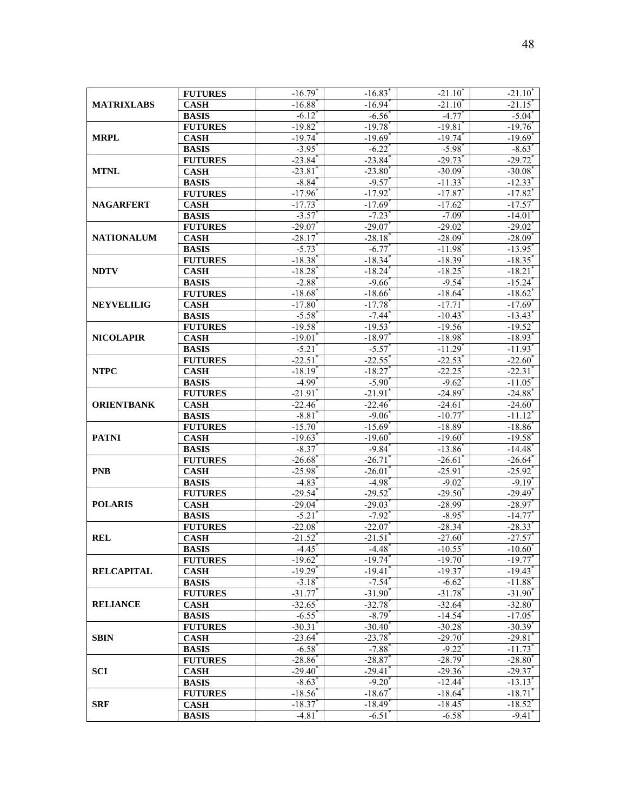| <b>MATRIXLABS</b> | <b>FUTURES</b>              | $-16.79$ <sup>*</sup> | $-16.83$ <sup>*</sup> | $-21.10$              | $-21.10$              |
|-------------------|-----------------------------|-----------------------|-----------------------|-----------------------|-----------------------|
|                   | <b>CASH</b>                 | $-16.88$ <sup>*</sup> | $-16.94$ <sup>*</sup> | $-21.10^{\degree}$    | $-21.15$ <sup>*</sup> |
|                   | <b>BASIS</b>                | $-6.12$ <sup>*</sup>  | $-6.56$               | $-4.77$               | $-5.04^{\degree}$     |
| <b>MRPL</b>       | <b>FUTURES</b>              | $-19.82$ <sup>*</sup> | $-19.78$ <sup>*</sup> | $-19.81$              | $-19.76$              |
|                   | <b>CASH</b>                 | $-19.74$ <sup>*</sup> | $-19.69$ <sup>*</sup> | $-19.74$              | $-19.69$ <sup>*</sup> |
|                   | <b>BASIS</b>                | $-3.95$ <sup>*</sup>  | $-6.22$ <sup>*</sup>  | $-5.98^*$             | $-8.63^{\circ}$       |
|                   | <b>FUTURES</b>              | $-23.84$ <sup>*</sup> | $-23.84$ <sup>*</sup> | $-29.73$              | $-29.72$ *            |
| <b>MTNL</b>       | <b>CASH</b>                 | $-23.81'$             | $-23.80^*$            | $-30.09$ <sup>*</sup> | $-30.08"$             |
|                   | <b>BASIS</b>                | $-8.84^{\circ}$       | $-9.57$               | $-11.33$              | $-12.33$ <sup>*</sup> |
|                   | <b>FUTURES</b>              | $-17.96$ <sup>*</sup> | $-17.92$              | $-17.87$              | $-17.82$ <sup>*</sup> |
| <b>NAGARFERT</b>  | <b>CASH</b>                 | $-17.73$              | $-17.69$ <sup>*</sup> | $-17.62$              | $-17.57$              |
|                   | <b>BASIS</b>                | $-3.57$               | $-7.23$ <sup>*</sup>  | $-7.09$ <sup>*</sup>  | $-14.01$              |
|                   | <b>FUTURES</b>              | $-29.07$              | $-29.07$              | $-29.02$              | $-29.02$              |
| <b>NATIONALUM</b> | <b>CASH</b>                 | $-28.17$              | $-28.18$              | $-28.09$ <sup>*</sup> | $-28.09$ <sup>*</sup> |
|                   | <b>BASIS</b>                | $-5.73$               | $-6.77$               | $-11.98$              | $-13.95$ <sup>*</sup> |
|                   | <b>FUTURES</b>              | $-18.38$ <sup>*</sup> | $-18.34$              | $-18.39$ <sup>*</sup> | $-18.35$              |
| <b>NDTV</b>       | <b>CASH</b>                 | $-18.28$ <sup>*</sup> | $-18.24$ <sup>*</sup> | $-18.25$ <sup>*</sup> | $-18.21$              |
|                   | <b>BASIS</b>                | $-2.88$ <sup>*</sup>  | $-9.66$ <sup>*</sup>  | $-9.54$ <sup>*</sup>  | $-15.24$ <sup>*</sup> |
|                   | <b>FUTURES</b>              | $-18.68$ <sup>*</sup> | $-18.66$              | $-18.64$              | $-18.62$ <sup>*</sup> |
| <b>NEYVELILIG</b> | $\overline{\textbf{C}}$ ASH | $-17.80^{*}$          | $-17.78$              | $-17.71$              | $-17.69$ <sup>*</sup> |
|                   | <b>BASIS</b>                | $-5.58$ <sup>*</sup>  | $-7.44$ <sup>*</sup>  | $-10.43'$             | $-13.43$ <sup>*</sup> |
|                   | <b>FUTURES</b>              | $-19.58$ <sup>*</sup> | $-19.53$ <sup>*</sup> | $-19.56$ <sup>*</sup> | $-19.52$ <sup>*</sup> |
| <b>NICOLAPIR</b>  | <b>CASH</b>                 | $-19.01$ <sup>*</sup> | $-18.97$              | $-18.98$ <sup>*</sup> | $-18.93$ <sup>*</sup> |
|                   | <b>BASIS</b>                | $-5.21$               | $-5.57$               | $-11.29$ <sup>*</sup> | $-11.93$ <sup>*</sup> |
|                   | <b>FUTURES</b>              | $-22.51$ <sup>*</sup> | $-22.55$              | $-22.53$ <sup>*</sup> | $-22.60^{\circ}$      |
| <b>NTPC</b>       | <b>CASH</b>                 | $-18.19$ <sup>*</sup> | $-18.27$              | $-22.25$              | $-22.31$              |
|                   | <b>BASIS</b>                | $-4.99$ <sup>*</sup>  | $-5.90^{\circ}$       | $-9.62$ <sup>*</sup>  | $-11.05$              |
|                   | <b>FUTURES</b>              | $-21.91$              | $-21.91$              | $-24.89$ <sup>*</sup> | $-24.88$ <sup>*</sup> |
| <b>ORIENTBANK</b> | <b>CASH</b>                 | $-22.46$              | $-22.46$              | $-24.61$              | $-24.60$ <sup>*</sup> |
|                   | <b>BASIS</b>                | $-8.81$               | $-9.06$               | $-10.77$              | $-11.12$              |
|                   | <b>FUTURES</b>              | $-15.70^{\degree}$    | $-15.69$ <sup>*</sup> | $-18.89$ <sup>*</sup> | $-18.86$              |
| <b>PATNI</b>      | <b>CASH</b>                 | $-19.63$              | $-19.60^{\degree}$    | $-19.60^*$            | $-19.58$ <sup>*</sup> |
|                   | <b>BASIS</b>                | $-8.37$ <sup>*</sup>  | $-9.84$ <sup>*</sup>  | $-13.86$              | $-14.48$ <sup>*</sup> |
|                   | <b>FUTURES</b>              | $-26.68$              | $-26.71$              | $-26.61$              | $-26.64$ <sup>*</sup> |
| <b>PNB</b>        | <b>CASH</b>                 | $-25.98$ <sup>*</sup> | $-26.01$              | $-25.91$              | $-25.92$ <sup>*</sup> |
|                   | <b>BASIS</b>                | $-4.83$ <sup>*</sup>  | $-4.98$ <sup>*</sup>  | $-9.02$               | $-9.19^*$             |
|                   | <b>FUTURES</b>              | $-29.54$ <sup>*</sup> | $-29.52$ <sup>*</sup> | $-29.50$              | $-29.49"$             |
| <b>POLARIS</b>    | <b>CASH</b>                 | $-29.04$ <sup>*</sup> | $-29.03$ <sup>*</sup> | $-28.99$ <sup>*</sup> | $-28.97$              |
|                   | <b>BASIS</b>                | $-5.21$               | $-7.92$ <sup>*</sup>  | $-8.95$               | $-14.77$              |
|                   | <b>FUTURES</b>              | $-22.08$ <sup>*</sup> | $-22.07$              | $-28.34$              | $-28.33$ <sup>*</sup> |
| <b>REL</b>        | <b>CASH</b>                 | $-21.52$ <sup>*</sup> | $-21.51$              | $-27.60$              | $-27.57$              |
|                   | <b>BASIS</b>                | $-4.45$               | $-4.48$               | $-10.55$              | $-10.60$              |
|                   | <b>FUTURES</b>              | $-19.62$ <sup>*</sup> | $-19.74$ <sup>*</sup> | $-19.70^{\degree}$    | $-19.77$ <sup>*</sup> |
| <b>RELCAPITAL</b> | <b>CASH</b>                 | $-19.29$ <sup>*</sup> | $-19.41$              | $-19.37$              | $-19.43$ <sup>*</sup> |
|                   | <b>BASIS</b>                | $-3.18$ <sup>*</sup>  | $-7.54$ <sup>*</sup>  | $-6.62$               | $-11.88$ <sup>*</sup> |
|                   | <b>FUTURES</b>              | $-31.77$ <sup>*</sup> | $-31.90$ <sup>*</sup> | $-31.78$ <sup>*</sup> | $-31.90^{\degree}$    |
| <b>RELIANCE</b>   | <b>CASH</b>                 | $-32.65$ <sup>*</sup> | $-32.78$ <sup>*</sup> | $-32.64$ <sup>*</sup> | $-32.80$ <sup>*</sup> |
|                   | <b>BASIS</b>                | $-6.55$ <sup>*</sup>  | $-8.79^{^{\circ}}$    | $-14.54$ <sup>*</sup> | $-17.05$ <sup>*</sup> |
|                   | <b>FUTURES</b>              | $-30.31$ <sup>*</sup> | $-30.40$ <sup>*</sup> | $-30.28$ <sup>*</sup> | $-30.39$ <sup>*</sup> |
| <b>SBIN</b>       | <b>CASH</b>                 | $-23.64$ <sup>*</sup> | $-23.78$              | $-29.70$              | $-29.81$              |
|                   | <b>BASIS</b>                | $-6.58$ <sup>*</sup>  | $-7.88$ <sup>*</sup>  | $-9.22$ <sup>*</sup>  | $-11.73$ <sup>*</sup> |
|                   | <b>FUTURES</b>              | $-28.86^{\circ}$      | $-28.87$              | $-28.79$ <sup>*</sup> | $-28.80^*$            |
| <b>SCI</b>        | <b>CASH</b>                 | $-29.40$ <sup>*</sup> | $-29.41$ <sup>*</sup> | $-29.36$              | $-29.37$ <sup>*</sup> |
|                   | <b>BASIS</b>                | $-8.63$ <sup>*</sup>  | $-9.20$               | $-12.44$ <sup>*</sup> | $-13.13$ <sup>*</sup> |
|                   | <b>FUTURES</b>              | $-18.56$              | $-18.67$              | $-18.64$ <sup>*</sup> | $-18.71$              |
| <b>SRF</b>        | <b>CASH</b>                 | $-18.37$ <sup>*</sup> | $-18.49$ <sup>*</sup> | $-18.45$ <sup>*</sup> | $-18.52$ <sup>*</sup> |
|                   | <b>BASIS</b>                | $-4.81$               | $-6.51$               | $-6.58$ <sup>*</sup>  | $-9.41$ <sup>*</sup>  |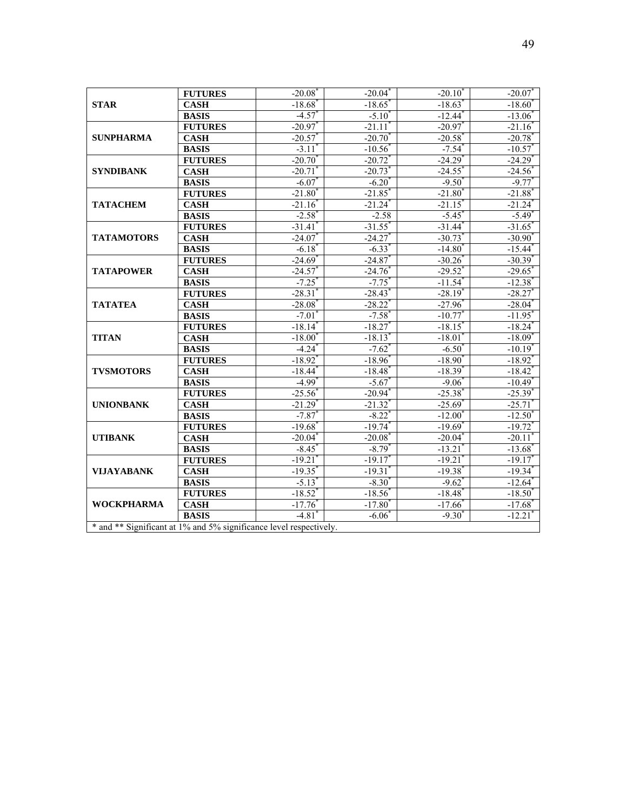| <b>STAR</b>                                                        | <b>FUTURES</b>           | $-20.08^{\degree}$    | $-20.04^{\degree}$    | $-20.10^{\degree}$    | $-20.07$              |  |  |  |  |
|--------------------------------------------------------------------|--------------------------|-----------------------|-----------------------|-----------------------|-----------------------|--|--|--|--|
|                                                                    | <b>CASH</b>              | $-18.68$ <sup>*</sup> | $-18.65$ <sup>*</sup> | $-18.63$ <sup>*</sup> | $-18.60^*$            |  |  |  |  |
|                                                                    | <b>BASIS</b>             | $-4.57$ <sup>*</sup>  | $-5.10^{\degree}$     | $-12.44$ <sup>*</sup> | $-13.06$              |  |  |  |  |
|                                                                    | <b>FUTURES</b>           | $-20.97$ <sup>*</sup> | $-21.11$              | $-20.97$              | $-21.16$              |  |  |  |  |
| <b>SUNPHARMA</b>                                                   | <b>CASH</b>              | $-20.57$              | $-20.70^{*}$          | $-20.58$ <sup>*</sup> | $-20.78$ <sup>*</sup> |  |  |  |  |
|                                                                    | <b>BASIS</b>             | $-3.11$ <sup>*</sup>  | $-10.56$ <sup>*</sup> | $-7.54$ <sup>*</sup>  | $-10.57$              |  |  |  |  |
|                                                                    | <b>FUTURES</b>           | $-20.70$              | $-20.72$              | $-24.29$ <sup>*</sup> | $-24.29$ <sup>*</sup> |  |  |  |  |
| <b>SYNDIBANK</b>                                                   | <b>CASH</b>              | $-20.71$              | $-20.73$ <sup>*</sup> | $-24.55$ <sup>*</sup> | $-24.56$ <sup>*</sup> |  |  |  |  |
|                                                                    | <b>BASIS</b>             | $-6.07$ <sup>*</sup>  | $-6.20^*$             | $-9.50^*$             | $-9.77$               |  |  |  |  |
|                                                                    | <b>FUTURES</b>           | $-21.80$              | $-21.85$              | $-21.80$              | $-21.88$ <sup>*</sup> |  |  |  |  |
| <b>TATACHEM</b>                                                    | <b>CASH</b>              | $-21.16$              | $-21.24$ <sup>*</sup> | $-21.15$              | $-21.24$ <sup>*</sup> |  |  |  |  |
|                                                                    | <b>BASIS</b>             | $-2.58$               | $-2.58$               | $-5.45$               | $-5.49$ <sup>*</sup>  |  |  |  |  |
|                                                                    | <b>FUTURES</b>           | $-31.41'$             | $-31.55$ <sup>*</sup> | $-31.44$              | $-31.65$              |  |  |  |  |
| <b>TATAMOTORS</b>                                                  | <b>CASH</b>              | $-24.07$              | $-24.27$              | $-30.73$              | $-30.90^*$            |  |  |  |  |
|                                                                    | <b>BASIS</b>             | $-6.18$               | $-6.33$               | $-14.80$              | $-15.44$ <sup>*</sup> |  |  |  |  |
|                                                                    | <b>FUTURES</b>           | $-24.69$              | $-24.87$              | $-30.26$              | $-30.39$ <sup>*</sup> |  |  |  |  |
| <b>TATAPOWER</b>                                                   | <b>CASH</b>              | $-24.57$              | $-24.76$              | $-29.52$ <sup>*</sup> | $-29.65$              |  |  |  |  |
|                                                                    | <b>BASIS</b>             | $-7.25$ <sup>*</sup>  | $-7.75$ <sup>*</sup>  | $-11.54$ <sup>*</sup> | $-12.38$ <sup>*</sup> |  |  |  |  |
|                                                                    | <b>FUTURES</b>           | $-28.31$              | $-28.43$ <sup>*</sup> | $-28.19$ <sup>*</sup> | $-28.27$              |  |  |  |  |
| <b>TATATEA</b>                                                     | <b>CASH</b>              | $-28.08$              | $-28.22$              | $-27.96$ <sup>*</sup> | $-28.04$ <sup>*</sup> |  |  |  |  |
|                                                                    | <b>BASIS</b>             | $-7.01$               | $-7.58$ <sup>*</sup>  | $-10.77$              | $-11.95$              |  |  |  |  |
|                                                                    | <b>FUTURES</b>           | $-18.14"$             | $-18.27$              | $-18.15$              | $-18.24$ <sup>*</sup> |  |  |  |  |
| <b>TITAN</b>                                                       | <b>CASH</b>              | $-18.00$              | $-18.13$              | $-18.01$              | $-18.09$ <sup>*</sup> |  |  |  |  |
|                                                                    | <b>BASIS</b>             | $-4.24$ <sup>*</sup>  | $-7.62$ <sup>*</sup>  | $-6.50^*$             | $-10.19*$             |  |  |  |  |
|                                                                    | <b>FUTURES</b>           | $-18.92$ <sup>*</sup> | $-18.96$              | $-18.90^*$            | $-18.92$ <sup>*</sup> |  |  |  |  |
| <b>TVSMOTORS</b>                                                   | <b>CASH</b>              | $-18.44$ <sup>*</sup> | $-18.48$ <sup>*</sup> | $-18.39$ <sup>*</sup> | $-18.42$ <sup>*</sup> |  |  |  |  |
|                                                                    | <b>BASIS</b>             | $-4.99$ <sup>*</sup>  | $-5.67$               | $-9.06$               | $-10.49$ <sup>*</sup> |  |  |  |  |
|                                                                    | <b>FUTURES</b>           | $-25.56$              | $-20.94$ <sup>*</sup> | $-25.38$              | $-25.39$ <sup>*</sup> |  |  |  |  |
| <b>UNIONBANK</b>                                                   | $\overline{\text{CASH}}$ | $-21.29$              | $-21.32$              | $-25.69"$             | $-25.71$              |  |  |  |  |
|                                                                    | <b>BASIS</b>             | $-7.87$               | $-8.22$               | $-12.00$              | $-12.50$              |  |  |  |  |
|                                                                    | <b>FUTURES</b>           | $-19.68$ <sup>*</sup> | $-19.74$ <sup>*</sup> | $-19.69$ <sup>*</sup> | $-19.72$ <sup>*</sup> |  |  |  |  |
| <b>UTIBANK</b>                                                     | <b>CASH</b>              | $-20.04$ <sup>*</sup> | $-20.08$              | $-20.04$ <sup>*</sup> | $-20.11$              |  |  |  |  |
|                                                                    | <b>BASIS</b>             | $-8.45$ <sup>*</sup>  | $-8.79*$              | $-13.21$ <sup>*</sup> | $-13.68$ <sup>*</sup> |  |  |  |  |
|                                                                    | <b>FUTURES</b>           | $-19.21$              | $-19.17$ <sup>*</sup> | $-19.21$              | $-19.17$              |  |  |  |  |
| <b>VIJAYABANK</b>                                                  | <b>CASH</b>              | $-19.35$              | $-19.31$              | $-19.38$ <sup>*</sup> | $-19.34$ <sup>*</sup> |  |  |  |  |
|                                                                    | <b>BASIS</b>             | $-5.13$ <sup>*</sup>  | $-8.30^{*}$           | $-9.62$ <sup>*</sup>  | $-12.64$ <sup>*</sup> |  |  |  |  |
|                                                                    | <b>FUTURES</b>           | $-18.52$ <sup>*</sup> | $-18.56$ <sup>*</sup> | $-18.48$ <sup>*</sup> | $-18.50^{*}$          |  |  |  |  |
| <b>WOCKPHARMA</b>                                                  | <b>CASH</b>              | $-17.76$              | $-17.80^*$            | $-17.66$ <sup>*</sup> | $-17.68$ <sup>*</sup> |  |  |  |  |
|                                                                    | <b>BASIS</b>             | $-4.81$ <sup>*</sup>  | $-6.06$ <sup>*</sup>  | $-9.30^{\circ}$       | $-12.21$              |  |  |  |  |
| * and ** Significant at 1% and 5% significance level respectively. |                          |                       |                       |                       |                       |  |  |  |  |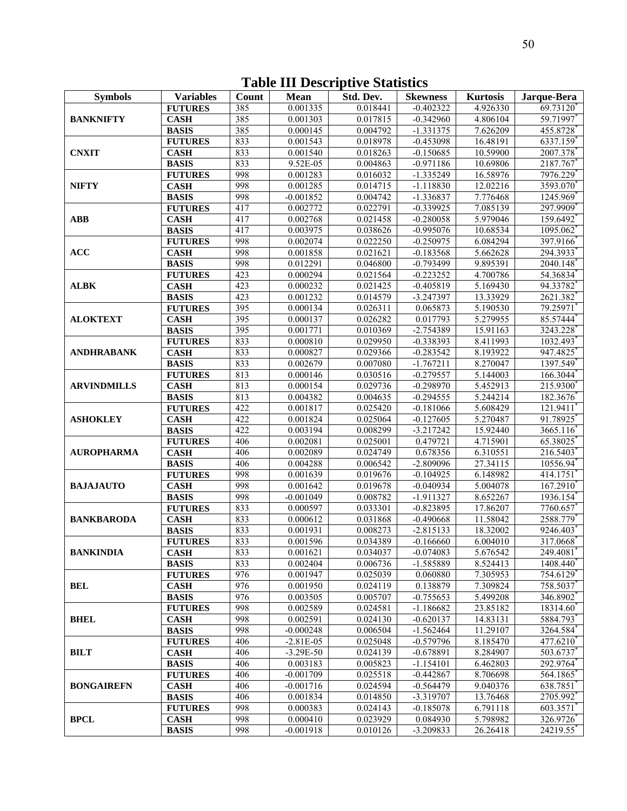| <b>Symbols</b>     | <b>Variables</b>               | Count      | <b>Mean</b>             | Std. Dev.            | <b>Skewness</b>            | <b>Kurtosis</b>       | Jarque-Bera          |
|--------------------|--------------------------------|------------|-------------------------|----------------------|----------------------------|-----------------------|----------------------|
|                    | <b>FUTURES</b>                 | 385        | 0.001335                | 0.018441             | $-0.402322$                | 4.926330              | 69.73120             |
| <b>BANKNIFTY</b>   | <b>CASH</b>                    | 385        | 0.001303                | 0.017815             | $-0.342960$                | 4.806104              | 59.71997             |
|                    | <b>BASIS</b>                   | 385        | 0.000145                | 0.004792             | $-1.331375$                | 7.626209              | 455.8728             |
|                    | <b>FUTURES</b>                 | 833        | 0.001543                | 0.018978             | $-0.453098$                | 16.48191              | 6337.159             |
| <b>CNXIT</b>       | <b>CASH</b>                    | 833        | 0.001540                | 0.018263             | $-0.150685$                | 10.59900              | 2007.378             |
|                    | <b>BASIS</b>                   | 833        | 9.52E-05                | 0.004863             | $-0.971186$                | 10.69806              | 2187.767             |
|                    | <b>FUTURES</b>                 | 998        | 0.001283                | 0.016032             | $-1.335249$                | 16.58976              | 7976.229             |
| <b>NIFTY</b>       | <b>CASH</b>                    | 998        | 0.001285                | 0.014715             | $-1.118830$                | 12.02216              | 3593.070             |
|                    | <b>BASIS</b>                   | 998        | $-0.001852$             | 0.004742             | $-1.336837$                | 7.776468              | 1245.969             |
|                    | <b>FUTURES</b>                 | 417        | 0.002772                | 0.022791             | $-0.339925$                | 7.085139              | 297.9909*            |
| <b>ABB</b>         | <b>CASH</b>                    | 417        | 0.002768                | 0.021458             | $-0.280058$                | 5.979046              | 159.6492             |
|                    | <b>BASIS</b>                   | 417        | 0.003975                | 0.038626             | $-0.995076$                | 10.68534              | 1095.062             |
|                    | <b>FUTURES</b>                 | 998        | 0.002074                | 0.022250             | $-0.250975$                | 6.084294              | 397.9166             |
| <b>ACC</b>         | <b>CASH</b>                    | 998        | 0.001858                | 0.021621             | $-0.183568$                | 5.662628              | 294.3933             |
|                    | <b>BASIS</b>                   | 998        | 0.012291                | 0.046800             | $-0.793499$                | 9.895391              | 2040.148             |
|                    | <b>FUTURES</b>                 | 423        | 0.000294                | 0.021564             | $-0.223252$                | 4.700786              | 54.36834             |
| <b>ALBK</b>        | <b>CASH</b>                    | 423        | 0.000232                | 0.021425             | $-0.405819$                | 5.169430              | 94.33782             |
|                    | <b>BASIS</b>                   | 423        | 0.001232                | 0.014579             | $-3.247397$                | 13.33929              | 2621.382             |
|                    | <b>FUTURES</b>                 | 395        | 0.000134                | 0.026311             | 0.065873                   | 5.190530              | 79.25971             |
|                    | <b>CASH</b>                    | 395        | 0.000137                | 0.026282             | 0.017793                   | 5.279955              | 85.57444             |
| <b>ALOKTEXT</b>    | <b>BASIS</b>                   | 395        | 0.001771                | 0.010369             | $-2.754389$                | 15.91163              | 3243.228             |
|                    | <b>FUTURES</b>                 | 833        | 0.000810                | 0.029950             | $-0.338393$                | 8.411993              | 1032.493             |
| <b>ANDHRABANK</b>  | <b>CASH</b>                    | 833        | 0.000827                | 0.029366             | $-0.283542$                | 8.193922              | 947.4825             |
|                    | <b>BASIS</b>                   | 833        | 0.002679                | 0.007080             | $-1.767211$                | 8.270047              | 1397.549             |
|                    | <b>FUTURES</b>                 | 813        | 0.000146                | 0.030516             | $-0.279557$                | $\overline{5.144003}$ | 166.3044             |
| <b>ARVINDMILLS</b> |                                | 813        | 0.000154                | 0.029736             | $-0.298970$                | 5.452913              | 215.9300             |
|                    | <b>CASH</b>                    | 813        | 0.004382                |                      | $-0.294555$                |                       |                      |
|                    | <b>BASIS</b>                   | 422        | 0.001817                | 0.004635<br>0.025420 | $-0.181066$                | 5.244214<br>5.608429  | 182.3676<br>121.9411 |
|                    | <b>FUTURES</b><br><b>CASH</b>  | 422        | 0.001824                | 0.025064             | $-0.127605$                | 5.270487              | 91.78925             |
| <b>ASHOKLEY</b>    |                                | 422        |                         |                      |                            |                       |                      |
|                    | <b>BASIS</b><br><b>FUTURES</b> |            | 0.003194                | 0.008299             | $-3.217242$                | 15.92440              | 3665.116             |
|                    |                                | 406        | 0.002081                | 0.025001             | 0.479721                   | 4.715901              | 65.38025             |
| <b>AUROPHARMA</b>  | <b>CASH</b>                    | 406        | 0.002089                | 0.024749             | 0.678356                   | 6.310551              | 216.5403             |
|                    | <b>BASIS</b><br><b>FUTURES</b> | 406<br>998 | 0.004288<br>0.001639    | 0.006542<br>0.019676 | -2.809096                  | 27.34115<br>6.148982  | 10556.94             |
| <b>BAJAJAUTO</b>   |                                | 998        |                         |                      | $-0.104925$                |                       | 414.1751             |
|                    | <b>CASH</b><br><b>BASIS</b>    | 998        | 0.001642<br>$-0.001049$ | 0.019678<br>0.008782 | $-0.040934$<br>$-1.911327$ | 5.004078<br>8.652267  | 167.2910<br>1936.154 |
|                    | <b>FUTURES</b>                 | 833        | 0.000597                | 0.033301             | $-0.823895$                | 17.86207              | 7760.657             |
| <b>BANKBARODA</b>  | <b>CASH</b>                    | 833        | 0.000612                | 0.031868             | $-0.490668$                | 11.58042              | 2588.779             |
|                    | <b>BASIS</b>                   | 833        | 0.001931                | 0.008273             | $-2.815133$                | 18.32002              | 9246.403             |
|                    | <b>FUTURES</b>                 | 833        | 0.001596                | 0.034389             | $-0.166660$                | 6.004010              | 317.0668             |
| <b>BANKINDIA</b>   | <b>CASH</b>                    | 833        | 0.001621                | 0.034037             | $-0.074083$                | 5.676542              | 249.4081             |
|                    | <b>BASIS</b>                   | 833        | 0.002404                | 0.006736             | -1.585889                  | 8.524413              | 1408.440             |
|                    | <b>FUTURES</b>                 | 976        | 0.001947                | 0.025039             | 0.060880                   | 7.305953              | 754.6129             |
| <b>BEL</b>         | <b>CASH</b>                    | 976        | 0.001950                | 0.024119             | 0.138879                   | 7.309824              | 758.5037             |
|                    | <b>BASIS</b>                   | 976        | 0.003505                | 0.005707             | $-0.755653$                | 5.499208              | 346.8902             |
|                    | <b>FUTURES</b>                 | 998        | 0.002589                | 0.024581             | $-1.186682$                | 23.85182              | 18314.60             |
| <b>BHEL</b>        | <b>CASH</b>                    | 998        | 0.002591                | 0.024130             | $-0.620137$                | 14.83131              | 5884.793             |
|                    | <b>BASIS</b>                   | 998        | $-0.000248$             | 0.006504             | $-1.562464$                | 11.29107              | 3264.584             |
|                    | <b>FUTURES</b>                 | 406        | $-2.81E-05$             | 0.025048             | $-0.579796$                | 8.185470              | 477.6210             |
| <b>BILT</b>        | <b>CASH</b>                    | 406        | $-3.29E-50$             | 0.024139             | $-0.678891$                | 8.284907              | 503.6737             |
|                    | <b>BASIS</b>                   | 406        | 0.003183                | 0.005823             | $-1.154101$                | 6.462803              | 292.9764*            |
|                    | <b>FUTURES</b>                 | 406        | $-0.001709$             | 0.025518             | $-0.442867$                | 8.706698              | 564.1865             |
| <b>BONGAIREFN</b>  | <b>CASH</b>                    | 406        | $-0.001716$             | 0.024594             | $-0.564479$                | 9.040376              | 638.7851             |
|                    | <b>BASIS</b>                   | 406        | 0.001834                | 0.014850             | -3.319707                  | 13.76468              | 2705.992*            |
|                    | <b>FUTURES</b>                 | 998        | 0.000383                | 0.024143             | $-0.185078$                | 6.791118              | 603.3571             |
| <b>BPCL</b>        | <b>CASH</b>                    | 998        | 0.000410                | 0.023929             | 0.084930                   | 5.798982              | 326.9726             |
|                    | <b>BASIS</b>                   | 998        | $-0.001918$             | 0.010126             | $-3.209833$                | 26.26418              | 24219.55*            |
|                    |                                |            |                         |                      |                            |                       |                      |

 **Table III Descriptive Statistics**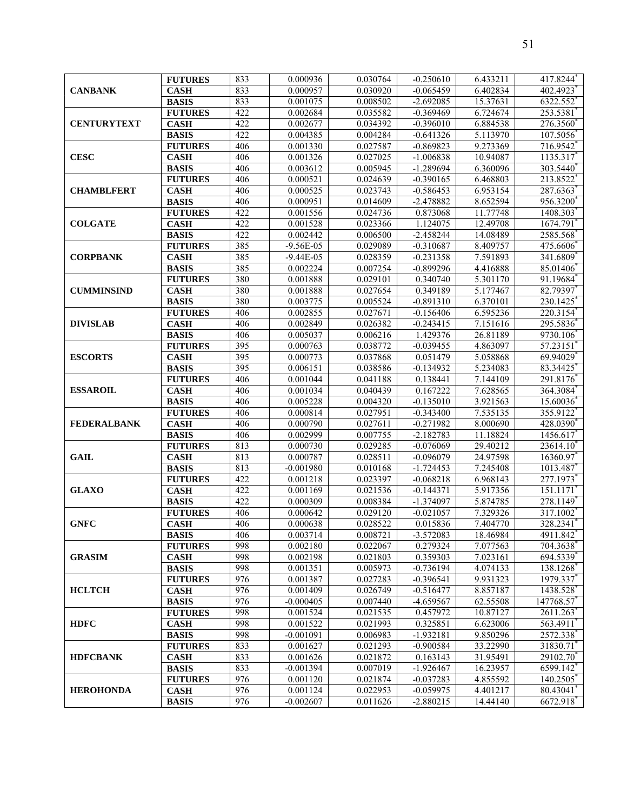| <b>CANBANK</b>     | <b>FUTURES</b> | 833 | 0.000936      | 0.030764 | $-0.250610$ | 6.433211 | 417.8244  |
|--------------------|----------------|-----|---------------|----------|-------------|----------|-----------|
|                    | <b>CASH</b>    | 833 | 0.000957      | 0.030920 | $-0.065459$ | 6.402834 | 402.4923  |
|                    | <b>BASIS</b>   | 833 | 0.001075      | 0.008502 | $-2.692085$ | 15.37631 | 6322.552  |
|                    | <b>FUTURES</b> | 422 | 0.002684      | 0.035582 | $-0.369469$ | 6.724674 | 253.5381  |
| <b>CENTURYTEXT</b> | <b>CASH</b>    | 422 | 0.002677      | 0.034392 | $-0.396010$ | 6.884538 | 276.3560  |
|                    | <b>BASIS</b>   | 422 | 0.004385      | 0.004284 | $-0.641326$ | 5.113970 | 107.5056  |
|                    | <b>FUTURES</b> | 406 | 0.001330      | 0.027587 | $-0.869823$ | 9.273369 | 716.9542  |
| <b>CESC</b>        | <b>CASH</b>    | 406 | 0.001326      | 0.027025 | $-1.006838$ | 10.94087 | 1135.317  |
|                    | <b>BASIS</b>   | 406 | 0.003612      | 0.005945 | $-1.289694$ | 6.360096 | 303.5440  |
|                    | <b>FUTURES</b> | 406 | 0.000521      | 0.024639 | $-0.390165$ | 6.468803 | 213.8522  |
| <b>CHAMBLFERT</b>  | <b>CASH</b>    | 406 | 0.000525      | 0.023743 | $-0.586453$ | 6.953154 | 287.6363  |
|                    | <b>BASIS</b>   | 406 | 0.000951      | 0.014609 | $-2.478882$ | 8.652594 | 956.3200  |
|                    | <b>FUTURES</b> | 422 | 0.001556      | 0.024736 | 0.873068    | 11.77748 | 1408.303  |
| <b>COLGATE</b>     | <b>CASH</b>    | 422 | 0.001528      | 0.023366 | 1.124075    | 12.49708 | 1674.791  |
|                    | <b>BASIS</b>   | 422 | 0.002442      | 0.006500 | $-2.458244$ | 14.08489 | 2585.568  |
|                    | <b>FUTURES</b> | 385 | $-9.56E - 05$ | 0.029089 | $-0.310687$ | 8.409757 | 475.6606  |
| <b>CORPBANK</b>    | <b>CASH</b>    | 385 | $-9.44E-05$   | 0.028359 | $-0.231358$ | 7.591893 | 341.6809  |
|                    | <b>BASIS</b>   | 385 | 0.002224      | 0.007254 | $-0.899296$ | 4.416888 | 85.01406  |
|                    | <b>FUTURES</b> | 380 | 0.001888      | 0.029101 | 0.340740    | 5.301170 | 91.19684  |
| <b>CUMMINSIND</b>  | <b>CASH</b>    | 380 | 0.001888      | 0.027654 | 0.349189    | 5.177467 | 82.79397  |
|                    | <b>BASIS</b>   | 380 | 0.003775      | 0.005524 | $-0.891310$ | 6.370101 | 230.1425  |
|                    |                |     |               |          |             |          |           |
|                    | <b>FUTURES</b> | 406 | 0.002855      | 0.027671 | $-0.156406$ | 6.595236 | 220.3154  |
| <b>DIVISLAB</b>    | <b>CASH</b>    | 406 | 0.002849      | 0.026382 | $-0.243415$ | 7.151616 | 295.5836  |
|                    | <b>BASIS</b>   | 406 | 0.005037      | 0.006216 | 1.429376    | 26.81189 | 9730.106  |
|                    | <b>FUTURES</b> | 395 | 0.000763      | 0.038772 | $-0.039455$ | 4.863097 | 57.23151  |
| <b>ESCORTS</b>     | <b>CASH</b>    | 395 | 0.000773      | 0.037868 | 0.051479    | 5.058868 | 69.94029  |
|                    | <b>BASIS</b>   | 395 | 0.006151      | 0.038586 | $-0.134932$ | 5.234083 | 83.34425  |
|                    | <b>FUTURES</b> | 406 | 0.001044      | 0.041188 | 0.138441    | 7.144109 | 291.8176  |
| <b>ESSAROIL</b>    | <b>CASH</b>    | 406 | 0.001034      | 0.040439 | 0.167222    | 7.628565 | 364.3084  |
|                    | <b>BASIS</b>   | 406 | 0.005228      | 0.004320 | $-0.135010$ | 3.921563 | 15.60036  |
|                    | <b>FUTURES</b> | 406 | 0.000814      | 0.027951 | $-0.343400$ | 7.535135 | 355.9122  |
| <b>FEDERALBANK</b> | <b>CASH</b>    | 406 | 0.000790      | 0.027611 | $-0.271982$ | 8.000690 | 428.0390  |
|                    | <b>BASIS</b>   | 406 | 0.002999      | 0.007755 | $-2.182783$ | 11.18824 | 1456.617  |
|                    | <b>FUTURES</b> | 813 | 0.000730      | 0.029285 | $-0.076069$ | 29.40212 | 23614.10  |
| <b>GAIL</b>        | <b>CASH</b>    | 813 | 0.000787      | 0.028511 | $-0.096079$ | 24.97598 | 16360.97  |
|                    | <b>BASIS</b>   | 813 | $-0.001980$   | 0.010168 | $-1.724453$ | 7.245408 | 1013.487  |
|                    | <b>FUTURES</b> | 422 | 0.001218      | 0.023397 | $-0.068218$ | 6.968143 | 277.1973  |
| <b>GLAXO</b>       | <b>CASH</b>    | 422 | 0.001169      | 0.021536 | $-0.144371$ | 5.917356 | 151.1171  |
|                    | <b>BASIS</b>   | 422 | 0.000309      | 0.008384 | $-1.374097$ | 5.874785 | 278.1149  |
|                    | <b>FUTURES</b> | 406 | 0.000642      | 0.029120 | $-0.021057$ | 7.329326 | 317.1002  |
| <b>GNFC</b>        | <b>CASH</b>    | 406 | 0.000638      | 0.028522 | 0.015836    | 7.404770 | 328.2341  |
|                    | <b>BASIS</b>   | 406 | 0.003714      | 0.008721 | $-3.572083$ | 18.46984 | 4911.842  |
|                    | <b>FUTURES</b> | 998 | 0.002180      | 0.022067 | 0.279324    | 7.077563 | 704.3638  |
| <b>GRASIM</b>      | <b>CASH</b>    | 998 | 0.002198      | 0.021803 | 0.359303    | 7.023161 | 694.5339  |
|                    | <b>BASIS</b>   | 998 | 0.001351      | 0.005973 | $-0.736194$ | 4.074133 | 138.1268  |
|                    | <b>FUTURES</b> | 976 | 0.001387      | 0.027283 | $-0.396541$ | 9.931323 | 1979.337  |
| <b>HCLTCH</b>      | <b>CASH</b>    | 976 | 0.001409      | 0.026749 | $-0.516477$ | 8.857187 | 1438.528  |
|                    | <b>BASIS</b>   | 976 | $-0.000405$   | 0.007440 | -4.659567   | 62.55508 | 147768.57 |
|                    | <b>FUTURES</b> | 998 | 0.001524      | 0.021535 | 0.457972    | 10.87127 | 2611.263  |
| <b>HDFC</b>        | <b>CASH</b>    | 998 | 0.001522      | 0.021993 | 0.325851    | 6.623006 | 563.4911  |
|                    | <b>BASIS</b>   | 998 | $-0.001091$   | 0.006983 | $-1.932181$ | 9.850296 | 2572.338  |
|                    | <b>FUTURES</b> | 833 | 0.001627      | 0.021293 | $-0.900584$ | 33.22990 | 31830.71  |
| <b>HDFCBANK</b>    | <b>CASH</b>    | 833 | 0.001626      | 0.021872 | 0.163143    | 31.95491 | 29102.70  |
|                    | <b>BASIS</b>   | 833 | $-0.001394$   | 0.007019 | $-1.926467$ | 16.23957 | 6599.142  |
|                    | <b>FUTURES</b> | 976 | 0.001120      | 0.021874 | $-0.037283$ | 4.855592 | 140.2505  |
| <b>HEROHONDA</b>   | <b>CASH</b>    | 976 | 0.001124      | 0.022953 | $-0.059975$ | 4.401217 | 80.43041* |
|                    | <b>BASIS</b>   | 976 | $-0.002607$   | 0.011626 | $-2.880215$ | 14.44140 | 6672.918  |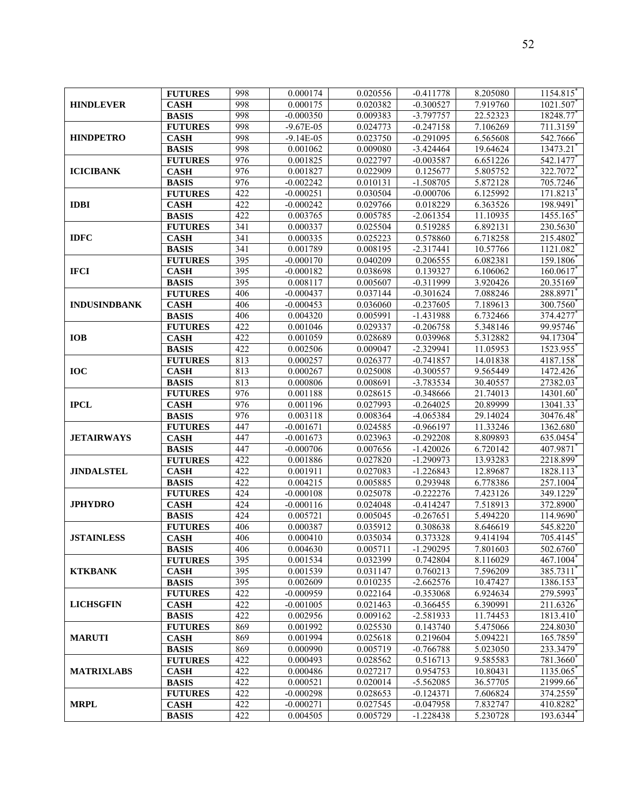| <b>HINDLEVER</b>    | <b>FUTURES</b>                 | 998        | 0.000174                | 0.020556             | $-0.411778$             | 8.205080             | 1154.815              |
|---------------------|--------------------------------|------------|-------------------------|----------------------|-------------------------|----------------------|-----------------------|
|                     | <b>CASH</b>                    | 998        | 0.000175                | 0.020382             | $-0.300527$             | 7.919760             | 1021.507              |
|                     | <b>BASIS</b>                   | 998        | $-0.000350$             | 0.009383             | $-3.797757$             | 22.52323             | 18248.77              |
|                     | <b>FUTURES</b>                 | 998        | $-9.67E-05$             | 0.024773             | $-0.247158$             | 7.106269             | 711.3159              |
| <b>HINDPETRO</b>    | <b>CASH</b>                    | 998        | $-9.14E-05$             | 0.023750             | $-0.291095$             | 6.565608             | 542.7666              |
|                     | <b>BASIS</b>                   | 998        | 0.001062                | 0.009080             | $-3.424464$             | 19.64624             | 13473.21              |
|                     | <b>FUTURES</b>                 | 976        | 0.001825                | 0.022797             | $-0.003587$             | 6.651226             | 542.1477              |
| <b>ICICIBANK</b>    | <b>CASH</b>                    | 976        | 0.001827                | 0.022909             | 0.125677                | 5.805752             | 322.7072              |
|                     | <b>BASIS</b>                   | 976        | $-0.002242$             | 0.010131             | $-1.508705$             | 5.872128             | 705.7246              |
|                     | <b>FUTURES</b>                 | 422        | $-0.000251$             | 0.030504             | $-0.000706$             | 6.125992             | 171.8213              |
| <b>IDBI</b>         | <b>CASH</b>                    | 422        | $-0.000242$             | 0.029766             | 0.018229                | 6.363526             | 198.9491              |
|                     | <b>BASIS</b>                   | 422        | 0.003765                | 0.005785             | $-2.061354$             | 11.10935             | 1455.165              |
|                     | <b>FUTURES</b>                 | 341        | 0.000337                | 0.025504             | 0.519285                | 6.892131             | 230.5630              |
| <b>IDFC</b>         | <b>CASH</b>                    | 341        | 0.000335                | 0.025223             | 0.578860                | 6.718258             | 215.4802              |
|                     | <b>BASIS</b>                   | 341        | 0.001789                | 0.008195             | $-2.317441$             | 10.57766             | 1121.082              |
|                     | <b>FUTURES</b>                 | 395        | $-0.000170$             | 0.040209             | 0.206555                | 6.082381             | 159.1806              |
| <b>IFCI</b>         | <b>CASH</b>                    | 395        | $-0.000182$             | 0.038698             | 0.139327                | 6.106062             | 160.0617              |
|                     | <b>BASIS</b>                   | 395        | 0.008117                | 0.005607             | $-0.311999$             | 3.920426             | 20.35169              |
|                     | <b>FUTURES</b>                 | 406        | $-0.000437$             | 0.037144             | $-0.301624$             | 7.088246             | 288.8971              |
| <b>INDUSINDBANK</b> | <b>CASH</b>                    | 406        | $-0.000453$             | 0.036060             | $-0.237605$             | 7.189613             | 300.7560              |
|                     | <b>BASIS</b>                   | 406        | 0.004320                | 0.005991             | $-1.431988$             | 6.732466             | 374,4277              |
|                     | <b>FUTURES</b>                 | 422        | 0.001046                | 0.029337             | $-0.206758$             | 5.348146             | 99.95746              |
| <b>IOB</b>          | <b>CASH</b>                    | 422        | 0.001059                | 0.028689             | 0.039968                | 5.312882             | 94.17304*             |
|                     | <b>BASIS</b>                   | 422        | 0.002506                | 0.009047             | $-2.329941$             | 11.05953             | 1523.955              |
|                     | <b>FUTURES</b>                 | 813        | 0.000257                | 0.026377             | $-0.741857$             | 14.01838             | 4187.158              |
| <b>IOC</b>          | <b>CASH</b>                    | 813        | 0.000267                | 0.025008             | $-0.300557$             | 9.565449             | 1472.426              |
|                     | <b>BASIS</b>                   | 813        | 0.000806                | 0.008691             | $-3.783534$             | 30.40557             | 27382.03              |
|                     | <b>FUTURES</b>                 | 976        | 0.001188                | 0.028615             | $-0.348666$             | 21.74013             | 14301.60              |
| <b>IPCL</b>         | <b>CASH</b>                    | 976        | 0.001196                | 0.027993             | $-0.264025$             | 20.89999             |                       |
|                     | <b>BASIS</b>                   | 976        | 0.003118                | 0.008364             | $-4.065384$             | 29.14024             | 13041.33              |
|                     | <b>FUTURES</b>                 | 447        | $-0.001671$             | 0.024585             | $-0.966197$             | 11.33246             | 30476.48<br>1362.680  |
|                     | <b>CASH</b>                    | 447        | $-0.001673$             | 0.023963             | $-0.292208$             | 8.809893             | 635.0454              |
| <b>JETAIRWAYS</b>   |                                |            |                         |                      |                         |                      |                       |
|                     | <b>BASIS</b><br><b>FUTURES</b> | 447<br>422 | $-0.000706$<br>0.001886 | 0.007656<br>0.027820 | $-1.420026$             | 6.720142             | 407.9871              |
| <b>JINDALSTEL</b>   |                                | 422        |                         |                      | $-1.290973$             | 13.93283             | 2218.899              |
|                     | <b>CASH</b>                    | 422        | 0.001911<br>0.004215    | 0.027083<br>0.005885 | $-1.226843$<br>0.293948 | 12.89687<br>6.778386 | 1828.113<br>257.1004* |
|                     | <b>BASIS</b><br><b>FUTURES</b> | 424        | $-0.000108$             | 0.025078             | $-0.222276$             | 7.423126             | 349.1229              |
| <b>JPHYDRO</b>      |                                | 424        | $-0.000116$             | 0.024048             | $-0.414247$             | 7.518913             | 372.8900              |
|                     | <b>CASH</b>                    | 424        |                         |                      |                         | 5.494220             |                       |
|                     | <b>BASIS</b>                   | 406        | 0.005721<br>0.000387    | 0.005045<br>0.035912 | $-0.267651$<br>0.308638 | 8.646619             | 114.9690<br>545.8220  |
|                     | <b>FUTURES</b>                 | 406        | 0.000410                | 0.035034             | 0.373328                | 9.414194             | 705.4145              |
| <b>JSTAINLESS</b>   | <b>CASH</b>                    | 406        | 0.004630                | 0.005711             | $-1.290295$             | 7.801603             | 502.6760              |
|                     | <b>BASIS</b><br><b>FUTURES</b> | 395        | 0.001534                | 0.032399             | 0.742804                | 8.116029             | 467.1004              |
| <b>KTKBANK</b>      | <b>CASH</b>                    | 395        | 0.001539                | 0.031147             | 0.760213                | 7.596209             | 385.7311              |
|                     | <b>BASIS</b>                   | 395        | 0.002609                | 0.010235             | $-2.662576$             | 10.47427             | 1386.153              |
|                     | <b>FUTURES</b>                 | 422        | $-0.000959$             | 0.022164             | $-0.353068$             | 6.924634             | 279.5993              |
|                     | <b>CASH</b>                    | 422        | $-0.001005$             | 0.021463             | $-0.366455$             | 6.390991             | 211.6326              |
| <b>LICHSGFIN</b>    | <b>BASIS</b>                   |            |                         |                      |                         |                      |                       |
|                     |                                | 422        | 0.002956<br>0.001992    | 0.009162             | $-2.581933$             | 11.74453             | 1813.410              |
| <b>MARUTI</b>       | <b>FUTURES</b><br><b>CASH</b>  | 869<br>869 | 0.001994                | 0.025530<br>0.025618 | 0.143740<br>0.219604    | 5.475066<br>5.094221 | 224.8030              |
|                     |                                |            |                         |                      |                         |                      | 165.7859              |
|                     | <b>BASIS</b>                   | 869        | 0.000990                | 0.005719             | $-0.766788$             | 5.023050             | 233.3479              |
|                     | <b>FUTURES</b>                 | 422        | 0.000493                | 0.028562             | 0.516713                | 9.585583             | 781.3660 <sup>*</sup> |
| <b>MATRIXLABS</b>   | <b>CASH</b>                    | 422        | 0.000486                | 0.027217             | 0.954753                | 10.80431             | 1135.065              |
|                     | <b>BASIS</b>                   | 422        | 0.000521                | 0.020014             | $-5.562085$             | 36.57705             | 21999.66              |
|                     | <b>FUTURES</b>                 | 422        | $-0.000298$             | 0.028653             | $-0.124371$             | 7.606824             | 374.2559              |
| <b>MRPL</b>         | <b>CASH</b>                    | 422        | $-0.000271$             | 0.027545             | $-0.047958$             | 7.832747             | 410.8282              |
|                     | <b>BASIS</b>                   | 422        | 0.004505                | 0.005729             | $-1.228438$             | 5.230728             | 193.6344              |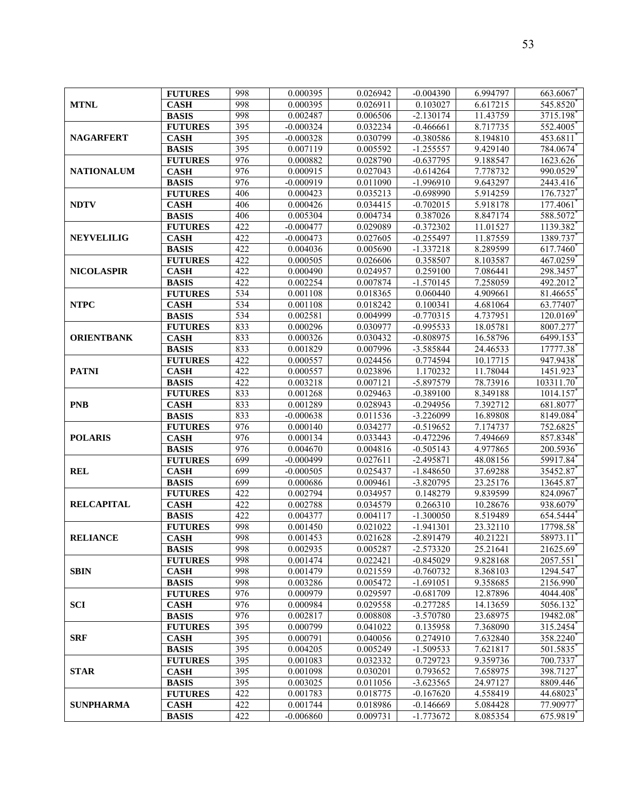| <b>MTNL</b>       | <b>FUTURES</b> | 998 | 0.000395    | 0.026942 | $-0.004390$ | 6.994797 | 663.6067  |
|-------------------|----------------|-----|-------------|----------|-------------|----------|-----------|
|                   | <b>CASH</b>    | 998 | 0.000395    | 0.026911 | 0.103027    | 6.617215 | 545.8520  |
|                   | <b>BASIS</b>   | 998 | 0.002487    | 0.006506 | $-2.130174$ | 11.43759 | 3715.198  |
| <b>NAGARFERT</b>  | <b>FUTURES</b> | 395 | $-0.000324$ | 0.032234 | $-0.466661$ | 8.717735 | 552.4005  |
|                   | <b>CASH</b>    | 395 | $-0.000328$ | 0.030799 | $-0.380586$ | 8.194810 | 453.6811  |
|                   | <b>BASIS</b>   | 395 | 0.007119    | 0.005592 | $-1.255557$ | 9.429140 | 784.0674  |
|                   | <b>FUTURES</b> | 976 | 0.000882    | 0.028790 | $-0.637795$ | 9.188547 | 1623.626  |
| <b>NATIONALUM</b> | <b>CASH</b>    | 976 | 0.000915    | 0.027043 | $-0.614264$ | 7.778732 | 990.0529  |
|                   | <b>BASIS</b>   | 976 | $-0.000919$ | 0.011090 | $-1.996910$ | 9.643297 | 2443.416* |
|                   | <b>FUTURES</b> | 406 | 0.000423    | 0.035213 | $-0.698990$ | 5.914259 | 176.7327  |
| <b>NDTV</b>       | <b>CASH</b>    | 406 | 0.000426    | 0.034415 | $-0.702015$ | 5.918178 | 177.4061  |
|                   | <b>BASIS</b>   | 406 | 0.005304    | 0.004734 | 0.387026    | 8.847174 | 588.5072  |
|                   | <b>FUTURES</b> | 422 | $-0.000477$ | 0.029089 | $-0.372302$ | 11.01527 | 1139.382  |
| <b>NEYVELILIG</b> | <b>CASH</b>    | 422 | $-0.000473$ | 0.027605 | $-0.255497$ | 11.87559 | 1389.737  |
|                   | <b>BASIS</b>   | 422 | 0.004036    | 0.005690 | $-1.337218$ | 8.289599 | 617.7460  |
|                   | <b>FUTURES</b> | 422 | 0.000505    | 0.026606 | 0.358507    | 8.103587 | 467.0259  |
| <b>NICOLASPIR</b> | <b>CASH</b>    | 422 | 0.000490    | 0.024957 | 0.259100    | 7.086441 | 298.3457  |
|                   | <b>BASIS</b>   | 422 | 0.002254    | 0.007874 | $-1.570145$ | 7.258059 | 492.2012  |
|                   | <b>FUTURES</b> | 534 | 0.001108    | 0.018365 | 0.060440    | 4.909661 | 81.46655  |
| <b>NTPC</b>       | <b>CASH</b>    | 534 | 0.001108    | 0.018242 | 0.100341    | 4.681064 | 63.77407  |
|                   | <b>BASIS</b>   | 534 | 0.002581    | 0.004999 | $-0.770315$ | 4.737951 | 120.0169  |
|                   | <b>FUTURES</b> | 833 | 0.000296    | 0.030977 | $-0.995533$ | 18.05781 | 8007.277  |
| <b>ORIENTBANK</b> | <b>CASH</b>    | 833 | 0.000326    | 0.030432 | $-0.808975$ | 16.58796 | 6499.153  |
|                   | <b>BASIS</b>   | 833 | 0.001829    | 0.007996 | -3.585844   | 24.46533 | 17777.38  |
|                   | <b>FUTURES</b> | 422 | 0.000557    | 0.024456 | 0.774594    | 10.17715 | 947.9438* |
| <b>PATNI</b>      | <b>CASH</b>    | 422 | 0.000557    | 0.023896 | 1.170232    | 11.78044 | 1451.923  |
|                   | <b>BASIS</b>   | 422 | 0.003218    | 0.007121 | -5.897579   | 78.73916 | 103311.70 |
|                   | <b>FUTURES</b> | 833 | 0.001268    | 0.029463 | $-0.389100$ | 8.349188 | 1014.157  |
| <b>PNB</b>        | <b>CASH</b>    | 833 | 0.001289    | 0.028943 | $-0.294956$ | 7.392712 | 681.8077  |
|                   | <b>BASIS</b>   | 833 | $-0.000638$ | 0.011536 | $-3.226099$ | 16.89808 | 8149.084  |
|                   | <b>FUTURES</b> | 976 | 0.000140    | 0.034277 | $-0.519652$ | 7.174737 | 752.6825  |
| <b>POLARIS</b>    | <b>CASH</b>    | 976 | 0.000134    | 0.033443 | $-0.472296$ | 7.494669 | 857.8348  |
|                   | <b>BASIS</b>   | 976 | 0.004670    | 0.004816 | $-0.505143$ | 4.977865 | 200.5936  |
|                   | <b>FUTURES</b> | 699 | $-0.000499$ | 0.027611 | $-2.495871$ | 48.08156 | 59917.84  |
| <b>REL</b>        | <b>CASH</b>    | 699 | $-0.000505$ | 0.025437 | $-1.848650$ | 37.69288 | 35452.87  |
|                   | <b>BASIS</b>   | 699 | 0.000686    | 0.009461 | $-3.820795$ | 23.25176 | 13645.87  |
|                   | <b>FUTURES</b> | 422 | 0.002794    | 0.034957 | 0.148279    | 9.839599 | 824.0967  |
| <b>RELCAPITAL</b> | <b>CASH</b>    | 422 | 0.002788    | 0.034579 | 0.266310    | 10.28676 | 938.6079  |
|                   | <b>BASIS</b>   | 422 | 0.004377    | 0.004117 | $-1.300050$ | 8.519489 | 654.5444  |
|                   | <b>FUTURES</b> | 998 | 0.001450    | 0.021022 | $-1.941301$ | 23.32110 | 17798.58  |
| <b>RELIANCE</b>   | <b>CASH</b>    | 998 | 0.001453    | 0.021628 | $-2.891479$ | 40.21221 | 58973.11  |
|                   | <b>BASIS</b>   | 998 | 0.002935    | 0.005287 | $-2.573320$ | 25.21641 | 21625.69  |
|                   | <b>FUTURES</b> | 998 | 0.001474    | 0.022421 | $-0.845029$ | 9.828168 | 2057.551  |
| <b>SBIN</b>       | <b>CASH</b>    | 998 | 0.001479    | 0.021559 | $-0.760732$ | 8.368103 | 1294.547  |
|                   | <b>BASIS</b>   | 998 | 0.003286    | 0.005472 | $-1.691051$ | 9.358685 | 2156.990  |
|                   | <b>FUTURES</b> | 976 | 0.000979    | 0.029597 | $-0.681709$ | 12.87896 | 4044.408  |
| SCI               | <b>CASH</b>    | 976 | 0.000984    | 0.029558 | $-0.277285$ | 14.13659 | 5056.132  |
|                   | <b>BASIS</b>   | 976 | 0.002817    | 0.008808 | -3.570780   | 23.68975 | 19482.08  |
|                   | <b>FUTURES</b> | 395 | 0.000799    | 0.041022 | 0.135958    | 7.368090 | 315.2454  |
| <b>SRF</b>        | <b>CASH</b>    | 395 | 0.000791    | 0.040056 | 0.274910    | 7.632840 | 358.2240  |
|                   | <b>BASIS</b>   | 395 | 0.004205    | 0.005249 | $-1.509533$ | 7.621817 | 501.5835  |
|                   | <b>FUTURES</b> | 395 | 0.001083    | 0.032332 | 0.729723    | 9.359736 | 700.7337  |
| <b>STAR</b>       | <b>CASH</b>    | 395 | 0.001098    | 0.030201 | 0.793652    | 7.658975 | 398.7127  |
|                   | <b>BASIS</b>   | 395 | 0.003025    | 0.011056 | $-3.623565$ | 24.97127 | 8809.446  |
|                   | <b>FUTURES</b> | 422 | 0.001783    | 0.018775 | $-0.167620$ | 4.558419 | 44.68023  |
| <b>SUNPHARMA</b>  | <b>CASH</b>    | 422 | 0.001744    | 0.018986 | $-0.146669$ | 5.084428 | 77.90977  |
|                   | <b>BASIS</b>   | 422 | $-0.006860$ | 0.009731 | $-1.773672$ | 8.085354 | 675.9819  |
|                   |                |     |             |          |             |          |           |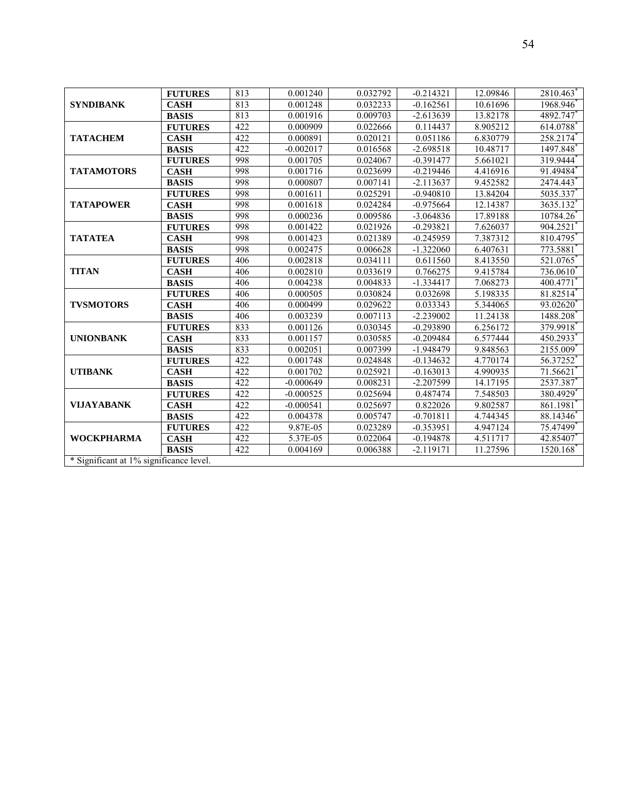| <b>SYNDIBANK</b>                       | <b>FUTURES</b> | 813 | 0.001240    | 0.032792 | $-0.214321$ | 12.09846 | 2810.463  |
|----------------------------------------|----------------|-----|-------------|----------|-------------|----------|-----------|
|                                        | <b>CASH</b>    | 813 | 0.001248    | 0.032233 | $-0.162561$ | 10.61696 | 1968.946  |
|                                        | <b>BASIS</b>   | 813 | 0.001916    | 0.009703 | $-2.613639$ | 13.82178 | 4892.747  |
|                                        | <b>FUTURES</b> | 422 | 0.000909    | 0.022666 | 0.114437    | 8.905212 | 614.0788  |
| <b>TATACHEM</b>                        | <b>CASH</b>    | 422 | 0.000891    | 0.020121 | 0.051186    | 6.830779 | 258.2174  |
|                                        | <b>BASIS</b>   | 422 | $-0.002017$ | 0.016568 | $-2.698518$ | 10.48717 | 1497.848  |
|                                        | <b>FUTURES</b> | 998 | 0.001705    | 0.024067 | $-0.391477$ | 5.661021 | 319.9444  |
| <b>TATAMOTORS</b>                      | <b>CASH</b>    | 998 | 0.001716    | 0.023699 | $-0.219446$ | 4.416916 | 91.49484  |
|                                        | <b>BASIS</b>   | 998 | 0.000807    | 0.007141 | $-2.113637$ | 9.452582 | 2474.443  |
|                                        | <b>FUTURES</b> | 998 | 0.001611    | 0.025291 | $-0.940810$ | 13.84204 | 5035.337  |
| <b>TATAPOWER</b>                       | <b>CASH</b>    | 998 | 0.001618    | 0.024284 | $-0.975664$ | 12.14387 | 3635.132  |
|                                        | <b>BASIS</b>   | 998 | 0.000236    | 0.009586 | $-3.064836$ | 17.89188 | 10784.26  |
|                                        | <b>FUTURES</b> | 998 | 0.001422    | 0.021926 | $-0.293821$ | 7.626037 | 904.2521  |
| <b>TATATEA</b>                         | <b>CASH</b>    | 998 | 0.001423    | 0.021389 | $-0.245959$ | 7.387312 | 810.4795  |
|                                        | <b>BASIS</b>   | 998 | 0.002475    | 0.006628 | $-1.322060$ | 6.407631 | 773.5881  |
|                                        | <b>FUTURES</b> | 406 | 0.002818    | 0.034111 | 0.611560    | 8.413550 | 521.0765  |
| <b>TITAN</b>                           | <b>CASH</b>    | 406 | 0.002810    | 0.033619 | 0.766275    | 9.415784 | 736.0610  |
|                                        | <b>BASIS</b>   | 406 | 0.004238    | 0.004833 | $-1.334417$ | 7.068273 | 400.4771  |
|                                        | <b>FUTURES</b> | 406 | 0.000505    | 0.030824 | 0.032698    | 5.198335 | 81.82514  |
| <b>TVSMOTORS</b>                       | <b>CASH</b>    | 406 | 0.000499    | 0.029622 | 0.033343    | 5.344065 | 93.02620  |
|                                        | <b>BASIS</b>   | 406 | 0.003239    | 0.007113 | $-2.239002$ | 11.24138 | 1488.208  |
|                                        | <b>FUTURES</b> | 833 | 0.001126    | 0.030345 | $-0.293890$ | 6.256172 | 379.9918  |
| <b>UNIONBANK</b>                       | <b>CASH</b>    | 833 | 0.001157    | 0.030585 | $-0.209484$ | 6.577444 | 450.2933  |
|                                        | <b>BASIS</b>   | 833 | 0.002051    | 0.007399 | -1.948479   | 9.848563 | 2155.009  |
|                                        | <b>FUTURES</b> | 422 | 0.001748    | 0.024848 | $-0.134632$ | 4.770174 | 56.37252  |
| <b>UTIBANK</b>                         | <b>CASH</b>    | 422 | 0.001702    | 0.025921 | $-0.163013$ | 4.990935 | 71.56621  |
|                                        | <b>BASIS</b>   | 422 | $-0.000649$ | 0.008231 | $-2.207599$ | 14.17195 | 2537.387  |
|                                        | <b>FUTURES</b> | 422 | $-0.000525$ | 0.025694 | 0.487474    | 7.548503 | 380.4929  |
| <b>VIJAYABANK</b>                      | <b>CASH</b>    | 422 | $-0.000541$ | 0.025697 | 0.822026    | 9.802587 | 861.1981  |
|                                        | <b>BASIS</b>   | 422 | 0.004378    | 0.005747 | $-0.701811$ | 4.744345 | 88.14346  |
|                                        | <b>FUTURES</b> | 422 | 9.87E-05    | 0.023289 | $-0.353951$ | 4.947124 | 75.47499  |
| <b>WOCKPHARMA</b>                      | <b>CASH</b>    | 422 | 5.37E-05    | 0.022064 | $-0.194878$ | 4.511717 | 42.85407* |
|                                        | <b>BASIS</b>   | 422 | 0.004169    | 0.006388 | $-2.119171$ | 11.27596 | 1520.168  |
| * Significant at 1% significance level |                |     |             |          |             |          |           |

Significant at 1% significance level.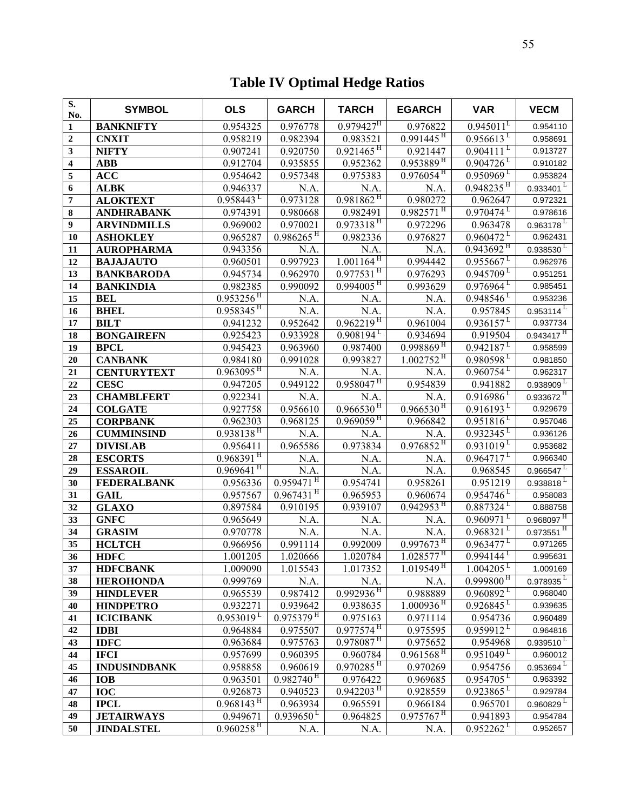# **Table IV Optimal Hedge Ratios**

| S.<br>No.        | <b>SYMBOL</b>                   | <b>OLS</b>                          | <b>GARCH</b>            | <b>TARCH</b>                         | <b>EGARCH</b>                                      | <b>VAR</b>                          | <b>VECM</b>                         |
|------------------|---------------------------------|-------------------------------------|-------------------------|--------------------------------------|----------------------------------------------------|-------------------------------------|-------------------------------------|
| $\mathbf{1}$     | <b>BANKNIFTY</b>                | 0.954325                            | 0.976778                | $0.979427$ <sup>H</sup>              | 0.976822                                           | $0.945011^L$                        | 0.954110                            |
| $\overline{2}$   | <b>CNXIT</b>                    | 0.958219                            | 0.982394                | 0.983521                             | $0.991445$ <sup>H</sup>                            | $0.956613^{\mathrm{L}}$             | 0.958691                            |
| 3                | <b>NIFTY</b>                    | 0.907241                            | 0.920750                | $0.921465$ <sup>H</sup>              | 0.921447                                           | $0.904111$ <sup>L</sup>             | 0.913727                            |
| 4                | <b>ABB</b>                      | 0.912704                            | 0.935855                | 0.952362                             | $0.953889$ <sup>H</sup>                            | $0.904726$ <sup>L</sup>             | 0.910182                            |
| 5                | <b>ACC</b>                      | 0.954642                            | 0.957348                | 0.975383                             | $0.976054$ <sup>H</sup>                            | $0.950969$ <sup>L</sup>             | 0.953824                            |
| 6                | <b>ALBK</b>                     | 0.946337                            | N.A.                    | N.A.                                 | N.A.                                               | $0.948235$ <sup>H</sup>             | 0.933401                            |
| $\overline{7}$   | <b>ALOKTEXT</b>                 | $0.958443^{\mathrm{L}}$             | 0.973128                | $0.981862$ <sup>H</sup>              | 0.980272                                           | 0.962647                            | 0.972321                            |
| 8                | <b>ANDHRABANK</b>               | 0.974391                            | 0.980668                | 0.982491                             | $0.982571$ <sup>H</sup>                            | $0.970474$ <sup>L</sup>             | 0.978616                            |
| $\boldsymbol{9}$ | <b>ARVINDMILLS</b>              | 0.969002                            | 0.970021                | $0.973318$ <sup>H</sup>              | 0.972296                                           | 0.963478                            | $0.963178$ <sup>L</sup>             |
| 10               | <b>ASHOKLEY</b>                 | 0.965287                            | $0.986265$ <sup>H</sup> | 0.982336                             | 0.976827                                           | $0.960472^{\mathrm{L}}$             | 0.962431                            |
| 11               | <b>AUROPHARMA</b>               | 0.943356                            | N.A.                    | N.A.                                 | N.A.                                               | $0.943692$ <sup>H</sup>             | $0.938530$ <sup>L</sup>             |
| 12               | <b>BAJAJAUTO</b>                | 0.960501                            | 0.997923                | $1.001164$ <sup>H</sup>              | 0.994442                                           | $0.955667^{\mathrm{L}}$             | 0.962976                            |
| 13               | <b>BANKBARODA</b>               | 0.945734                            | 0.962970                | $0.977531$ <sup>H</sup>              | 0.976293                                           | $0.945709$ <sup>L</sup>             | 0.951251                            |
| 14               | <b>BANKINDIA</b>                | 0.982385                            | 0.990092                | $0.994005$ <sup>H</sup>              | 0.993629                                           | $0.976964^{\mathrm{L}}$             | 0.985451                            |
| 15               | <b>BEL</b>                      | $0.953256$ <sup>H</sup>             | N.A.                    | N.A.                                 | N.A.                                               | $0.948546$ <sup>L</sup>             | 0.953236                            |
| 16               | <b>BHEL</b>                     | $0.958345$ <sup>H</sup>             | N.A.                    | $\overline{N}$ .A.                   | N.A.                                               | 0.957845                            | $0.953114$ <sup>L</sup>             |
| 17               | <b>BILT</b>                     | 0.941232                            | 0.952642                | $0.962219$ <sup>H</sup>              | 0.961004                                           | $0.936157^L$                        | 0.937734                            |
| 18               | <b>BONGAIREFN</b>               | 0.925423                            | 0.933928                | $0.908194^{\mathrm{L}}$              | 0.934694                                           | 0.919504                            | $0.943417$ <sup>H</sup>             |
| 19               | <b>BPCL</b>                     | 0.945423                            | 0.963960                | 0.987400                             | $0.998869$ <sup>H</sup>                            | $0.942187^{\mathrm{L}}$             | 0.958599                            |
| 20               | <b>CANBANK</b>                  | 0.984180                            | 0.991028                | 0.993827                             | $1.002752$ <sup>H</sup>                            | $0.980598$ <sup>L</sup>             | 0.981850                            |
| 21               | <b>CENTURYTEXT</b>              | $0.963095$ <sup>H</sup>             | N.A.                    | N.A.                                 | N.A.                                               | $0.960754^{\mathrm{L}}$             | 0.962317                            |
| 22               | <b>CESC</b>                     | 0.947205                            | 0.949122                | $0.958047$ <sup>H</sup>              | 0.954839                                           | 0.941882                            | $0.938909^{\mathrm{L}}$             |
| 23               | <b>CHAMBLFERT</b>               | 0.922341                            | N.A.                    | N.A.                                 | N.A.                                               | $0.916986$ <sup>L</sup>             | $0.933672$ <sup>H</sup>             |
| 24               | <b>COLGATE</b>                  | 0.927758                            | 0.956610                | $0.966530$ <sup>H</sup>              | $0.966530$ <sup>H</sup>                            | $0.916193^{\mathrm{L}}$             | 0.929679                            |
| 25               | <b>CORPBANK</b>                 | 0.962303                            | 0.968125                | $0.969\overline{059}^{\rm H}$        | 0.966842                                           | $0.951816$ <sup>L</sup>             | 0.957046                            |
| 26               | <b>CUMMINSIND</b>               | $0.938138$ <sup>H</sup>             | N.A.                    | N.A.                                 | N.A.                                               | $0.932345$ <sup>L</sup>             | 0.936126                            |
| 27               | <b>DIVISLAB</b>                 | 0.956411                            | 0.965586                | 0.973834                             | $0.976852$ <sup>H</sup>                            | $0.931019^{\mathrm{L}}$             | 0.953682                            |
| 28               | <b>ESCORTS</b>                  | $0.968391$ <sup>H</sup>             | N.A.                    | N.A.                                 | N.A.                                               | $0.964717^{\mathrm{L}}$             | 0.966340                            |
| 29               | <b>ESSAROIL</b>                 | $0.969641$ <sup>H</sup>             | N.A.                    | N.A.                                 | N.A.                                               | 0.968545                            | $0.966547^L$                        |
| 30               | <b>FEDERALBANK</b>              | 0.956336                            | $0.95947$ <sup>H</sup>  | 0.954741                             | 0.958261                                           | 0.951219                            | $0.938818$ <sup>L</sup>             |
| 31               | <b>GAIL</b>                     | 0.957567                            | $0.967431$ <sup>H</sup> | 0.965953                             | 0.960674                                           | $0.954746$ <sup>L</sup>             | 0.958083                            |
| 32               | <b>GLAXO</b>                    | 0.897584                            | 0.910195                | 0.939107                             | $0.942\overline{953}$ <sup>H</sup>                 | $0.887324$ <sup>L</sup>             | 0.888758                            |
| 33               | <b>GNFC</b>                     | 0.965649                            | N.A.                    | N.A.                                 | N.A.                                               | $0.960971$ <sup>L</sup>             | $0.968097$ <sup>H</sup>             |
| 34               | <b>GRASIM</b>                   | 0.970778                            | N.A.                    | N.A.                                 | N.A.<br>$0.997673$ <sup>H</sup>                    | $0.968321^{L}$                      | $0.973551$ <sup>H</sup>             |
| 35               | <b>HCLTCH</b>                   | 0.966956                            | 0.991114                | 0.992009                             |                                                    | $0.963477^{\mathrm{L}}$             | 0.971265                            |
| 36               | <b>HDFC</b>                     | 1.001205                            | 1.020666                | 1.020784                             | $1.028577$ <sup>H</sup><br>$1.019549$ <sup>H</sup> | $0.994144^L$                        | 0.995631                            |
| 37               | <b>HDFCBANK</b>                 | 1.009090                            | 1.015543                | 1.017352                             |                                                    | 1.004205<br>$0.999800$ <sup>H</sup> | 1.009169<br>$0.978935$ <sup>L</sup> |
| 38               | <b>HEROHONDA</b>                | 0.999769                            | N.A.                    | N.A.<br>$0.992936$ <sup>H</sup>      | N.A.                                               | $0.960892$ <sup>L</sup>             |                                     |
| 39               | <b>HINDLEVER</b>                | 0.965539                            | 0.987412<br>0.939642    |                                      | 0.988889<br>$1.000936^{\overline{H}}$              | $0.926845$ <sup>L</sup>             | 0.968040                            |
| 40<br>41         | <b>HINDPETRO</b>                | 0.932271<br>$0.953019^{\mathrm{L}}$ | $0.975379$ <sup>H</sup> | 0.938635<br>0.975163                 | 0.971114                                           | 0.954736                            | 0.939635<br>0.960489                |
| 42               | <b>ICICIBANK</b><br><b>IDBI</b> | 0.964884                            | 0.975507                | $0.977574$ <sup>H</sup>              | 0.975595                                           | $0.959912^L$                        | 0.964816                            |
| 43               | <b>IDFC</b>                     | 0.963684                            | 0.975763                | $0.978087$ <sup>H</sup>              | 0.975652                                           | 0.954968                            | $0.939510$ <sup>L</sup>             |
| 44               | <b>IFCI</b>                     | 0.957699                            | 0.960395                | 0.960784                             | $0.961568$ <sup>H</sup>                            | $0.951049^{\mathrm{L}}$             | 0.960012                            |
| 45               | <b>INDUSINDBANK</b>             | 0.958858                            | 0.960619                | $0.970\overline{285}^{\,\mathrm{H}}$ | 0.970269                                           | 0.954756                            | $0.953694^L$                        |
| 46               | <b>IOB</b>                      | 0.963501                            | $0.982740$ <sup>H</sup> | 0.976422                             | 0.969685                                           | $0.954705$ <sup>L</sup>             | 0.963392                            |
| 47               | <b>IOC</b>                      | 0.926873                            | 0.940523                | $0.942203$ <sup>H</sup>              | 0.928559                                           | $0.923865^{\mathrm{L}}$             | 0.929784                            |
| 48               | <b>IPCL</b>                     | $0.968143^{\mathrm{H}}$             | 0.963934                | 0.965591                             | 0.966184                                           | 0.965701                            | $0.960829$ <sup>L</sup>             |
| 49               | <b>JETAIRWAYS</b>               | 0.949671                            | $0.939650^{\mathrm{L}}$ | 0.964825                             | $0.975\overline{767}^{\,\rm{H}}$                   | 0.941893                            | 0.954784                            |
| 50               | <b>JINDALSTEL</b>               | $0.960258$ <sup>H</sup>             | N.A.                    | N.A.                                 | N.A.                                               | $0.952262^{\mathrm{L}}$             | 0.952657                            |
|                  |                                 |                                     |                         |                                      |                                                    |                                     |                                     |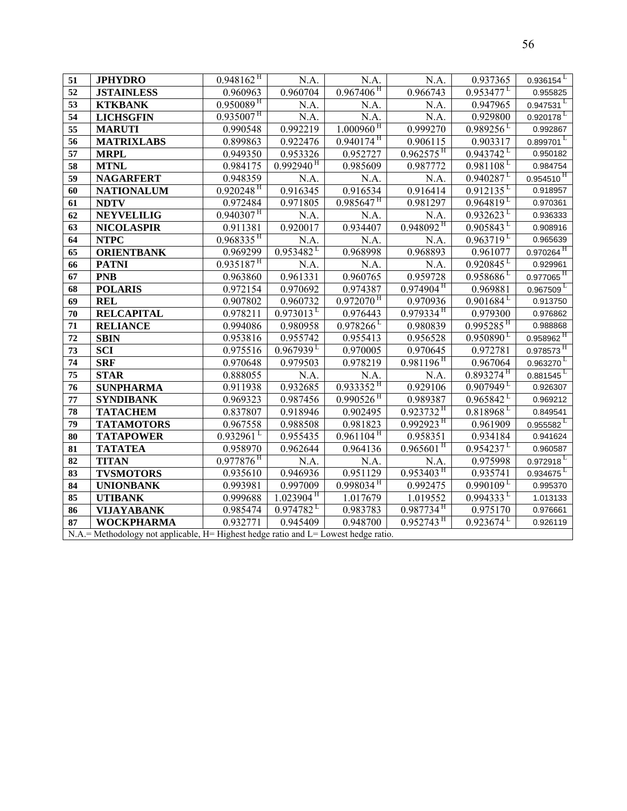| 51              | <b>JPHYDRO</b>                                                                             | $0.948162$ <sup>H</sup>              | N.A.                                 | N.A.                                 | N.A.                      | 0.937365                  | 0.936154                |
|-----------------|--------------------------------------------------------------------------------------------|--------------------------------------|--------------------------------------|--------------------------------------|---------------------------|---------------------------|-------------------------|
| 52              | <b>JSTAINLESS</b>                                                                          | 0.960963                             | 0.960704                             | $0.967\overline{406}^{\,\rm{H}}$     | 0.966743                  | $0.953477^{\mathrm{L}}$   | 0.955825                |
| 53              | <b>KTKBANK</b>                                                                             | $0.95\overline{0089}^{\,\rm{H}}$     | N.A.                                 | N.A.                                 | N.A.                      | 0.947965                  | 0.947531                |
| 54              | <b>LICHSGFIN</b>                                                                           | $0.935\overline{007}^{\,\rm H}$      | N.A.                                 | N.A.                                 | N.A.                      | 0.929800                  | $0.920178$ <sup>L</sup> |
| 55              | <b>MARUTI</b>                                                                              | 0.990548                             | 0.992219                             | $1.000960$ <sup>H</sup>              | 0.999270                  | $0.989256$ <sup>L</sup>   | 0.992867                |
| 56              | <b>MATRIXLABS</b>                                                                          | 0.899863                             | 0.922476                             | $0.940174$ <sup>H</sup>              | 0.906115                  | 0.903317                  | 0.899701                |
| 57              | <b>MRPL</b>                                                                                | 0.949350                             | 0.953326                             | 0.952727                             | $0.962575$ <sup>H</sup>   | $0.943742$ <sup>L</sup>   | 0.950182                |
| 58              | <b>MTNL</b>                                                                                | 0.984175                             | $0.992940$ <sup>H</sup>              | 0.985609                             | 0.987772                  | $0.981108$ <sup>L</sup>   | 0.984754                |
| 59              | <b>NAGARFERT</b>                                                                           | 0.948359                             | N.A.                                 | N.A.                                 | N.A.                      | $0.940287^{\mathrm{L}}$   | $0.954510$ <sup>H</sup> |
| 60              | <b>NATIONALUM</b>                                                                          | $0.92\overline{0248}^{\,\mathrm{H}}$ | 0.916345                             | 0.916534                             | 0.916414                  | $0.912\overline{135}^L$   | 0.918957                |
| 61              | <b>NDTV</b>                                                                                | 0.972484                             | 0.971805                             | $0.985647^{\mathrm{H}}$              | 0.981297                  | $0.964819$ <sup>L</sup>   | 0.970361                |
| 62              | <b>NEYVELILIG</b>                                                                          | $0.940307$ <sup>H</sup>              | N.A.                                 | N.A.                                 | N.A.                      | $0.932623^{\mathrm{L}}$   | 0.936333                |
| 63              | <b>NICOLASPIR</b>                                                                          | 0.911381                             | 0.920017                             | 0.934407                             | $0.948092$ <sup>H</sup>   | $0.905843^L$              | 0.908916                |
| 64              | <b>NTPC</b>                                                                                | $0.968335$ <sup>H</sup>              | N.A.                                 | N.A.                                 | N.A.                      | $0.963719^{\mathrm{L}}$   | 0.965639                |
| $\overline{65}$ | <b>ORIENTBANK</b>                                                                          | 0.969299                             | $0.953482$ <sup>L</sup>              | 0.968998                             | 0.968893                  | 0.961077                  | $0.970264$ <sup>H</sup> |
| 66              | <b>PATNI</b>                                                                               | $0.935187$ <sup>H</sup>              | N.A.                                 | N.A.                                 | N.A.                      | $0.920845$ <sup>L</sup>   | 0.929961                |
| 67              | <b>PNB</b>                                                                                 | 0.963860                             | 0.961331                             | 0.960765                             | 0.959728                  | $0.958686$ <sup>L</sup>   | $0.977065$ <sup>H</sup> |
| 68              | <b>POLARIS</b>                                                                             | 0.972154                             | 0.970692                             | 0.974387                             | $0.974904$ <sup>H</sup>   | 0.969881                  | $0.967509^{\ L}$        |
| 69              | <b>REL</b>                                                                                 | 0.907802                             | 0.960732                             | $0.972070$ <sup>H</sup>              | 0.970936                  | $0.901684^L$              | 0.913750                |
| 70              | <b>RELCAPITAL</b>                                                                          | 0.978211                             | $0.973013$ <sup>L</sup>              | 0.976443                             | $0.979334$ <sup>H</sup>   | 0.979300                  | 0.976862                |
| 71              | <b>RELIANCE</b>                                                                            | 0.994086                             | 0.980958                             | $0.978266$ <sup>L</sup>              | 0.980839                  | $0.995285$ <sup>H</sup>   | 0.988868                |
| 72              | <b>SBIN</b>                                                                                | 0.953816                             | 0.955742                             | 0.955413                             | 0.956528                  | $0.950890^{\mathrm{L}}$   | $0.958962$ <sup>H</sup> |
| 73              | <b>SCI</b>                                                                                 | 0.975516                             | $0.967939^L$                         | 0.970005                             | 0.970645                  | 0.972781                  | $0.978573$ <sup>H</sup> |
| 74              | <b>SRF</b>                                                                                 | 0.970648                             | 0.979503                             | 0.978219                             | $0.981196$ <sup>H</sup>   | 0.967064                  | 0.963270                |
| 75              | <b>STAR</b>                                                                                | 0.888055                             | N.A.                                 | N.A.                                 | N.A.                      | $0.893274$ <sup>H</sup>   | $0.881545^L$            |
| 76              | <b>SUNPHARMA</b>                                                                           | 0.911938                             | 0.932685                             | $0.933352$ <sup>H</sup>              | 0.929106                  | $0.907949$ <sup>L</sup>   | 0.926307                |
| 77              | <b>SYNDIBANK</b>                                                                           | 0.969323                             | 0.987456                             | $0.990526$ <sup>H</sup>              | 0.989387                  | $0.965842$ <sup>L</sup>   | 0.969212                |
| 78              | <b>TATACHEM</b>                                                                            | 0.837807                             | $\overline{0.918946}$                | 0.902495                             | $0.923732$ <sup>H</sup>   | $0.818968$ <sup>L</sup>   | 0.849541                |
| 79              | <b>TATAMOTORS</b>                                                                          | 0.967558                             | 0.988508                             | 0.981823                             | $0.992923$ <sup>H</sup>   | 0.961909                  | $0.955582$ <sup>L</sup> |
| 80              | <b>TATAPOWER</b>                                                                           | $0.932961$ <sup>L</sup>              | 0.955435                             | $0.961104$ <sup>H</sup>              | 0.958351                  | 0.934184                  | 0.941624                |
| 81              | <b>TATATEA</b>                                                                             | 0.958970                             | 0.962644                             | 0.964136                             | $0.965601$ <sup>H</sup>   | $0.954237$ <sup>L</sup>   | 0.960587                |
| 82              | <b>TITAN</b>                                                                               | $0.977876$ <sup>H</sup>              | N.A.                                 | N.A.                                 | N.A.                      | 0.975998                  | $0.972918$ <sup>L</sup> |
| 83              | <b>TVSMOTORS</b>                                                                           | 0.935610                             | 0.946936                             | 0.951129                             | $0.953403^{\frac{1}{11}}$ | 0.935741                  | $0.934675$ <sup>L</sup> |
| 84              | <b>UNIONBANK</b>                                                                           | 0.993981                             | 0.997009                             | $0.998\overline{034}^{\,\mathrm{H}}$ | 0.992475                  | $0.990109^{\mathrm{L}}$   | 0.995370                |
| 85              | <b>UTIBANK</b>                                                                             | 0.999688                             | $1.0239\overline{04}^{\overline{H}}$ | 1.017679                             | 1.019552                  | $0.994333^{\overline{L}}$ | 1.013133                |
| 86              | <b>VIJAYABANK</b>                                                                          | 0.985474                             | $0.974782^L$                         | 0.983783                             | $0.987734$ <sup>H</sup>   | 0.975170                  | 0.976661                |
| 87              | <b>WOCKPHARMA</b>                                                                          | 0.932771                             | 0.945409                             | 0.948700                             | $0.952743$ <sup>H</sup>   | $0.923674$ <sup>L</sup>   | 0.926119                |
|                 | $N.A. = Methodology$ not applicable, $H=$ Highest hedge ratio and $L=$ Lowest hedge ratio. |                                      |                                      |                                      |                           |                           |                         |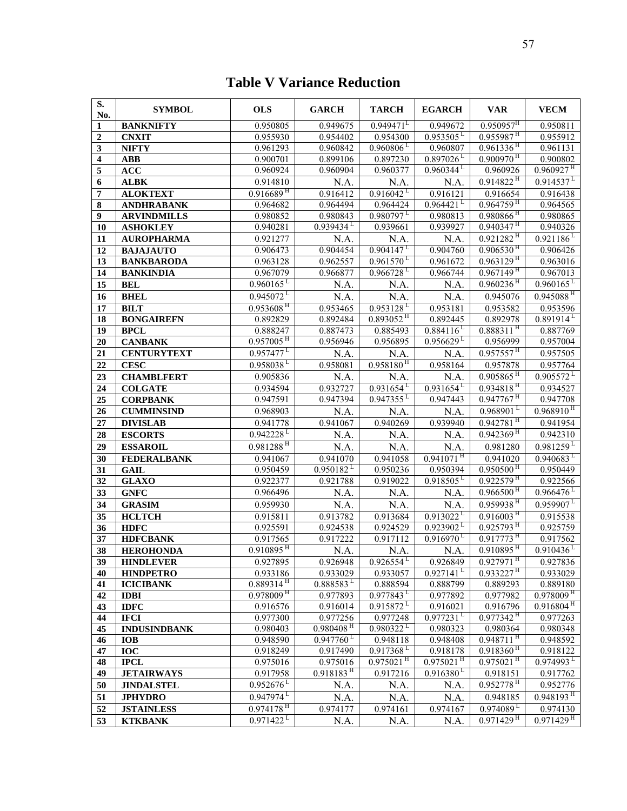## **Table V Variance Reduction**

| S.<br>No.        | <b>SYMBOL</b>                        | <b>OLS</b>                          | <b>GARCH</b>             | <b>TARCH</b>            | <b>EGARCH</b>                       | <b>VAR</b>                                         | <b>VECM</b>             |
|------------------|--------------------------------------|-------------------------------------|--------------------------|-------------------------|-------------------------------------|----------------------------------------------------|-------------------------|
| $\mathbf{1}$     | <b>BANKNIFTY</b>                     | 0.950805                            | 0.949675                 | 0.949471                | 0.949672                            | $0.950957$ <sup>H</sup>                            | 0.950811                |
| 2                | <b>CNXIT</b>                         | 0.955930                            | 0.954402                 | 0.954300                | $0.953505^{\mathrm{L}}$             | $0.955987$ <sup>H</sup>                            | 0.955912                |
| 3                | <b>NIFTY</b>                         | 0.961293                            | 0.960842                 | $0.960806^{\mathrm{L}}$ | 0.960807                            | $0.961336$ <sup>H</sup>                            | 0.961131                |
| 4                | <b>ABB</b>                           | 0.900701                            | 0.899106                 | 0.897230                | $0.897026$ <sup>L</sup>             | $0.900970$ <sup>H</sup>                            | 0.900802                |
| 5                | <b>ACC</b>                           | 0.960924                            | 0.960904                 | 0.960377                | $0.960344^{\mathrm{L}}$             | 0.960926                                           | $0.960927$ <sup>H</sup> |
| 6                | <b>ALBK</b>                          | 0.914810                            | N.A.                     | N.A.                    | N.A.                                | $0.914822$ <sup>H</sup>                            | $0.914537^{\mathrm{L}}$ |
| 7                | <b>ALOKTEXT</b>                      | $0.916689$ <sup>H</sup>             | 0.916412                 | $0.916042^L$            | 0.916121                            | 0.916654                                           | 0.916438                |
| 8                | <b>ANDHRABANK</b>                    | 0.964682                            | 0.964494                 | 0.964424                | 0.964421                            | $0.964759$ <sup>H</sup>                            | 0.964565                |
| $\boldsymbol{9}$ | <b>ARVINDMILLS</b>                   | 0.980852                            | 0.980843                 | $0.980797^{\mathrm{L}}$ | 0.980813                            | $0.980866$ <sup>H</sup>                            | 0.980865                |
| 10               | <b>ASHOKLEY</b>                      | 0.940281                            | $0.939434$ <sup>L</sup>  | 0.939661                | 0.939927                            | $0.940347$ <sup>H</sup>                            | 0.940326                |
| 11               | <b>AUROPHARMA</b>                    | 0.921277                            | N.A.                     | N.A.                    | N.A.                                | $0.921282$ <sup>H</sup>                            | $0.921186^L$            |
| 12               | <b>BAJAJAUTO</b>                     | 0.906473                            | 0.904454                 | $0.904147^{\mathrm{L}}$ | 0.904760                            | $0.906530$ <sup>H</sup>                            | 0.906426                |
| 13               | <b>BANKBARODA</b>                    | 0.963128                            | 0.962557                 | $0.961570$ <sup>L</sup> | 0.961672                            | $0.963129$ <sup>H</sup>                            | 0.963016                |
| 14               | <b>BANKINDIA</b>                     | 0.967079                            | 0.966877                 | $0.966728$ <sup>L</sup> | 0.966744                            | $0.967149$ <sup>H</sup>                            | 0.967013                |
| 15               | <b>BEL</b>                           | $0.960165^L$                        | N.A.                     | N.A.                    | N.A.                                | $0.960236$ <sup>H</sup>                            | $0.960165^{\mathrm{L}}$ |
| 16               | <b>BHEL</b>                          | $0.945072^{\mathrm{L}}$             | N.A.                     | N.A.                    | N.A.                                | 0.945076                                           | $0.945088$ <sup>H</sup> |
| 17               | <b>BILT</b>                          | $0.953608$ <sup>H</sup>             | 0.953465                 | $0.953128$ <sup>L</sup> | 0.953181                            | 0.953582                                           | 0.953596                |
| $\overline{18}$  | <b>BONGAIREFN</b>                    | 0.892829                            | 0.892484                 | $0.893052$ <sup>H</sup> | 0.892445                            | 0.892978                                           | $0.891914^L$            |
| 19               | <b>BPCL</b>                          | 0.888247                            | 0.887473                 | 0.885493                | $0.884116^{L}$                      | $0.888311$ <sup>H</sup>                            | 0.887769                |
| 20               | <b>CANBANK</b>                       | $0.957005$ <sup>H</sup>             | 0.956946                 | 0.956895                | 0.956629                            | 0.956999                                           | 0.957004                |
| 21               | <b>CENTURYTEXT</b>                   | $0.957477^{\mathrm{L}}$             | N.A.                     | N.A.                    | N.A.                                | $0.957557$ <sup>H</sup>                            | 0.957505                |
| 22               | <b>CESC</b>                          | $0.958038$ <sup>L</sup>             | 0.958081                 | $0.958180$ <sup>H</sup> | 0.958164                            | 0.957878                                           | 0.957764                |
| 23               | <b>CHAMBLFERT</b>                    | 0.905836                            | N.A.                     | N.A.                    | N.A.                                | $0.905865$ <sup>H</sup>                            | $0.905572^{\ L}$        |
| 24               | <b>COLGATE</b>                       | 0.934594                            | 0.932727                 | $0.931654^L$            | $0.931\overline{654}^L$             | $0.934818$ <sup>H</sup>                            | 0.934527                |
| $\overline{25}$  | <b>CORPBANK</b>                      | 0.947591                            | 0.947394                 | $0.947355$ <sup>L</sup> | 0.947443                            | $0.947\overline{767}^{\,\mathrm{H}}$               | 0.947708                |
| 26               | <b>CUMMINSIND</b>                    | 0.968903                            | N.A.                     | N.A.                    | N.A.                                | $0.968\overline{901^L}$                            | $0.968910^{H}$          |
| 27               | <b>DIVISLAB</b>                      | 0.941778                            | 0.941067                 | 0.940269                | 0.939940                            | $0.942781$ <sup>H</sup>                            | 0.941954                |
| 28               | <b>ESCORTS</b>                       | $0.942228$ <sup>L</sup>             | N.A.                     | N.A.                    | N.A.                                | $0.942369$ <sup>H</sup>                            | 0.942310                |
| 29               | <b>ESSAROIL</b>                      | $0.981288$ <sup>H</sup>             | $\overline{N}A$ .        | $\overline{NA}$ .       | N.A.                                | 0.981280                                           | $0.981259^{\mathrm{L}}$ |
| 30               | <b>FEDERALBANK</b>                   | 0.941067                            | 0.941070                 | 0.941058                | $0.941071$ <sup>H</sup>             | 0.941020                                           | $0.940683^{\mathrm{L}}$ |
| 31               | <b>GAIL</b>                          | 0.950459                            | $0.950182$ <sup>L</sup>  | 0.950236                | 0.950394                            | $0.950500$ <sup>H</sup>                            | 0.950449                |
| 32               | <b>GLAXO</b>                         | 0.922377                            | 0.921788                 | 0.919022                | $0.918505$ <sup>L</sup>             | $0.922579$ <sup>H</sup>                            | 0.922566                |
| 33               | <b>GNFC</b>                          | 0.966496                            | N.A.                     | N.A.                    | N.A.                                | $0.9665\overline{00}^{\,\rm H}$                    | $0.966476$ <sup>L</sup> |
| 34               |                                      | 0.959930                            |                          |                         | N.A.                                | $0.959938$ <sup>H</sup>                            | $0.959907^{\mathrm{L}}$ |
|                  | <b>GRASIM</b>                        | 0.915811                            | N.A.<br>0.913782         | N.A.<br>0.913684        | $0.913022$ <sup>L</sup>             | $0.916003$ <sup>H</sup>                            | 0.915538                |
| 35               | <b>HCLTCH</b>                        | 0.925591                            | 0.924538                 | 0.924529                | $0.923902^{\mathrm{L}}$             | $0.925793$ <sup>H</sup>                            | 0.925759                |
| 36               | <b>HDFC</b>                          | 0.917565                            | 0.917222                 | 0.917112                | $0.916970^{\mathrm{L}}$             | $0.917773$ <sup>H</sup>                            | 0.917562                |
| 37<br>38         | <b>HDFCBANK</b>                      | $0.910895$ <sup>H</sup>             |                          |                         |                                     | $0.910895$ <sup>H</sup>                            | $0.910436^L$            |
|                  | <b>HEROHONDA</b>                     |                                     | N.A.                     | N.A.                    | N.A.                                |                                                    | 0.927836                |
| 39               | <b>HINDLEVER</b>                     | 0.927895                            | 0.926948                 | $0.926554^{\mathrm{L}}$ | 0.926849<br>$0.927141^{\mathrm{L}}$ | $0.927971$ <sup>H</sup><br>$0.933227$ <sup>H</sup> |                         |
| 40<br>41         | <b>HINDPETRO</b><br><b>ICICIBANK</b> | 0.933186<br>$0.889314$ <sup>H</sup> | 0.933029<br>$0.888583^L$ | 0.933057<br>0.888594    | 0.888799                            | 0.889293                                           | 0.933029<br>0.889180    |
| 42               | <b>IDBI</b>                          | $0.978009$ <sup>H</sup>             | 0.977893                 | $0.977843^{\mathrm{L}}$ | 0.977892                            | 0.977982                                           | $0.978009$ <sup>H</sup> |
| 43               | <b>IDFC</b>                          | 0.916576                            | 0.916014                 | $0.915872^{\ L}$        | 0.916021                            | 0.916796                                           | $0.916804$ <sup>H</sup> |
| 44               | <b>IFCI</b>                          | 0.977300                            | 0.977256                 | 0.977248                | $0.977231$ <sup>L</sup>             | $0.977342$ <sup>H</sup>                            | 0.977263                |
| 45               | <b>INDUSINDBANK</b>                  | 0.980403                            | $0.980408$ <sup>H</sup>  | $0.980322^L$            | 0.980323                            | 0.980364                                           | 0.980348                |
| 46               | <b>IOB</b>                           | 0.948590                            | $0.947\overline{760}$    | 0.948118                | 0.948408                            | $0.948711$ <sup>H</sup>                            | 0.948592                |
| 47               | IOC                                  | 0.918249                            | 0.917490                 | $0.917368$ <sup>L</sup> | 0.918178                            | $0.918360$ <sup>H</sup>                            | 0.918122                |
| 48               | <b>IPCL</b>                          | 0.975016                            | 0.975016                 | $0.975021$ <sup>H</sup> | $0.975021$ <sup>H</sup>             | $0.975021$ <sup>H</sup>                            | $0.974993$ <sup>L</sup> |
| 49               | <b>JETAIRWAYS</b>                    | 0.917958                            | $0.918183$ <sup>H</sup>  | 0.917216                | $0.916380^{\mathrm{L}}$             | 0.918151                                           | 0.917762                |
| 50               | <b>JINDALSTEL</b>                    | $0.952676$ <sup>L</sup>             | N.A.                     | N.A.                    | N.A.                                | $0.952778$ <sup>H</sup>                            | 0.952776                |
| 51               | <b>JPHYDRO</b>                       | $0.947974$ <sup>L</sup>             | N.A.                     | N.A.                    | N.A.                                | 0.948185                                           | $0.948193$ <sup>H</sup> |
| 52               | <b>JSTAINLESS</b>                    | $0.974178$ <sup>H</sup>             | 0.974177                 | 0.974161                | 0.974167                            | $0.974089$ <sup>L</sup>                            | 0.974130                |
| 53               | <b>KTKBANK</b>                       | $0.971422^L$                        |                          |                         |                                     | $0.971\overline{429^{\,H}}$                        | $0.971429$ <sup>H</sup> |
|                  |                                      |                                     | N.A.                     | N.A.                    | N.A.                                |                                                    |                         |